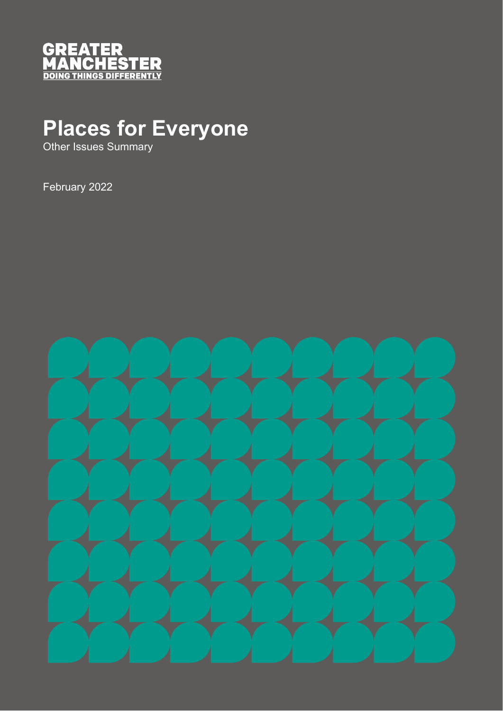

# **Places for Everyone**

Other Issues Summary

February 2022

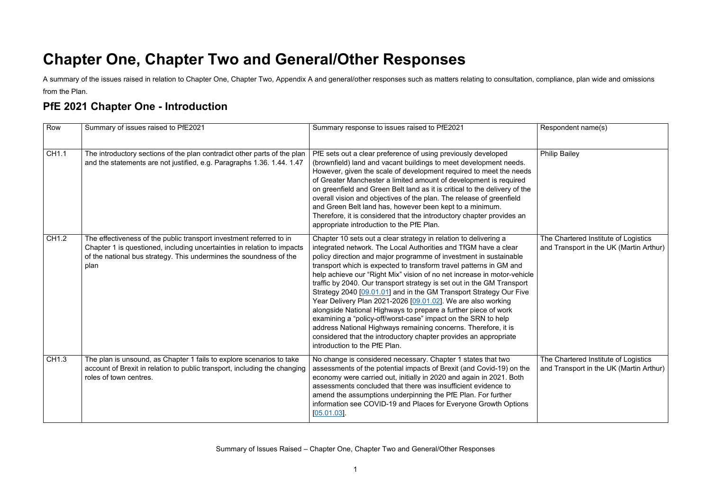## **Chapter One, Chapter Two and General/Other Responses**

A summary of the issues raised in relation to Chapter One, Chapter Two, Appendix A and general/other responses such as matters relating to consultation, compliance, plan wide and omissions from the Plan.

#### **PfE 2021 Chapter One - Introduction**

Respondent name(s) **Philip Bailey** The Chartered Institute of Logistics and Transport in the UK (Martin Arthur) The Chartered Institute of Logistics and Transport in the UK (Martin Arthur)

| Row          | Summary of issues raised to PfE2021                                                                                                                                                                                          | Summary response to issues raised to PfE2021                                                                                                                                                                                                                                                                                                                                                                                                                                                                                                                                                                                                                                                                                                                                                                                                                                        |
|--------------|------------------------------------------------------------------------------------------------------------------------------------------------------------------------------------------------------------------------------|-------------------------------------------------------------------------------------------------------------------------------------------------------------------------------------------------------------------------------------------------------------------------------------------------------------------------------------------------------------------------------------------------------------------------------------------------------------------------------------------------------------------------------------------------------------------------------------------------------------------------------------------------------------------------------------------------------------------------------------------------------------------------------------------------------------------------------------------------------------------------------------|
| CH1.1        | The introductory sections of the plan contradict other parts of the plan<br>and the statements are not justified, e.g. Paragraphs 1.36. 1.44. 1.47                                                                           | PfE sets out a clear preference of using previously developed<br>(brownfield) land and vacant buildings to meet development needs.<br>However, given the scale of development required to meet the needs<br>of Greater Manchester a limited amount of development is required<br>on greenfield and Green Belt land as it is critical to the delivery of the<br>overall vision and objectives of the plan. The release of greenfield<br>and Green Belt land has, however been kept to a minimum.<br>Therefore, it is considered that the introductory chapter provides an<br>appropriate introduction to the PfE Plan.                                                                                                                                                                                                                                                               |
| <b>CH1.2</b> | The effectiveness of the public transport investment referred to in<br>Chapter 1 is questioned, including uncertainties in relation to impacts<br>of the national bus strategy. This undermines the soundness of the<br>plan | Chapter 10 sets out a clear strategy in relation to delivering a<br>integrated network. The Local Authorities and TfGM have a clear<br>policy direction and major programme of investment in sustainable<br>transport which is expected to transform travel patterns in GM and<br>help achieve our "Right Mix" vision of no net increase in motor-vehicle<br>traffic by 2040. Our transport strategy is set out in the GM Transport<br>Strategy 2040 [09.01.01] and in the GM Transport Strategy Our Five<br>Year Delivery Plan 2021-2026 [09.01.02]. We are also working<br>alongside National Highways to prepare a further piece of work<br>examining a "policy-off/worst-case" impact on the SRN to help<br>address National Highways remaining concerns. Therefore, it is<br>considered that the introductory chapter provides an appropriate<br>introduction to the PfE Plan. |
| CH1.3        | The plan is unsound, as Chapter 1 fails to explore scenarios to take<br>account of Brexit in relation to public transport, including the changing<br>roles of town centres.                                                  | No change is considered necessary. Chapter 1 states that two<br>assessments of the potential impacts of Brexit (and Covid-19) on the<br>economy were carried out, initially in 2020 and again in 2021. Both<br>assessments concluded that there was insufficient evidence to<br>amend the assumptions underpinning the PfE Plan. For further<br>information see COVID-19 and Places for Everyone Growth Options<br>$[05.01.03]$ .                                                                                                                                                                                                                                                                                                                                                                                                                                                   |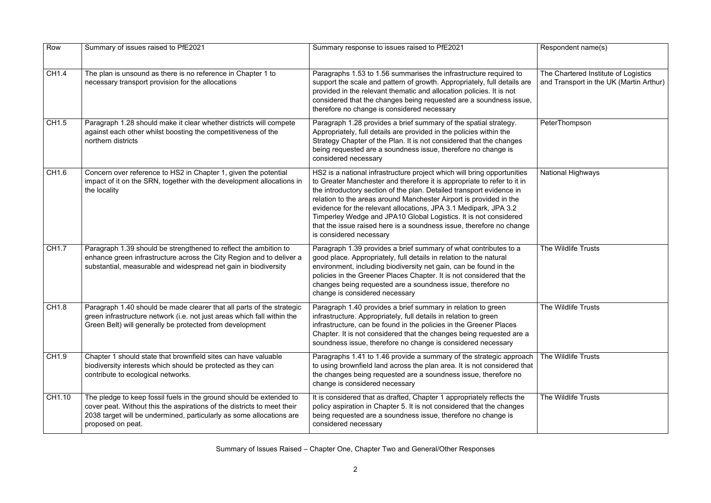| Row    | Summary of issues raised to PfE2021                                                                                                                                                                                                         | Summary response to issues raised to PfE2021                                                                                                                                                                                                                                                                                                                                                                                                                                                                                                | Respondent name(s)                            |
|--------|---------------------------------------------------------------------------------------------------------------------------------------------------------------------------------------------------------------------------------------------|---------------------------------------------------------------------------------------------------------------------------------------------------------------------------------------------------------------------------------------------------------------------------------------------------------------------------------------------------------------------------------------------------------------------------------------------------------------------------------------------------------------------------------------------|-----------------------------------------------|
| CH1.4  | The plan is unsound as there is no reference in Chapter 1 to<br>necessary transport provision for the allocations                                                                                                                           | Paragraphs 1.53 to 1.56 summarises the infrastructure required to<br>support the scale and pattern of growth. Appropriately, full details are<br>provided in the relevant thematic and allocation policies. It is not<br>considered that the changes being requested are a soundness issue,<br>therefore no change is considered necessary                                                                                                                                                                                                  | The Chartered Institu<br>and Transport in the |
| CH1.5  | Paragraph 1.28 should make it clear whether districts will compete<br>against each other whilst boosting the competitiveness of the<br>northern districts                                                                                   | Paragraph 1.28 provides a brief summary of the spatial strategy.<br>Appropriately, full details are provided in the policies within the<br>Strategy Chapter of the Plan. It is not considered that the changes<br>being requested are a soundness issue, therefore no change is<br>considered necessary                                                                                                                                                                                                                                     | PeterThompson                                 |
| CH1.6  | Concern over reference to HS2 in Chapter 1, given the potential<br>impact of it on the SRN, together with the development allocations in<br>the locality                                                                                    | HS2 is a national infrastructure project which will bring opportunities<br>to Greater Manchester and therefore it is appropriate to refer to it in<br>the introductory section of the plan. Detailed transport evidence in<br>relation to the areas around Manchester Airport is provided in the<br>evidence for the relevant allocations, JPA 3.1 Medipark, JPA 3.2<br>Timperley Wedge and JPA10 Global Logistics. It is not considered<br>that the issue raised here is a soundness issue, therefore no change<br>is considered necessary | <b>National Highways</b>                      |
| CH1.7  | Paragraph 1.39 should be strengthened to reflect the ambition to<br>enhance green infrastructure across the City Region and to deliver a<br>substantial, measurable and widespread net gain in biodiversity                                 | Paragraph 1.39 provides a brief summary of what contributes to a<br>good place. Appropriately, full details in relation to the natural<br>environment, including biodiversity net gain, can be found in the<br>policies in the Greener Places Chapter. It is not considered that the<br>changes being requested are a soundness issue, therefore no<br>change is considered necessary                                                                                                                                                       | The Wildlife Trusts                           |
| CH1.8  | Paragraph 1.40 should be made clearer that all parts of the strategic<br>green infrastructure network (i.e. not just areas which fall within the<br>Green Belt) will generally be protected from development                                | Paragraph 1.40 provides a brief summary in relation to green<br>infrastructure. Appropriately, full details in relation to green<br>infrastructure, can be found in the policies in the Greener Places<br>Chapter. It is not considered that the changes being requested are a<br>soundness issue, therefore no change is considered necessary                                                                                                                                                                                              | The Wildlife Trusts                           |
| CH1.9  | Chapter 1 should state that brownfield sites can have valuable<br>biodiversity interests which should be protected as they can<br>contribute to ecological networks.                                                                        | Paragraphs 1.41 to 1.46 provide a summary of the strategic approach<br>to using brownfield land across the plan area. It is not considered that<br>the changes being requested are a soundness issue, therefore no<br>change is considered necessary                                                                                                                                                                                                                                                                                        | The Wildlife Trusts                           |
| CH1.10 | The pledge to keep fossil fuels in the ground should be extended to<br>cover peat. Without this the aspirations of the districts to meet their<br>2038 target will be undermined, particularly as some allocations are<br>proposed on peat. | It is considered that as drafted, Chapter 1 appropriately reflects the<br>policy aspiration in Chapter 5. It is not considered that the changes<br>being requested are a soundness issue, therefore no change is<br>considered necessary                                                                                                                                                                                                                                                                                                    | The Wildlife Trusts                           |

| Respondent name(s)                                                              |
|---------------------------------------------------------------------------------|
| The Chartered Institute of Logistics<br>and Transport in the UK (Martin Arthur) |
| PeterThompson                                                                   |
| <b>National Highways</b>                                                        |
| The Wildlife Trusts                                                             |
| The Wildlife Trusts                                                             |
| The Wildlife Trusts                                                             |
| The Wildlife Trusts                                                             |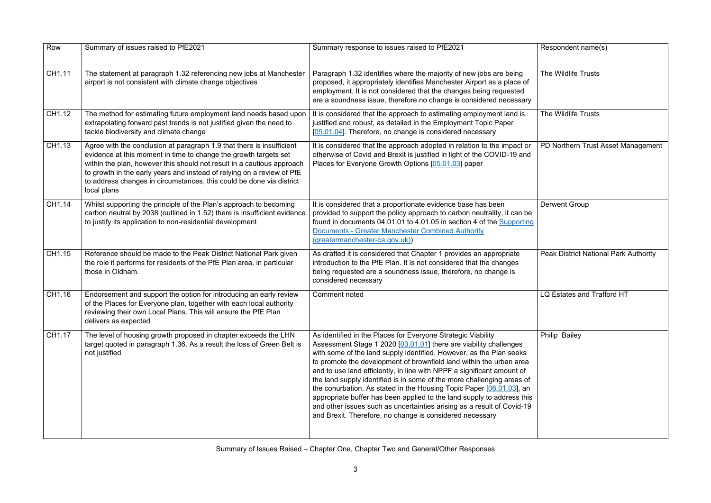| Row    | Summary of issues raised to PfE2021                                                                                                                                                                                                                                                                                                                                                  | Summary response to issues raised to PfE2021                                                                                                                                                                                                                                                                                                                                                                                                                                                                                                                                                                                                                                                                                | Respondent name(s)                 |
|--------|--------------------------------------------------------------------------------------------------------------------------------------------------------------------------------------------------------------------------------------------------------------------------------------------------------------------------------------------------------------------------------------|-----------------------------------------------------------------------------------------------------------------------------------------------------------------------------------------------------------------------------------------------------------------------------------------------------------------------------------------------------------------------------------------------------------------------------------------------------------------------------------------------------------------------------------------------------------------------------------------------------------------------------------------------------------------------------------------------------------------------------|------------------------------------|
| CH1.11 | The statement at paragraph 1.32 referencing new jobs at Manchester<br>airport is not consistent with climate change objectives                                                                                                                                                                                                                                                       | Paragraph 1.32 identifies where the majority of new jobs are being<br>proposed, it appropriately identifies Manchester Airport as a place of<br>employment. It is not considered that the changes being requested<br>are a soundness issue, therefore no change is considered necessary                                                                                                                                                                                                                                                                                                                                                                                                                                     | The Wildlife Trusts                |
| CH1.12 | The method for estimating future employment land needs based upon<br>extrapolating forward past trends is not justified given the need to<br>tackle biodiversity and climate change                                                                                                                                                                                                  | It is considered that the approach to estimating employment land is<br>justified and robust, as detailed in the Employment Topic Paper<br>[05.01.04]. Therefore, no change is considered necessary                                                                                                                                                                                                                                                                                                                                                                                                                                                                                                                          | The Wildlife Trusts                |
| CH1.13 | Agree with the conclusion at paragraph 1.9 that there is insufficient<br>evidence at this moment in time to change the growth targets set<br>within the plan, however this should not result in a cautious approach<br>to growth in the early years and instead of relying on a review of PfE<br>to address changes in circumstances, this could be done via district<br>local plans | It is considered that the approach adopted in relation to the impact or<br>otherwise of Covid and Brexit is justified in light of the COVID-19 and<br>Places for Everyone Growth Options [05.01.03] paper                                                                                                                                                                                                                                                                                                                                                                                                                                                                                                                   | PD Northern Trust Asset Ma         |
| CH1.14 | Whilst supporting the principle of the Plan's approach to becoming<br>carbon neutral by 2038 (outlined in 1.52) there is insufficient evidence<br>to justify its application to non-residential development                                                                                                                                                                          | It is considered that a proportionate evidence base has been<br>provided to support the policy approach to carbon neutrality, it can be<br>found in documents 04.01.01 to 4.01.05 in section 4 of the Supporting<br><b>Documents - Greater Manchester Combined Authority</b><br>(greatermanchester-ca.gov.uk))                                                                                                                                                                                                                                                                                                                                                                                                              | <b>Derwent Group</b>               |
| CH1.15 | Reference should be made to the Peak District National Park given<br>the role it performs for residents of the PfE Plan area, in particular<br>those in Oldham.                                                                                                                                                                                                                      | As drafted it is considered that Chapter 1 provides an appropriate<br>introduction to the PfE Plan. It is not considered that the changes<br>being requested are a soundness issue, therefore, no change is<br>considered necessary                                                                                                                                                                                                                                                                                                                                                                                                                                                                                         | <b>Peak District National Park</b> |
| CH1.16 | Endorsement and support the option for introducing an early review<br>of the Places for Everyone plan, together with each local authority<br>reviewing their own Local Plans. This will ensure the PfE Plan<br>delivers as expected                                                                                                                                                  | Comment noted                                                                                                                                                                                                                                                                                                                                                                                                                                                                                                                                                                                                                                                                                                               | LQ Estates and Trafford HT         |
| CH1.17 | The level of housing growth proposed in chapter exceeds the LHN<br>target quoted in paragraph 1.36. As a result the loss of Green Belt is<br>not justified                                                                                                                                                                                                                           | As identified in the Places for Everyone Strategic Viability<br>Assessment Stage 1 2020 [03.01.01] there are viability challenges<br>with some of the land supply identified. However, as the Plan seeks<br>to promote the development of brownfield land within the urban area<br>and to use land efficiently, in line with NPPF a significant amount of<br>the land supply identified is in some of the more challenging areas of<br>the conurbation. As stated in the Housing Topic Paper [06.01.03], an<br>appropriate buffer has been applied to the land supply to address this<br>and other issues such as uncertainties arising as a result of Covid-19<br>and Brexit. Therefore, no change is considered necessary | Philip Bailey                      |
|        |                                                                                                                                                                                                                                                                                                                                                                                      |                                                                                                                                                                                                                                                                                                                                                                                                                                                                                                                                                                                                                                                                                                                             |                                    |

| Respondent name(s)                           |
|----------------------------------------------|
| The Wildlife Trusts                          |
| The Wildlife Trusts                          |
| PD Northern Trust Asset Management           |
| <b>Derwent Group</b>                         |
| <b>Peak District National Park Authority</b> |
| LQ Estates and Trafford HT                   |
| Philip Bailey                                |
|                                              |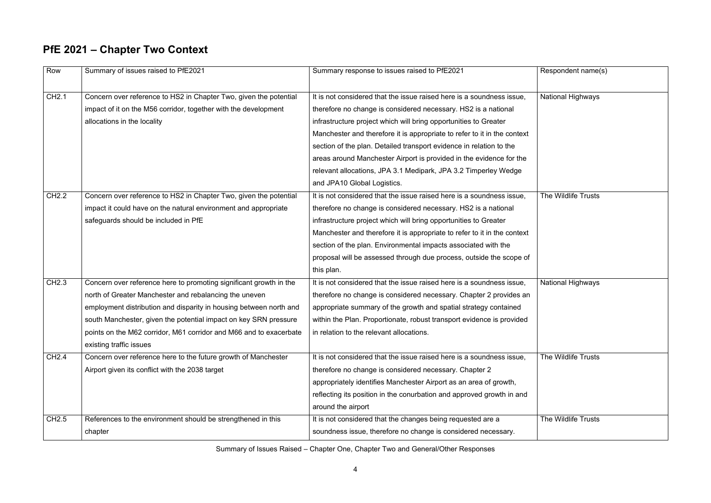## **PfE 2021 – Chapter Two Context**

| Row               | Summary of issues raised to PfE2021                                | Summary response to issues raised to PfE2021                             | Respondent name(s)       |
|-------------------|--------------------------------------------------------------------|--------------------------------------------------------------------------|--------------------------|
|                   |                                                                    |                                                                          |                          |
| CH2.1             | Concern over reference to HS2 in Chapter Two, given the potential  | It is not considered that the issue raised here is a soundness issue,    | <b>National Highways</b> |
|                   | impact of it on the M56 corridor, together with the development    | therefore no change is considered necessary. HS2 is a national           |                          |
|                   | allocations in the locality                                        | infrastructure project which will bring opportunities to Greater         |                          |
|                   |                                                                    | Manchester and therefore it is appropriate to refer to it in the context |                          |
|                   |                                                                    | section of the plan. Detailed transport evidence in relation to the      |                          |
|                   |                                                                    | areas around Manchester Airport is provided in the evidence for the      |                          |
|                   |                                                                    | relevant allocations, JPA 3.1 Medipark, JPA 3.2 Timperley Wedge          |                          |
|                   |                                                                    | and JPA10 Global Logistics.                                              |                          |
| CH <sub>2.2</sub> | Concern over reference to HS2 in Chapter Two, given the potential  | It is not considered that the issue raised here is a soundness issue,    | The Wildlife Trusts      |
|                   | impact it could have on the natural environment and appropriate    | therefore no change is considered necessary. HS2 is a national           |                          |
|                   | safeguards should be included in PfE                               | infrastructure project which will bring opportunities to Greater         |                          |
|                   |                                                                    | Manchester and therefore it is appropriate to refer to it in the context |                          |
|                   |                                                                    | section of the plan. Environmental impacts associated with the           |                          |
|                   |                                                                    | proposal will be assessed through due process, outside the scope of      |                          |
|                   |                                                                    | this plan.                                                               |                          |
| CH <sub>2.3</sub> | Concern over reference here to promoting significant growth in the | It is not considered that the issue raised here is a soundness issue,    | National Highways        |
|                   | north of Greater Manchester and rebalancing the uneven             | therefore no change is considered necessary. Chapter 2 provides an       |                          |
|                   | employment distribution and disparity in housing between north and | appropriate summary of the growth and spatial strategy contained         |                          |
|                   | south Manchester, given the potential impact on key SRN pressure   | within the Plan. Proportionate, robust transport evidence is provided    |                          |
|                   | points on the M62 corridor, M61 corridor and M66 and to exacerbate | I in relation to the relevant allocations.                               |                          |
|                   | existing traffic issues                                            |                                                                          |                          |
| <b>CH2.4</b>      | Concern over reference here to the future growth of Manchester     | It is not considered that the issue raised here is a soundness issue,    | The Wildlife Trusts      |
|                   | Airport given its conflict with the 2038 target                    | therefore no change is considered necessary. Chapter 2                   |                          |
|                   |                                                                    | appropriately identifies Manchester Airport as an area of growth,        |                          |
|                   |                                                                    | reflecting its position in the conurbation and approved growth in and    |                          |
|                   |                                                                    | around the airport                                                       |                          |
| CH <sub>2.5</sub> | References to the environment should be strengthened in this       | It is not considered that the changes being requested are a              | The Wildlife Trusts      |
|                   | chapter                                                            | soundness issue, therefore no change is considered necessary.            |                          |

| Respondent name(s)       |
|--------------------------|
| <b>National Highways</b> |
|                          |
|                          |
|                          |
|                          |
| The Wildlife Trusts      |
|                          |
|                          |
|                          |
| <b>National Highways</b> |
|                          |
|                          |
|                          |
| The Wildlife Trusts      |
|                          |
|                          |
| The Wildlife Trusts      |
|                          |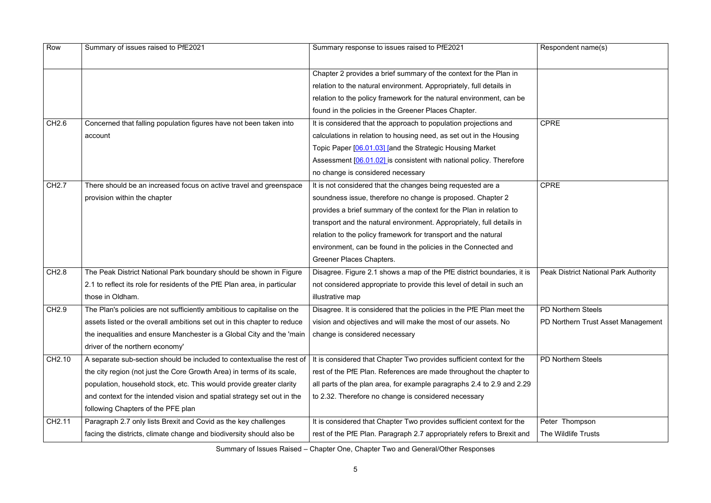| Row                | Summary of issues raised to PfE2021                                       | Summary response to issues raised to PfE2021                           | Respondent name(s)           |
|--------------------|---------------------------------------------------------------------------|------------------------------------------------------------------------|------------------------------|
|                    |                                                                           |                                                                        |                              |
|                    |                                                                           | Chapter 2 provides a brief summary of the context for the Plan in      |                              |
|                    |                                                                           | relation to the natural environment. Appropriately, full details in    |                              |
|                    |                                                                           | relation to the policy framework for the natural environment, can be   |                              |
|                    |                                                                           | found in the policies in the Greener Places Chapter.                   |                              |
| CH <sub>2.6</sub>  | Concerned that falling population figures have not been taken into        | It is considered that the approach to population projections and       | <b>CPRE</b>                  |
|                    | account                                                                   | calculations in relation to housing need, as set out in the Housing    |                              |
|                    |                                                                           | Topic Paper [06.01.03] [and the Strategic Housing Market               |                              |
|                    |                                                                           | Assessment [06.01.02] is consistent with national policy. Therefore    |                              |
|                    |                                                                           | no change is considered necessary                                      |                              |
| CH <sub>2.7</sub>  | There should be an increased focus on active travel and greenspace        | It is not considered that the changes being requested are a            | <b>CPRE</b>                  |
|                    | provision within the chapter                                              | soundness issue, therefore no change is proposed. Chapter 2            |                              |
|                    |                                                                           | provides a brief summary of the context for the Plan in relation to    |                              |
|                    |                                                                           | transport and the natural environment. Appropriately, full details in  |                              |
|                    |                                                                           | relation to the policy framework for transport and the natural         |                              |
|                    |                                                                           | environment, can be found in the policies in the Connected and         |                              |
|                    |                                                                           | Greener Places Chapters.                                               |                              |
| CH <sub>2.8</sub>  | The Peak District National Park boundary should be shown in Figure        | Disagree. Figure 2.1 shows a map of the PfE district boundaries, it is | <b>Peak District Nationa</b> |
|                    | 2.1 to reflect its role for residents of the PfE Plan area, in particular | not considered appropriate to provide this level of detail in such an  |                              |
|                    | those in Oldham.                                                          | illustrative map                                                       |                              |
| CH <sub>2.9</sub>  | The Plan's policies are not sufficiently ambitious to capitalise on the   | Disagree. It is considered that the policies in the PfE Plan meet the  | PD Northern Steels           |
|                    | assets listed or the overall ambitions set out in this chapter to reduce  | vision and objectives and will make the most of our assets. No         | PD Northern Trust As         |
|                    | the inequalities and ensure Manchester is a Global City and the 'main     | change is considered necessary                                         |                              |
|                    | driver of the northern economy'                                           |                                                                        |                              |
| CH2.10             | A separate sub-section should be included to contextualise the rest of    | It is considered that Chapter Two provides sufficient context for the  | <b>PD Northern Steels</b>    |
|                    | the city region (not just the Core Growth Area) in terms of its scale,    | rest of the PfE Plan. References are made throughout the chapter to    |                              |
|                    | population, household stock, etc. This would provide greater clarity      | all parts of the plan area, for example paragraphs 2.4 to 2.9 and 2.29 |                              |
|                    | and context for the intended vision and spatial strategy set out in the   | to 2.32. Therefore no change is considered necessary                   |                              |
|                    | following Chapters of the PFE plan                                        |                                                                        |                              |
| CH <sub>2.11</sub> | Paragraph 2.7 only lists Brexit and Covid as the key challenges           | It is considered that Chapter Two provides sufficient context for the  | Peter Thompson               |
|                    | facing the districts, climate change and biodiversity should also be      | rest of the PfE Plan. Paragraph 2.7 appropriately refers to Brexit and | The Wildlife Trusts          |

| Respondent name(s)                           |  |  |
|----------------------------------------------|--|--|
|                                              |  |  |
| <b>CPRE</b>                                  |  |  |
| <b>CPRE</b>                                  |  |  |
| <b>Peak District National Park Authority</b> |  |  |
| PD Northern Steels                           |  |  |
| PD Northern Trust Asset Management           |  |  |
| <b>PD Northern Steels</b>                    |  |  |
| Peter Thompson                               |  |  |
| The Wildlife Trusts                          |  |  |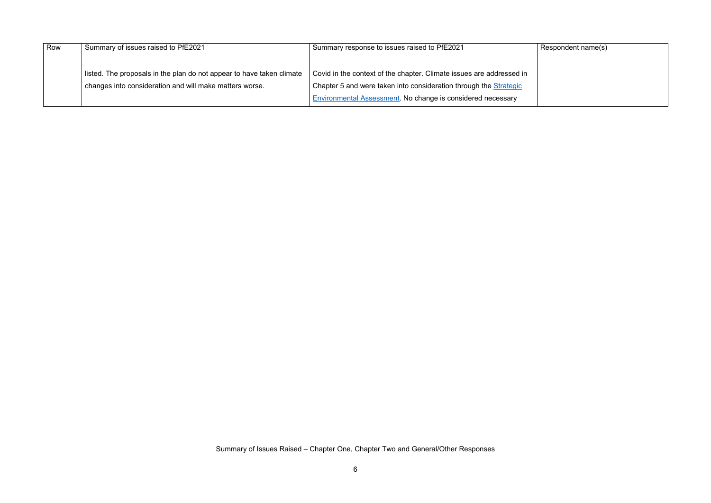#### Respondent name(s)

| Row | Summary of issues raised to PfE2021                                   | Summary response to issues raised to PfE2021                         |
|-----|-----------------------------------------------------------------------|----------------------------------------------------------------------|
|     |                                                                       |                                                                      |
|     |                                                                       |                                                                      |
|     | listed. The proposals in the plan do not appear to have taken climate | Covid in the context of the chapter. Climate issues are addressed in |
|     | changes into consideration and will make matters worse.               | Chapter 5 and were taken into consideration through the Strategic    |
|     |                                                                       | Environmental Assessment. No change is considered necessary          |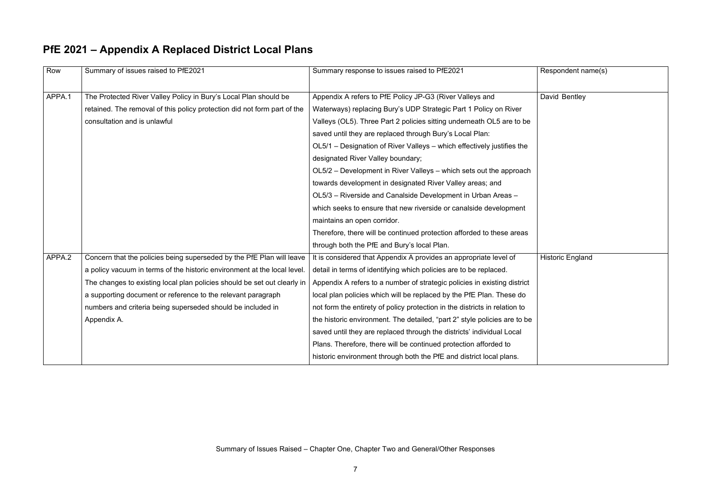Respondent name(s)

David Bentley

Historic England

| PfE 2021 - Appendix A Replaced District Local Plans |
|-----------------------------------------------------|
|-----------------------------------------------------|

| Row    | Summary of issues raised to PfE2021                                      | Summary response to issues raised to PfE2021                               |
|--------|--------------------------------------------------------------------------|----------------------------------------------------------------------------|
| APPA.1 | The Protected River Valley Policy in Bury's Local Plan should be         | Appendix A refers to PfE Policy JP-G3 (River Valleys and                   |
|        | retained. The removal of this policy protection did not form part of the | Waterways) replacing Bury's UDP Strategic Part 1 Policy on River           |
|        | consultation and is unlawful                                             | Valleys (OL5). Three Part 2 policies sitting underneath OL5 are to be      |
|        |                                                                          | saved until they are replaced through Bury's Local Plan:                   |
|        |                                                                          | OL5/1 – Designation of River Valleys – which effectively justifies the     |
|        |                                                                          | designated River Valley boundary;                                          |
|        |                                                                          | OL5/2 - Development in River Valleys - which sets out the approach         |
|        |                                                                          | towards development in designated River Valley areas; and                  |
|        |                                                                          | OL5/3 - Riverside and Canalside Development in Urban Areas -               |
|        |                                                                          | which seeks to ensure that new riverside or canalside development          |
|        |                                                                          | maintains an open corridor.                                                |
|        |                                                                          | Therefore, there will be continued protection afforded to these areas      |
|        |                                                                          | through both the PfE and Bury's local Plan.                                |
| APPA.2 | Concern that the policies being superseded by the PfE Plan will leave    | It is considered that Appendix A provides an appropriate level of          |
|        | a policy vacuum in terms of the historic environment at the local level. | detail in terms of identifying which policies are to be replaced.          |
|        | The changes to existing local plan policies should be set out clearly in | Appendix A refers to a number of strategic policies in existing district   |
|        | a supporting document or reference to the relevant paragraph             | local plan policies which will be replaced by the PfE Plan. These do       |
|        | numbers and criteria being superseded should be included in              | not form the entirety of policy protection in the districts in relation to |
|        | Appendix A.                                                              | the historic environment. The detailed, "part 2" style policies are to be  |
|        |                                                                          | saved until they are replaced through the districts' individual Local      |
|        |                                                                          | Plans. Therefore, there will be continued protection afforded to           |
|        |                                                                          | historic environment through both the PfE and district local plans.        |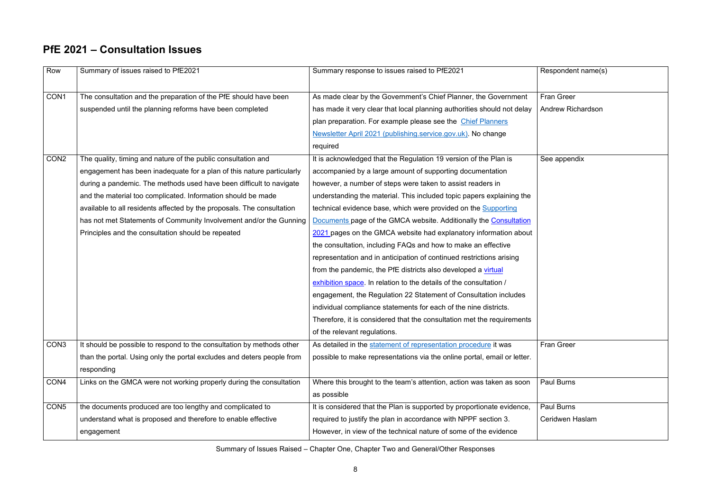$R$ espondent name(s)

#### **PfE 2021 – Consultation Issues**

Fran Greer Andrew Richardson

| Row              | Summary of issues raised to PfE2021                                    | Summary response to issues raised to PfE2021                             |
|------------------|------------------------------------------------------------------------|--------------------------------------------------------------------------|
|                  |                                                                        |                                                                          |
| CON1             | The consultation and the preparation of the PfE should have been       | As made clear by the Government's Chief Planner, the Government          |
|                  | suspended until the planning reforms have been completed               | has made it very clear that local planning authorities should not delay  |
|                  |                                                                        | plan preparation. For example please see the Chief Planners              |
|                  |                                                                        | Newsletter April 2021 (publishing.service.gov.uk). No change             |
|                  |                                                                        | required                                                                 |
| CON <sub>2</sub> | The quality, timing and nature of the public consultation and          | It is acknowledged that the Regulation 19 version of the Plan is         |
|                  | engagement has been inadequate for a plan of this nature particularly  | accompanied by a large amount of supporting documentation                |
|                  | during a pandemic. The methods used have been difficult to navigate    | however, a number of steps were taken to assist readers in               |
|                  | and the material too complicated. Information should be made           | understanding the material. This included topic papers explaining the    |
|                  | available to all residents affected by the proposals. The consultation | technical evidence base, which were provided on the Supporting           |
|                  | has not met Statements of Community Involvement and/or the Gunning     | Documents page of the GMCA website. Additionally the Consultation        |
|                  | Principles and the consultation should be repeated                     | 2021 pages on the GMCA website had explanatory information about         |
|                  |                                                                        | the consultation, including FAQs and how to make an effective            |
|                  |                                                                        | representation and in anticipation of continued restrictions arising     |
|                  |                                                                        | from the pandemic, the PfE districts also developed a virtual            |
|                  |                                                                        | exhibition space. In relation to the details of the consultation /       |
|                  |                                                                        | engagement, the Regulation 22 Statement of Consultation includes         |
|                  |                                                                        | individual compliance statements for each of the nine districts.         |
|                  |                                                                        | Therefore, it is considered that the consultation met the requirements   |
|                  |                                                                        | of the relevant regulations.                                             |
| CON <sub>3</sub> | It should be possible to respond to the consultation by methods other  | As detailed in the statement of representation procedure it was          |
|                  | than the portal. Using only the portal excludes and deters people from | possible to make representations via the online portal, email or letter. |
|                  | responding                                                             |                                                                          |
| CON <sub>4</sub> | Links on the GMCA were not working properly during the consultation    | Where this brought to the team's attention, action was taken as soon     |
|                  |                                                                        | as possible                                                              |
| CON <sub>5</sub> | the documents produced are too lengthy and complicated to              | It is considered that the Plan is supported by proportionate evidence,   |
|                  | understand what is proposed and therefore to enable effective          | required to justify the plan in accordance with NPPF section 3.          |
|                  | engagement                                                             | However, in view of the technical nature of some of the evidence         |

See appendix

**Fran Greer** 

Paul Burns

Paul Burns

Ceridwen Haslam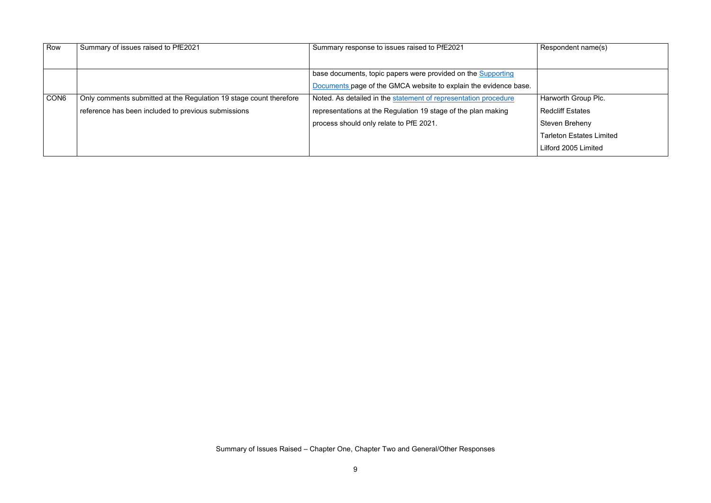$R$ espondent name(s)

Harworth Group Plc.

| Row              | Summary of issues raised to PfE2021                                | Summary response to issues raised to PfE2021                     |
|------------------|--------------------------------------------------------------------|------------------------------------------------------------------|
|                  |                                                                    | base documents, topic papers were provided on the Supporting     |
|                  |                                                                    | Documents page of the GMCA website to explain the evidence base. |
| CON <sub>6</sub> | Only comments submitted at the Regulation 19 stage count therefore | Noted. As detailed in the statement of representation procedure  |
|                  | reference has been included to previous submissions                | representations at the Regulation 19 stage of the plan making    |
|                  |                                                                    | process should only relate to PfE 2021.                          |
|                  |                                                                    |                                                                  |
|                  |                                                                    |                                                                  |

Redcliff Estates

Steven Breheny

Tarleton Estates Limited

Lilford 2005 Limited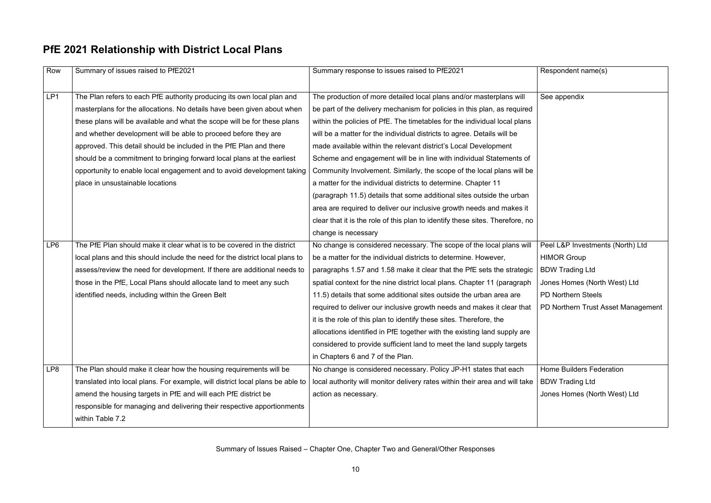Respondent name(s)

#### **PfE 2021 Relationship with District Local Plans**

See appendix

| Row             | Summary of issues raised to PfE2021                                            | Summary response to issues raised to PfE2021                                  |
|-----------------|--------------------------------------------------------------------------------|-------------------------------------------------------------------------------|
|                 |                                                                                |                                                                               |
| LP1             | The Plan refers to each PfE authority producing its own local plan and         | The production of more detailed local plans and/or masterplans will           |
|                 | masterplans for the allocations. No details have been given about when         | be part of the delivery mechanism for policies in this plan, as required      |
|                 | these plans will be available and what the scope will be for these plans       | within the policies of PfE. The timetables for the individual local plans     |
|                 | and whether development will be able to proceed before they are                | will be a matter for the individual districts to agree. Details will be       |
|                 | approved. This detail should be included in the PfE Plan and there             | made available within the relevant district's Local Development               |
|                 | should be a commitment to bringing forward local plans at the earliest         | Scheme and engagement will be in line with individual Statements of           |
|                 | opportunity to enable local engagement and to avoid development taking         | Community Involvement. Similarly, the scope of the local plans will be        |
|                 | place in unsustainable locations                                               | a matter for the individual districts to determine. Chapter 11                |
|                 |                                                                                | (paragraph 11.5) details that some additional sites outside the urban         |
|                 |                                                                                | area are required to deliver our inclusive growth needs and makes it          |
|                 |                                                                                | clear that it is the role of this plan to identify these sites. Therefore, no |
|                 |                                                                                | change is necessary                                                           |
| LP <sub>6</sub> | The PfE Plan should make it clear what is to be covered in the district        | No change is considered necessary. The scope of the local plans will          |
|                 | local plans and this should include the need for the district local plans to   | be a matter for the individual districts to determine. However,               |
|                 | assess/review the need for development. If there are additional needs to       | paragraphs 1.57 and 1.58 make it clear that the PfE sets the strategic        |
|                 | those in the PfE, Local Plans should allocate land to meet any such            | spatial context for the nine district local plans. Chapter 11 (paragraph      |
|                 | identified needs, including within the Green Belt                              | 11.5) details that some additional sites outside the urban area are           |
|                 |                                                                                | required to deliver our inclusive growth needs and makes it clear that        |
|                 |                                                                                | it is the role of this plan to identify these sites. Therefore, the           |
|                 |                                                                                | allocations identified in PfE together with the existing land supply are      |
|                 |                                                                                | considered to provide sufficient land to meet the land supply targets         |
|                 |                                                                                | in Chapters 6 and 7 of the Plan.                                              |
| LP8             | The Plan should make it clear how the housing requirements will be             | No change is considered necessary. Policy JP-H1 states that each              |
|                 | translated into local plans. For example, will district local plans be able to | local authority will monitor delivery rates within their area and will take   |
|                 | amend the housing targets in PfE and will each PfE district be                 | action as necessary.                                                          |
|                 | responsible for managing and delivering their respective apportionments        |                                                                               |
|                 | within Table 7.2                                                               |                                                                               |
|                 |                                                                                |                                                                               |

Peel L&P Investments (North) Ltd

HIMOR Group

BDW Trading Ltd

Jones Homes (North West) Ltd

PD Northern Steels

PD Northern Trust Asset Management

Home Builders Federation BDW Trading Ltd Jones Homes (North West) Ltd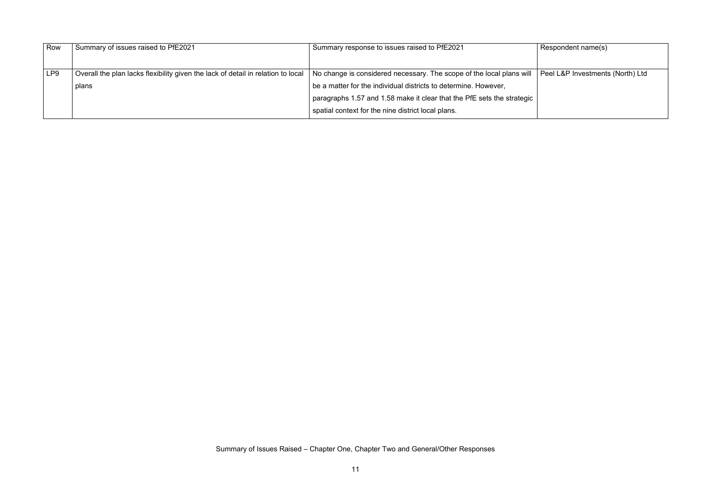Respondent name(s)

Peel L&P Investments (North) Ltd

| Row             | Summary of issues raised to PfE2021                                              | Summary response to issues raised to PfE2021                           |
|-----------------|----------------------------------------------------------------------------------|------------------------------------------------------------------------|
|                 |                                                                                  |                                                                        |
|                 |                                                                                  |                                                                        |
| LP <sub>9</sub> | Overall the plan lacks flexibility given the lack of detail in relation to local | No change is considered necessary. The scope of the local plans will   |
|                 | plans                                                                            | be a matter for the individual districts to determine. However,        |
|                 |                                                                                  | paragraphs 1.57 and 1.58 make it clear that the PfE sets the strategic |
|                 |                                                                                  | spatial context for the nine district local plans.                     |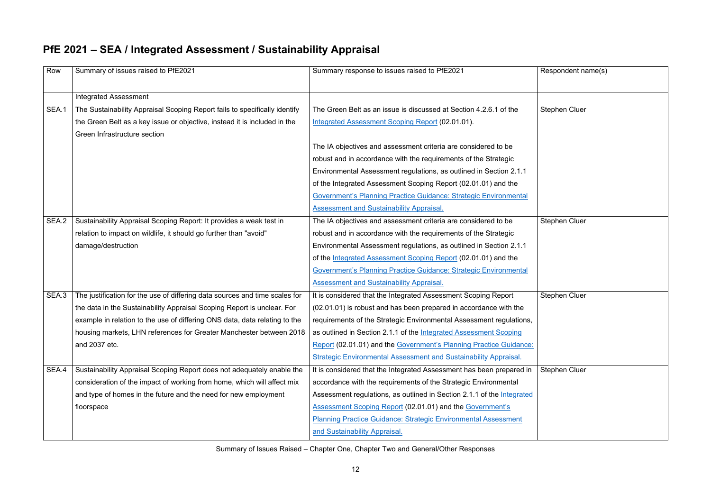#### **PfE 2021 – SEA / Integrated Assessment / Sustainability Appraisal**

Respondent name(s) Stephen Cluer Stephen Cluer Stephen Cluer Stephen Cluer

| Row   | Summary of issues raised to PfE2021                                         | Summary response to issues raised to PfE2021                            |
|-------|-----------------------------------------------------------------------------|-------------------------------------------------------------------------|
|       | <b>Integrated Assessment</b>                                                |                                                                         |
| SEA.1 | The Sustainability Appraisal Scoping Report fails to specifically identify  | The Green Belt as an issue is discussed at Section 4.2.6.1 of the       |
|       | the Green Belt as a key issue or objective, instead it is included in the   | <b>Integrated Assessment Scoping Report (02.01.01).</b>                 |
|       | Green Infrastructure section                                                |                                                                         |
|       |                                                                             | The IA objectives and assessment criteria are considered to be          |
|       |                                                                             | robust and in accordance with the requirements of the Strategic         |
|       |                                                                             | Environmental Assessment regulations, as outlined in Section 2.1.1      |
|       |                                                                             | of the Integrated Assessment Scoping Report (02.01.01) and the          |
|       |                                                                             | Government's Planning Practice Guidance: Strategic Environmental        |
|       |                                                                             | <b>Assessment and Sustainability Appraisal.</b>                         |
| SEA.2 | Sustainability Appraisal Scoping Report: It provides a weak test in         | The IA objectives and assessment criteria are considered to be          |
|       | relation to impact on wildlife, it should go further than "avoid"           | robust and in accordance with the requirements of the Strategic         |
|       | damage/destruction                                                          | Environmental Assessment regulations, as outlined in Section 2.1.1      |
|       |                                                                             | of the Integrated Assessment Scoping Report (02.01.01) and the          |
|       |                                                                             | Government's Planning Practice Guidance: Strategic Environmental        |
|       |                                                                             | <b>Assessment and Sustainability Appraisal.</b>                         |
| SEA.3 | The justification for the use of differing data sources and time scales for | It is considered that the Integrated Assessment Scoping Report          |
|       | the data in the Sustainability Appraisal Scoping Report is unclear. For     | (02.01.01) is robust and has been prepared in accordance with the       |
|       | example in relation to the use of differing ONS data, data relating to the  | requirements of the Strategic Environmental Assessment regulations,     |
|       | housing markets, LHN references for Greater Manchester between 2018         | as outlined in Section 2.1.1 of the Integrated Assessment Scoping       |
|       | and 2037 etc.                                                               | Report (02.01.01) and the Government's Planning Practice Guidance:      |
|       |                                                                             | <b>Strategic Environmental Assessment and Sustainability Appraisal.</b> |
| SEA.4 | Sustainability Appraisal Scoping Report does not adequately enable the      | It is considered that the Integrated Assessment has been prepared in    |
|       | consideration of the impact of working from home, which will affect mix     | accordance with the requirements of the Strategic Environmental         |
|       | and type of homes in the future and the need for new employment             | Assessment regulations, as outlined in Section 2.1.1 of the Integrated  |
|       | floorspace                                                                  | <b>Assessment Scoping Report (02.01.01) and the Government's</b>        |
|       |                                                                             | <b>Planning Practice Guidance: Strategic Environmental Assessment</b>   |
|       |                                                                             | and Sustainability Appraisal.                                           |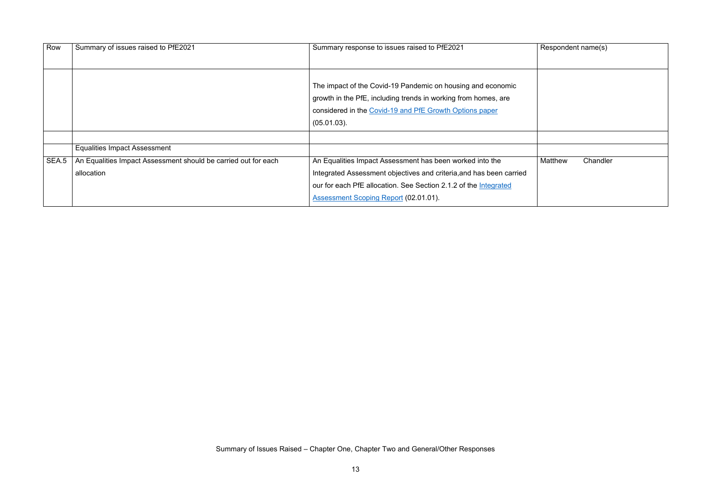| Row   | Summary of issues raised to PfE2021                                          | Summary response to issues raised to PfE2021                                                                                                                                                        | Respondent name(s) |        |
|-------|------------------------------------------------------------------------------|-----------------------------------------------------------------------------------------------------------------------------------------------------------------------------------------------------|--------------------|--------|
|       |                                                                              | The impact of the Covid-19 Pandemic on housing and economic<br>growth in the PfE, including trends in working from homes, are<br>considered in the Covid-19 and PfE Growth Options paper            |                    |        |
|       |                                                                              | $(05.01.03)$ .                                                                                                                                                                                      |                    |        |
|       | <b>Equalities Impact Assessment</b>                                          |                                                                                                                                                                                                     |                    |        |
| SEA.5 | An Equalities Impact Assessment should be carried out for each<br>allocation | An Equalities Impact Assessment has been worked into the<br>Integrated Assessment objectives and criteria, and has been carried<br>our for each PfE allocation. See Section 2.1.2 of the Integrated | <b>Matthew</b>     | Chandl |
|       |                                                                              | Assessment Scoping Report (02.01.01).                                                                                                                                                               |                    |        |

| Respondent name(s) |          |  |
|--------------------|----------|--|
|                    |          |  |
|                    |          |  |
|                    |          |  |
|                    |          |  |
|                    |          |  |
|                    |          |  |
|                    |          |  |
|                    |          |  |
| Matthew            | Chandler |  |
|                    |          |  |
|                    |          |  |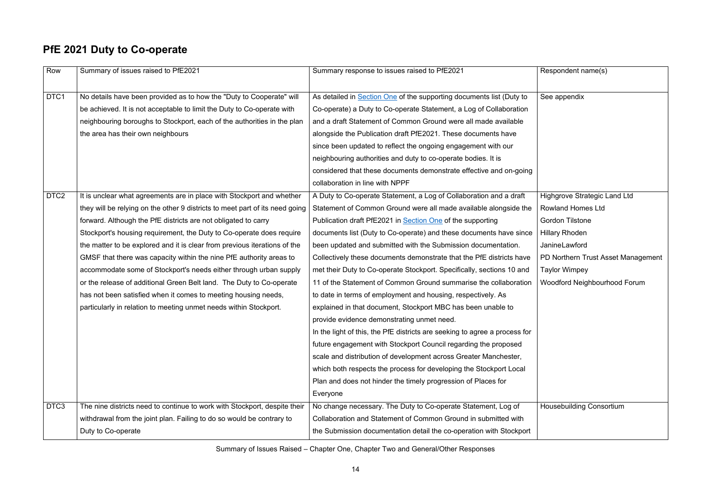## **PfE 2021 Duty to Co-operate**

| Row              | Summary of issues raised to PfE2021                                          | Summary response to issues raised to PfE2021                               | Respondent name(s)         |
|------------------|------------------------------------------------------------------------------|----------------------------------------------------------------------------|----------------------------|
|                  |                                                                              |                                                                            |                            |
| DTC1             | No details have been provided as to how the "Duty to Cooperate" will         | As detailed in Section One of the supporting documents list (Duty to       | See appendix               |
|                  | be achieved. It is not acceptable to limit the Duty to Co-operate with       | Co-operate) a Duty to Co-operate Statement, a Log of Collaboration         |                            |
|                  | neighbouring boroughs to Stockport, each of the authorities in the plan      | and a draft Statement of Common Ground were all made available             |                            |
|                  | the area has their own neighbours                                            | alongside the Publication draft PfE2021. These documents have              |                            |
|                  |                                                                              | since been updated to reflect the ongoing engagement with our              |                            |
|                  |                                                                              | neighbouring authorities and duty to co-operate bodies. It is              |                            |
|                  |                                                                              | considered that these documents demonstrate effective and on-going         |                            |
|                  |                                                                              | collaboration in line with NPPF                                            |                            |
| DTC <sub>2</sub> | It is unclear what agreements are in place with Stockport and whether        | A Duty to Co-operate Statement, a Log of Collaboration and a draft         | Highgrove Strategic I      |
|                  | they will be relying on the other 9 districts to meet part of its need going | Statement of Common Ground were all made available alongside the           | <b>Rowland Homes Ltd</b>   |
|                  | forward. Although the PfE districts are not obligated to carry               | Publication draft PfE2021 in Section One of the supporting                 | <b>Gordon Tilstone</b>     |
|                  | Stockport's housing requirement, the Duty to Co-operate does require         | documents list (Duty to Co-operate) and these documents have since         | <b>Hillary Rhoden</b>      |
|                  | the matter to be explored and it is clear from previous iterations of the    | been updated and submitted with the Submission documentation.              | JanineLawford              |
|                  | GMSF that there was capacity within the nine PfE authority areas to          | Collectively these documents demonstrate that the PfE districts have       | PD Northern Trust As       |
|                  | accommodate some of Stockport's needs either through urban supply            | met their Duty to Co-operate Stockport. Specifically, sections 10 and      | <b>Taylor Wimpey</b>       |
|                  | or the release of additional Green Belt land. The Duty to Co-operate         | 11 of the Statement of Common Ground summarise the collaboration           | <b>Woodford Neighbour</b>  |
|                  | has not been satisfied when it comes to meeting housing needs,               | to date in terms of employment and housing, respectively. As               |                            |
|                  | particularly in relation to meeting unmet needs within Stockport.            | explained in that document, Stockport MBC has been unable to               |                            |
|                  |                                                                              | provide evidence demonstrating unmet need.                                 |                            |
|                  |                                                                              | In the light of this, the PfE districts are seeking to agree a process for |                            |
|                  |                                                                              | future engagement with Stockport Council regarding the proposed            |                            |
|                  |                                                                              | scale and distribution of development across Greater Manchester,           |                            |
|                  |                                                                              | which both respects the process for developing the Stockport Local         |                            |
|                  |                                                                              | Plan and does not hinder the timely progression of Places for              |                            |
|                  |                                                                              | Everyone                                                                   |                            |
| DTC3             | The nine districts need to continue to work with Stockport, despite their    | No change necessary. The Duty to Co-operate Statement, Log of              | <b>Housebuilding Conso</b> |
|                  | withdrawal from the joint plan. Failing to do so would be contrary to        | Collaboration and Statement of Common Ground in submitted with             |                            |
|                  | Duty to Co-operate                                                           | the Submission documentation detail the co-operation with Stockport        |                            |
|                  |                                                                              |                                                                            |                            |

| Respondent name(s)                  |
|-------------------------------------|
| See appendix                        |
| <b>Highgrove Strategic Land Ltd</b> |
| <b>Rowland Homes Ltd</b>            |
| <b>Gordon Tilstone</b>              |
| <b>Hillary Rhoden</b>               |
| JanineLawford                       |
| PD Northern Trust Asset Management  |
| <b>Taylor Wimpey</b>                |
| <b>Woodford Neighbourhood Forum</b> |
|                                     |
| <b>Housebuilding Consortium</b>     |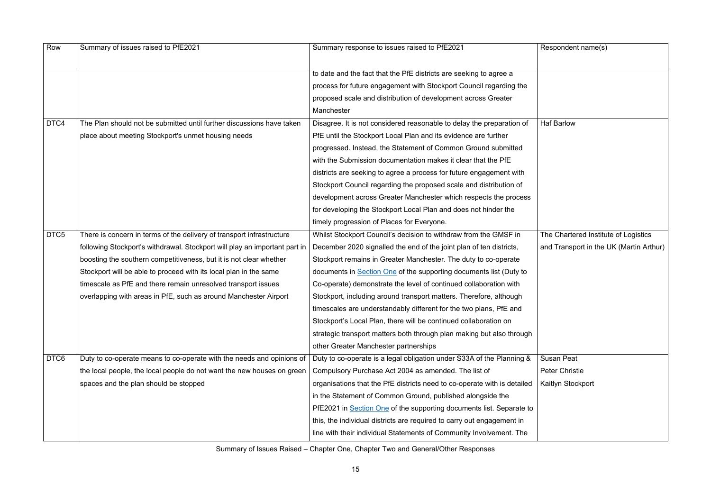$R$ espondent name(s)

Haf Barlow

| Row              | Summary of issues raised to PfE2021                                        | Summary response to issues raised to PfE2021                              |
|------------------|----------------------------------------------------------------------------|---------------------------------------------------------------------------|
|                  |                                                                            | to date and the fact that the PfE districts are seeking to agree a        |
|                  |                                                                            | process for future engagement with Stockport Council regarding the        |
|                  |                                                                            | proposed scale and distribution of development across Greater             |
|                  |                                                                            | Manchester                                                                |
| DTC4             | The Plan should not be submitted until further discussions have taken      | Disagree. It is not considered reasonable to delay the preparation of     |
|                  | place about meeting Stockport's unmet housing needs                        | PfE until the Stockport Local Plan and its evidence are further           |
|                  |                                                                            | progressed. Instead, the Statement of Common Ground submitted             |
|                  |                                                                            | with the Submission documentation makes it clear that the PfE             |
|                  |                                                                            | districts are seeking to agree a process for future engagement with       |
|                  |                                                                            | Stockport Council regarding the proposed scale and distribution of        |
|                  |                                                                            | development across Greater Manchester which respects the process          |
|                  |                                                                            | for developing the Stockport Local Plan and does not hinder the           |
|                  |                                                                            | timely progression of Places for Everyone.                                |
| DTC <sub>5</sub> | There is concern in terms of the delivery of transport infrastructure      | Whilst Stockport Council's decision to withdraw from the GMSF in          |
|                  | following Stockport's withdrawal. Stockport will play an important part in | December 2020 signalled the end of the joint plan of ten districts,       |
|                  | boosting the southern competitiveness, but it is not clear whether         | Stockport remains in Greater Manchester. The duty to co-operate           |
|                  | Stockport will be able to proceed with its local plan in the same          | documents in <b>Section One</b> of the supporting documents list (Duty to |
|                  | timescale as PfE and there remain unresolved transport issues              | Co-operate) demonstrate the level of continued collaboration with         |
|                  | overlapping with areas in PfE, such as around Manchester Airport           | Stockport, including around transport matters. Therefore, although        |
|                  |                                                                            | timescales are understandably different for the two plans, PfE and        |
|                  |                                                                            | Stockport's Local Plan, there will be continued collaboration on          |
|                  |                                                                            | strategic transport matters both through plan making but also through     |
|                  |                                                                            | other Greater Manchester partnerships                                     |
| DTC6             | Duty to co-operate means to co-operate with the needs and opinions of      | Duty to co-operate is a legal obligation under S33A of the Planning &     |
|                  | the local people, the local people do not want the new houses on green     | Compulsory Purchase Act 2004 as amended. The list of                      |
|                  | spaces and the plan should be stopped                                      | organisations that the PfE districts need to co-operate with is detailed  |
|                  |                                                                            | in the Statement of Common Ground, published alongside the                |
|                  |                                                                            | PfE2021 in Section One of the supporting documents list. Separate to      |
|                  |                                                                            | this, the individual districts are required to carry out engagement in    |
|                  |                                                                            | line with their individual Statements of Community Involvement. The       |
|                  |                                                                            |                                                                           |

The Chartered Institute of Logistics and Transport in the UK (Martin Arthur)

Susan Peat Peter Christie Kaitlyn Stockport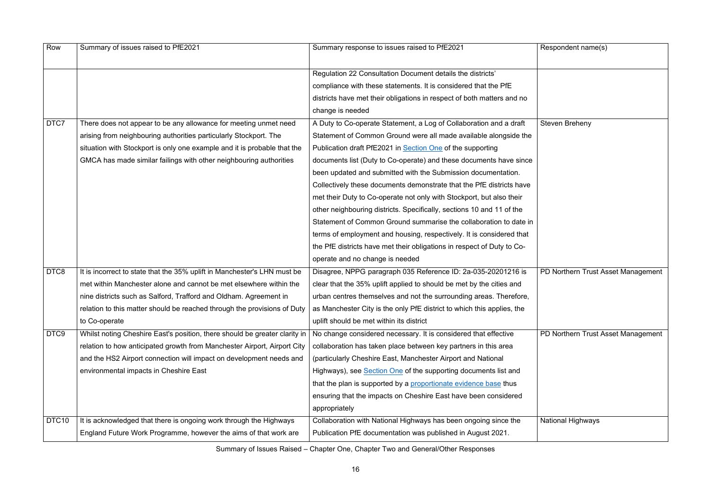| Row               | Summary of issues raised to PfE2021                                        | Summary response to issues raised to PfE2021                           | Respondent name(s)       |
|-------------------|----------------------------------------------------------------------------|------------------------------------------------------------------------|--------------------------|
|                   |                                                                            | Regulation 22 Consultation Document details the districts'             |                          |
|                   |                                                                            | compliance with these statements. It is considered that the PfE        |                          |
|                   |                                                                            | districts have met their obligations in respect of both matters and no |                          |
|                   |                                                                            | change is needed                                                       |                          |
| DTC7              | There does not appear to be any allowance for meeting unmet need           | A Duty to Co-operate Statement, a Log of Collaboration and a draft     | <b>Steven Breheny</b>    |
|                   | arising from neighbouring authorities particularly Stockport. The          | Statement of Common Ground were all made available alongside the       |                          |
|                   | situation with Stockport is only one example and it is probable that the   | Publication draft PfE2021 in Section One of the supporting             |                          |
|                   | GMCA has made similar failings with other neighbouring authorities         | documents list (Duty to Co-operate) and these documents have since     |                          |
|                   |                                                                            | been updated and submitted with the Submission documentation.          |                          |
|                   |                                                                            | Collectively these documents demonstrate that the PfE districts have   |                          |
|                   |                                                                            | met their Duty to Co-operate not only with Stockport, but also their   |                          |
|                   |                                                                            | other neighbouring districts. Specifically, sections 10 and 11 of the  |                          |
|                   |                                                                            | Statement of Common Ground summarise the collaboration to date in      |                          |
|                   |                                                                            | terms of employment and housing, respectively. It is considered that   |                          |
|                   |                                                                            | the PfE districts have met their obligations in respect of Duty to Co- |                          |
|                   |                                                                            | operate and no change is needed                                        |                          |
| DTC8              | It is incorrect to state that the 35% uplift in Manchester's LHN must be   | Disagree, NPPG paragraph 035 Reference ID: 2a-035-20201216 is          | PD Northern Trust As     |
|                   | met within Manchester alone and cannot be met elsewhere within the         | clear that the 35% uplift applied to should be met by the cities and   |                          |
|                   | nine districts such as Salford, Trafford and Oldham. Agreement in          | urban centres themselves and not the surrounding areas. Therefore,     |                          |
|                   | relation to this matter should be reached through the provisions of Duty   | as Manchester City is the only PfE district to which this applies, the |                          |
|                   | to Co-operate                                                              | uplift should be met within its district                               |                          |
| DTC9              | Whilst noting Cheshire East's position, there should be greater clarity in | No change considered necessary. It is considered that effective        | PD Northern Trust As     |
|                   | relation to how anticipated growth from Manchester Airport, Airport City   | collaboration has taken place between key partners in this area        |                          |
|                   | and the HS2 Airport connection will impact on development needs and        | (particularly Cheshire East, Manchester Airport and National           |                          |
|                   | environmental impacts in Cheshire East                                     | Highways), see Section One of the supporting documents list and        |                          |
|                   |                                                                            | that the plan is supported by a proportionate evidence base thus       |                          |
|                   |                                                                            | ensuring that the impacts on Cheshire East have been considered        |                          |
|                   |                                                                            | appropriately                                                          |                          |
| DTC <sub>10</sub> | It is acknowledged that there is ongoing work through the Highways         | Collaboration with National Highways has been ongoing since the        | <b>National Highways</b> |
|                   | England Future Work Programme, however the aims of that work are           | Publication PfE documentation was published in August 2021.            |                          |

| Respondent name(s)                 |
|------------------------------------|
|                                    |
|                                    |
|                                    |
|                                    |
|                                    |
|                                    |
|                                    |
|                                    |
|                                    |
| <b>Steven Breheny</b>              |
|                                    |
|                                    |
|                                    |
|                                    |
|                                    |
|                                    |
|                                    |
|                                    |
|                                    |
|                                    |
|                                    |
|                                    |
|                                    |
|                                    |
|                                    |
|                                    |
|                                    |
|                                    |
|                                    |
|                                    |
|                                    |
| PD Northern Trust Asset Management |
|                                    |
|                                    |
|                                    |
|                                    |
|                                    |
|                                    |
|                                    |
|                                    |
| PD Northern Trust Asset Management |
|                                    |
|                                    |
|                                    |
|                                    |
|                                    |
|                                    |
|                                    |
|                                    |
|                                    |
|                                    |
|                                    |
| <b>National Highways</b>           |
|                                    |
|                                    |
|                                    |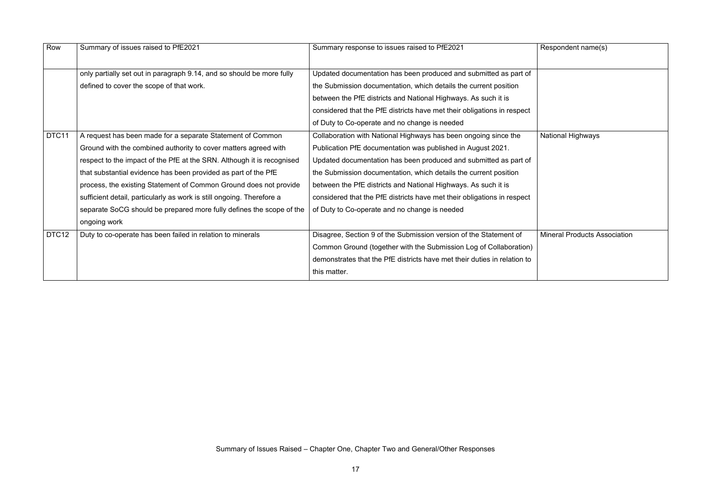$R$ espondent name(s)

| Row               | Summary of issues raised to PfE2021                                    | Summary response to issues raised to PfE2021                             |
|-------------------|------------------------------------------------------------------------|--------------------------------------------------------------------------|
|                   | only partially set out in paragraph 9.14, and so should be more fully  | Updated documentation has been produced and submitted as part of         |
|                   | defined to cover the scope of that work.                               | the Submission documentation, which details the current position         |
|                   |                                                                        | between the PfE districts and National Highways. As such it is           |
|                   |                                                                        | considered that the PfE districts have met their obligations in respect  |
|                   |                                                                        | of Duty to Co-operate and no change is needed                            |
| DTC11             | A request has been made for a separate Statement of Common             | Collaboration with National Highways has been ongoing since the          |
|                   | Ground with the combined authority to cover matters agreed with        | Publication PfE documentation was published in August 2021.              |
|                   | respect to the impact of the PfE at the SRN. Although it is recognised | Updated documentation has been produced and submitted as part of         |
|                   | that substantial evidence has been provided as part of the PfE         | the Submission documentation, which details the current position         |
|                   | process, the existing Statement of Common Ground does not provide      | between the PfE districts and National Highways. As such it is           |
|                   | sufficient detail, particularly as work is still ongoing. Therefore a  | considered that the PfE districts have met their obligations in respect  |
|                   | separate SoCG should be prepared more fully defines the scope of the   | of Duty to Co-operate and no change is needed                            |
|                   | ongoing work                                                           |                                                                          |
| DTC <sub>12</sub> | Duty to co-operate has been failed in relation to minerals             | Disagree, Section 9 of the Submission version of the Statement of        |
|                   |                                                                        | Common Ground (together with the Submission Log of Collaboration)        |
|                   |                                                                        | demonstrates that the PfE districts have met their duties in relation to |
|                   |                                                                        | this matter.                                                             |

National Highways

**Mineral Products Association**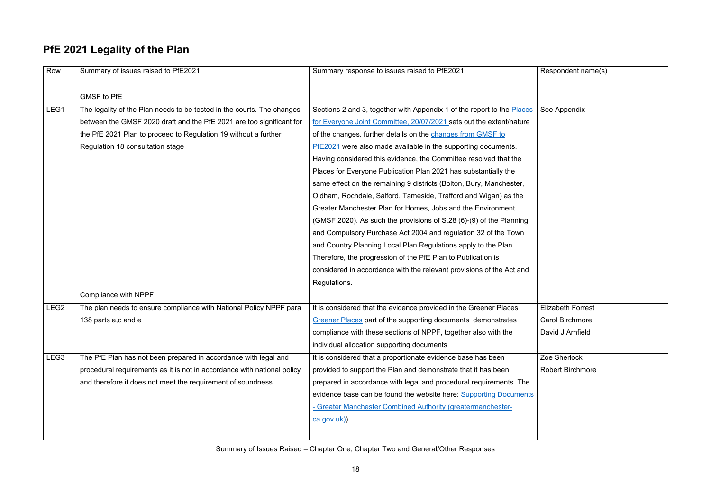Respondent name(s)

### **PfE 2021 Legality of the Plan**

Zoe Sherlock Robert Birchmore

| Row              | Summary of issues raised to PfE2021                                     | Summary response to issues raised to PfE2021                           |
|------------------|-------------------------------------------------------------------------|------------------------------------------------------------------------|
|                  |                                                                         |                                                                        |
|                  | <b>GMSF to PfE</b>                                                      |                                                                        |
| LEG1             | The legality of the Plan needs to be tested in the courts. The changes  | Sections 2 and 3, together with Appendix 1 of the report to the Places |
|                  | between the GMSF 2020 draft and the PfE 2021 are too significant for    | for Everyone Joint Committee, 20/07/2021 sets out the extent/nature    |
|                  | the PfE 2021 Plan to proceed to Regulation 19 without a further         | of the changes, further details on the changes from GMSF to            |
|                  | Regulation 18 consultation stage                                        | PfE2021 were also made available in the supporting documents.          |
|                  |                                                                         | Having considered this evidence, the Committee resolved that the       |
|                  |                                                                         | Places for Everyone Publication Plan 2021 has substantially the        |
|                  |                                                                         | same effect on the remaining 9 districts (Bolton, Bury, Manchester,    |
|                  |                                                                         | Oldham, Rochdale, Salford, Tameside, Trafford and Wigan) as the        |
|                  |                                                                         | Greater Manchester Plan for Homes, Jobs and the Environment            |
|                  |                                                                         | (GMSF 2020). As such the provisions of S.28 (6)-(9) of the Planning    |
|                  |                                                                         | and Compulsory Purchase Act 2004 and regulation 32 of the Town         |
|                  |                                                                         | and Country Planning Local Plan Regulations apply to the Plan.         |
|                  |                                                                         | Therefore, the progression of the PfE Plan to Publication is           |
|                  |                                                                         | considered in accordance with the relevant provisions of the Act and   |
|                  |                                                                         | Regulations.                                                           |
|                  | Compliance with NPPF                                                    |                                                                        |
| LEG <sub>2</sub> | The plan needs to ensure compliance with National Policy NPPF para      | It is considered that the evidence provided in the Greener Places      |
|                  | 138 parts a,c and e                                                     | Greener Places part of the supporting documents demonstrates           |
|                  |                                                                         | compliance with these sections of NPPF, together also with the         |
|                  |                                                                         | individual allocation supporting documents                             |
| LEG <sub>3</sub> | The PfE Plan has not been prepared in accordance with legal and         | It is considered that a proportionate evidence base has been           |
|                  | procedural requirements as it is not in accordance with national policy | provided to support the Plan and demonstrate that it has been          |
|                  | and therefore it does not meet the requirement of soundness             | prepared in accordance with legal and procedural requirements. The     |
|                  |                                                                         | evidence base can be found the website here: Supporting Documents      |
|                  |                                                                         | - Greater Manchester Combined Authority (greatermanchester-            |
|                  |                                                                         | ca.gov.uk)                                                             |
|                  |                                                                         |                                                                        |

See Appendix

Elizabeth Forrest

Carol Birchmore

David J Arnfield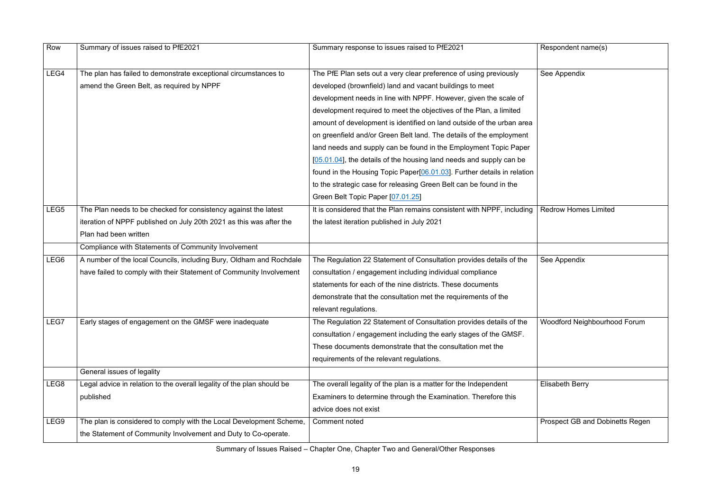| Summary response to issues raised to PfE2021<br>The PfE Plan sets out a very clear preference of using previously<br>developed (brownfield) land and vacant buildings to meet<br>development needs in line with NPPF. However, given the scale of<br>development required to meet the objectives of the Plan, a limited<br>amount of development is identified on land outside of the urban area<br>on greenfield and/or Green Belt land. The details of the employment<br>land needs and supply can be found in the Employment Topic Paper<br>[05.01.04], the details of the housing land needs and supply can be | Respondent name(s)<br>See Appendix     |
|--------------------------------------------------------------------------------------------------------------------------------------------------------------------------------------------------------------------------------------------------------------------------------------------------------------------------------------------------------------------------------------------------------------------------------------------------------------------------------------------------------------------------------------------------------------------------------------------------------------------|----------------------------------------|
|                                                                                                                                                                                                                                                                                                                                                                                                                                                                                                                                                                                                                    |                                        |
|                                                                                                                                                                                                                                                                                                                                                                                                                                                                                                                                                                                                                    |                                        |
|                                                                                                                                                                                                                                                                                                                                                                                                                                                                                                                                                                                                                    |                                        |
|                                                                                                                                                                                                                                                                                                                                                                                                                                                                                                                                                                                                                    |                                        |
|                                                                                                                                                                                                                                                                                                                                                                                                                                                                                                                                                                                                                    |                                        |
|                                                                                                                                                                                                                                                                                                                                                                                                                                                                                                                                                                                                                    |                                        |
|                                                                                                                                                                                                                                                                                                                                                                                                                                                                                                                                                                                                                    |                                        |
|                                                                                                                                                                                                                                                                                                                                                                                                                                                                                                                                                                                                                    |                                        |
|                                                                                                                                                                                                                                                                                                                                                                                                                                                                                                                                                                                                                    |                                        |
| found in the Housing Topic Paper <sup>[06.01.03]</sup> . Further details in relation                                                                                                                                                                                                                                                                                                                                                                                                                                                                                                                               |                                        |
| to the strategic case for releasing Green Belt can be found in the                                                                                                                                                                                                                                                                                                                                                                                                                                                                                                                                                 |                                        |
|                                                                                                                                                                                                                                                                                                                                                                                                                                                                                                                                                                                                                    |                                        |
| It is considered that the Plan remains consistent with NPPF, including                                                                                                                                                                                                                                                                                                                                                                                                                                                                                                                                             | <b>Redrow Homes Limited</b>            |
| the latest iteration published in July 2021                                                                                                                                                                                                                                                                                                                                                                                                                                                                                                                                                                        |                                        |
|                                                                                                                                                                                                                                                                                                                                                                                                                                                                                                                                                                                                                    |                                        |
|                                                                                                                                                                                                                                                                                                                                                                                                                                                                                                                                                                                                                    |                                        |
| The Regulation 22 Statement of Consultation provides details of the                                                                                                                                                                                                                                                                                                                                                                                                                                                                                                                                                | See Appendix                           |
| consultation / engagement including individual compliance                                                                                                                                                                                                                                                                                                                                                                                                                                                                                                                                                          |                                        |
| statements for each of the nine districts. These documents                                                                                                                                                                                                                                                                                                                                                                                                                                                                                                                                                         |                                        |
| demonstrate that the consultation met the requirements of the                                                                                                                                                                                                                                                                                                                                                                                                                                                                                                                                                      |                                        |
|                                                                                                                                                                                                                                                                                                                                                                                                                                                                                                                                                                                                                    |                                        |
| The Regulation 22 Statement of Consultation provides details of the                                                                                                                                                                                                                                                                                                                                                                                                                                                                                                                                                | Woodford Neighbourhood Forum           |
| consultation / engagement including the early stages of the GMSF.                                                                                                                                                                                                                                                                                                                                                                                                                                                                                                                                                  |                                        |
| These documents demonstrate that the consultation met the                                                                                                                                                                                                                                                                                                                                                                                                                                                                                                                                                          |                                        |
| requirements of the relevant regulations.                                                                                                                                                                                                                                                                                                                                                                                                                                                                                                                                                                          |                                        |
|                                                                                                                                                                                                                                                                                                                                                                                                                                                                                                                                                                                                                    |                                        |
| The overall legality of the plan is a matter for the Independent                                                                                                                                                                                                                                                                                                                                                                                                                                                                                                                                                   | <b>Elisabeth Berry</b>                 |
| Examiners to determine through the Examination. Therefore this                                                                                                                                                                                                                                                                                                                                                                                                                                                                                                                                                     |                                        |
|                                                                                                                                                                                                                                                                                                                                                                                                                                                                                                                                                                                                                    |                                        |
|                                                                                                                                                                                                                                                                                                                                                                                                                                                                                                                                                                                                                    | <b>Prospect GB and Dobinetts Regen</b> |
|                                                                                                                                                                                                                                                                                                                                                                                                                                                                                                                                                                                                                    |                                        |
|                                                                                                                                                                                                                                                                                                                                                                                                                                                                                                                                                                                                                    |                                        |

| Respondent name(s)                     |
|----------------------------------------|
| See Appendix                           |
|                                        |
|                                        |
|                                        |
|                                        |
|                                        |
|                                        |
| <b>Redrow Homes Limited</b>            |
|                                        |
|                                        |
| See Appendix                           |
|                                        |
|                                        |
| Woodford Neighbourhood Forum           |
|                                        |
|                                        |
|                                        |
| Elisabeth Berry                        |
|                                        |
| <b>Prospect GB and Dobinetts Regen</b> |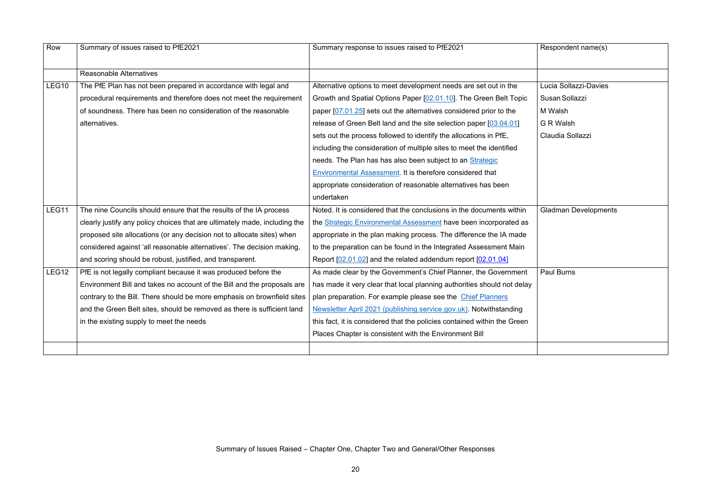$R$ espondent name(s)

Lucia Sollazzi-Davies SusanSollazzi M Walsh G R Walsh Claudia Sollazzi

| Row          | Summary of issues raised to PfE2021                                        | Summary response to issues raised to PfE2021                             |
|--------------|----------------------------------------------------------------------------|--------------------------------------------------------------------------|
|              | <b>Reasonable Alternatives</b>                                             |                                                                          |
| <b>LEG10</b> | The PfE Plan has not been prepared in accordance with legal and            | Alternative options to meet development needs are set out in the         |
|              | procedural requirements and therefore does not meet the requirement        | Growth and Spatial Options Paper [02.01.10]. The Green Belt Topic        |
|              | of soundness. There has been no consideration of the reasonable            | paper [07.01.25] sets out the alternatives considered prior to the       |
|              | alternatives.                                                              | release of Green Belt land and the site selection paper [03.04.01]       |
|              |                                                                            | sets out the process followed to identify the allocations in PfE,        |
|              |                                                                            | including the consideration of multiple sites to meet the identified     |
|              |                                                                            | needs. The Plan has has also been subject to an Strategic                |
|              |                                                                            | <b>Environmental Assessment. It is therefore considered that</b>         |
|              |                                                                            | appropriate consideration of reasonable alternatives has been            |
|              |                                                                            | undertaken                                                               |
| LEG11        | The nine Councils should ensure that the results of the IA process         | Noted. It is considered that the conclusions in the documents within     |
|              | clearly justify any policy choices that are ultimately made, including the | the <b>Strategic Environmental Assessment</b> have been incorporated as  |
|              | proposed site allocations (or any decision not to allocate sites) when     | appropriate in the plan making process. The difference the IA made       |
|              | considered against 'all reasonable alternatives'. The decision making,     | to the preparation can be found in the Integrated Assessment Main        |
|              | and scoring should be robust, justified, and transparent.                  | Report [02.01.02] and the related addendum report [02.01.04]             |
| LEG12        | PfE is not legally compliant because it was produced before the            | As made clear by the Government's Chief Planner, the Government          |
|              | Environment Bill and takes no account of the Bill and the proposals are    | has made it very clear that local planning authorities should not delay  |
|              | contrary to the Bill. There should be more emphasis on brownfield sites    | plan preparation. For example please see the Chief Planners              |
|              | and the Green Belt sites, should be removed as there is sufficient land    | Newsletter April 2021 (publishing service gov uk). Notwithstanding       |
|              | in the existing supply to meet the needs                                   | this fact, it is considered that the policies contained within the Green |
|              |                                                                            | Places Chapter is consistent with the Environment Bill                   |
|              |                                                                            |                                                                          |

Gladman Developments

Paul Burns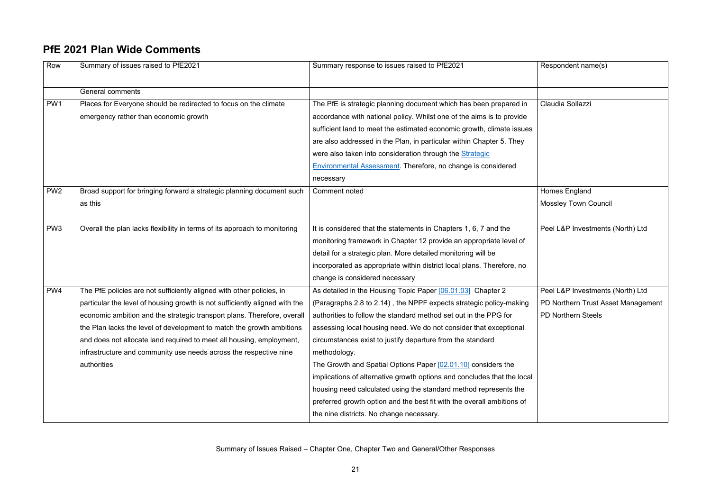$R$ espondent name(s)

#### **PfE 2021 Plan Wide Comments**

Homes England Mossley Town Council

Claudia Sollazzi

Peel L&P Investments (North) Ltd

| Row             | Summary of issues raised to PfE2021                                         | Summary response to issues raised to PfE2021                            |
|-----------------|-----------------------------------------------------------------------------|-------------------------------------------------------------------------|
|                 | <b>General comments</b>                                                     |                                                                         |
| PW1             | Places for Everyone should be redirected to focus on the climate            | The PfE is strategic planning document which has been prepared in       |
|                 | emergency rather than economic growth                                       | accordance with national policy. Whilst one of the aims is to provide   |
|                 |                                                                             | sufficient land to meet the estimated economic growth, climate issues   |
|                 |                                                                             | are also addressed in the Plan, in particular within Chapter 5. They    |
|                 |                                                                             | were also taken into consideration through the <b>Strategic</b>         |
|                 |                                                                             | <b>Environmental Assessment. Therefore, no change is considered</b>     |
|                 |                                                                             | necessary                                                               |
| PW <sub>2</sub> | Broad support for bringing forward a strategic planning document such       | Comment noted                                                           |
|                 | as this                                                                     |                                                                         |
|                 |                                                                             |                                                                         |
| PW <sub>3</sub> | Overall the plan lacks flexibility in terms of its approach to monitoring   | It is considered that the statements in Chapters 1, 6, 7 and the        |
|                 |                                                                             | monitoring framework in Chapter 12 provide an appropriate level of      |
|                 |                                                                             | detail for a strategic plan. More detailed monitoring will be           |
|                 |                                                                             | incorporated as appropriate within district local plans. Therefore, no  |
|                 |                                                                             | change is considered necessary                                          |
| PW4             | The PfE policies are not sufficiently aligned with other policies, in       | As detailed in the Housing Topic Paper [06.01.03] Chapter 2             |
|                 | particular the level of housing growth is not sufficiently aligned with the | (Paragraphs 2.8 to 2.14), the NPPF expects strategic policy-making      |
|                 | economic ambition and the strategic transport plans. Therefore, overall     | authorities to follow the standard method set out in the PPG for        |
|                 | the Plan lacks the level of development to match the growth ambitions       | assessing local housing need. We do not consider that exceptional       |
|                 | and does not allocate land required to meet all housing, employment,        | circumstances exist to justify departure from the standard              |
|                 | infrastructure and community use needs across the respective nine           | methodology.                                                            |
|                 | authorities                                                                 | The Growth and Spatial Options Paper [02.01.10] considers the           |
|                 |                                                                             | implications of alternative growth options and concludes that the local |
|                 |                                                                             | housing need calculated using the standard method represents the        |
|                 |                                                                             | preferred growth option and the best fit with the overall ambitions of  |
|                 |                                                                             | the nine districts. No change necessary.                                |

Peel L&P Investments (North) Ltd PD Northern Trust Asset Management PD Northern Steels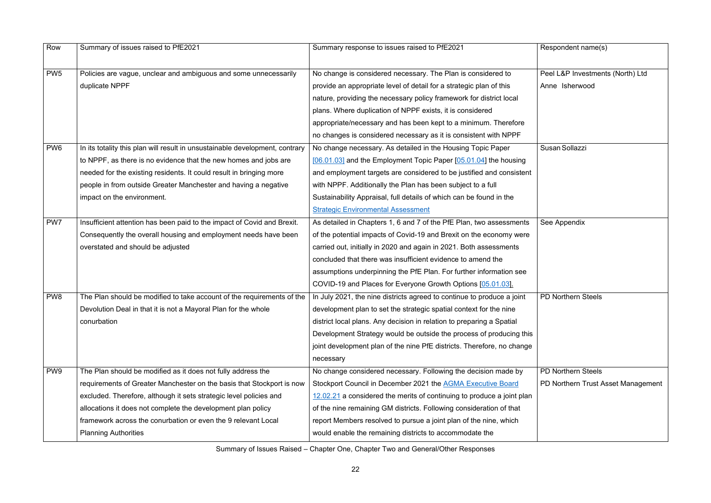| Row             | Summary of issues raised to PfE2021                                          | Summary response to issues raised to PfE2021                           | Respondent name(s)        |
|-----------------|------------------------------------------------------------------------------|------------------------------------------------------------------------|---------------------------|
| PW <sub>5</sub> | Policies are vague, unclear and ambiguous and some unnecessarily             | No change is considered necessary. The Plan is considered to           | Peel L&P Investment       |
|                 | duplicate NPPF                                                               | provide an appropriate level of detail for a strategic plan of this    | Anne Isherwood            |
|                 |                                                                              | nature, providing the necessary policy framework for district local    |                           |
|                 |                                                                              | plans. Where duplication of NPPF exists, it is considered              |                           |
|                 |                                                                              | appropriate/necessary and has been kept to a minimum. Therefore        |                           |
|                 |                                                                              | no changes is considered necessary as it is consistent with NPPF       |                           |
| PW <sub>6</sub> | In its totality this plan will result in unsustainable development, contrary | No change necessary. As detailed in the Housing Topic Paper            | Susan Sollazzi            |
|                 | to NPPF, as there is no evidence that the new homes and jobs are             | $[06.01.03]$ and the Employment Topic Paper $[05.01.04]$ the housing   |                           |
|                 | needed for the existing residents. It could result in bringing more          | and employment targets are considered to be justified and consistent   |                           |
|                 | people in from outside Greater Manchester and having a negative              | with NPPF. Additionally the Plan has been subject to a full            |                           |
|                 | impact on the environment.                                                   | Sustainability Appraisal, full details of which can be found in the    |                           |
|                 |                                                                              | <b>Strategic Environmental Assessment</b>                              |                           |
| PW7             | Insufficient attention has been paid to the impact of Covid and Brexit.      | As detailed in Chapters 1, 6 and 7 of the PfE Plan, two assessments    | See Appendix              |
|                 | Consequently the overall housing and employment needs have been              | of the potential impacts of Covid-19 and Brexit on the economy were    |                           |
|                 | overstated and should be adjusted                                            | carried out, initially in 2020 and again in 2021. Both assessments     |                           |
|                 |                                                                              | concluded that there was insufficient evidence to amend the            |                           |
|                 |                                                                              | assumptions underpinning the PfE Plan. For further information see     |                           |
|                 |                                                                              | COVID-19 and Places for Everyone Growth Options [05.01.03].            |                           |
| PW <sub>8</sub> | The Plan should be modified to take account of the requirements of the       | In July 2021, the nine districts agreed to continue to produce a joint | <b>PD Northern Steels</b> |
|                 | Devolution Deal in that it is not a Mayoral Plan for the whole               | development plan to set the strategic spatial context for the nine     |                           |
|                 | conurbation                                                                  | district local plans. Any decision in relation to preparing a Spatial  |                           |
|                 |                                                                              | Development Strategy would be outside the process of producing this    |                           |
|                 |                                                                              | joint development plan of the nine PfE districts. Therefore, no change |                           |
|                 |                                                                              | necessary                                                              |                           |
| PW <sub>9</sub> | The Plan should be modified as it does not fully address the                 | No change considered necessary. Following the decision made by         | <b>PD Northern Steels</b> |
|                 | requirements of Greater Manchester on the basis that Stockport is now        | Stockport Council in December 2021 the AGMA Executive Board            | PD Northern Trust As      |
|                 | excluded. Therefore, although it sets strategic level policies and           | 12.02.21 a considered the merits of continuing to produce a joint plan |                           |
|                 | allocations it does not complete the development plan policy                 | of the nine remaining GM districts. Following consideration of that    |                           |
|                 | framework across the conurbation or even the 9 relevant Local                | report Members resolved to pursue a joint plan of the nine, which      |                           |
|                 | <b>Planning Authorities</b>                                                  | would enable the remaining districts to accommodate the                |                           |

| Respondent name(s)                 |
|------------------------------------|
| Peel L&P Investments (North) Ltd   |
| Anne Isherwood                     |
|                                    |
| Susan Sollazzi                     |
| See Appendix                       |
| <b>PD Northern Steels</b>          |
| <b>PD Northern Steels</b>          |
| PD Northern Trust Asset Management |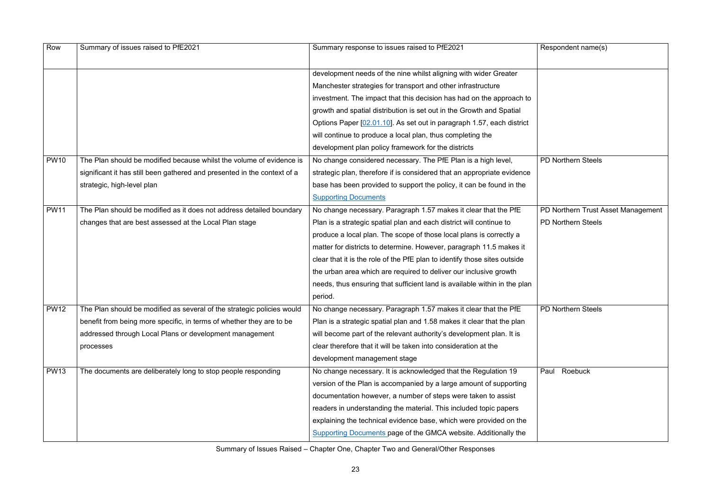| Row         | Summary of issues raised to PfE2021                                      | Summary response to issues raised to PfE2021                              | Respondent name(s)        |
|-------------|--------------------------------------------------------------------------|---------------------------------------------------------------------------|---------------------------|
|             |                                                                          | development needs of the nine whilst aligning with wider Greater          |                           |
|             |                                                                          | Manchester strategies for transport and other infrastructure              |                           |
|             |                                                                          | investment. The impact that this decision has had on the approach to      |                           |
|             |                                                                          | growth and spatial distribution is set out in the Growth and Spatial      |                           |
|             |                                                                          | Options Paper [02.01.10]. As set out in paragraph 1.57, each district     |                           |
|             |                                                                          | will continue to produce a local plan, thus completing the                |                           |
|             |                                                                          | development plan policy framework for the districts                       |                           |
| <b>PW10</b> | The Plan should be modified because whilst the volume of evidence is     | No change considered necessary. The PfE Plan is a high level,             | <b>PD Northern Steels</b> |
|             | significant it has still been gathered and presented in the context of a | strategic plan, therefore if is considered that an appropriate evidence   |                           |
|             | strategic, high-level plan                                               | base has been provided to support the policy, it can be found in the      |                           |
|             |                                                                          | <b>Supporting Documents</b>                                               |                           |
| <b>PW11</b> | The Plan should be modified as it does not address detailed boundary     | No change necessary. Paragraph 1.57 makes it clear that the PfE           | PD Northern Trust As      |
|             | changes that are best assessed at the Local Plan stage                   | Plan is a strategic spatial plan and each district will continue to       | <b>PD Northern Steels</b> |
|             |                                                                          | produce a local plan. The scope of those local plans is correctly a       |                           |
|             |                                                                          | matter for districts to determine. However, paragraph 11.5 makes it       |                           |
|             |                                                                          | clear that it is the role of the PfE plan to identify those sites outside |                           |
|             |                                                                          | the urban area which are required to deliver our inclusive growth         |                           |
|             |                                                                          | needs, thus ensuring that sufficient land is available within in the plan |                           |
|             |                                                                          | period.                                                                   |                           |
| <b>PW12</b> | The Plan should be modified as several of the strategic policies would   | No change necessary. Paragraph 1.57 makes it clear that the PfE           | PD Northern Steels        |
|             | benefit from being more specific, in terms of whether they are to be     | Plan is a strategic spatial plan and 1.58 makes it clear that the plan    |                           |
|             | addressed through Local Plans or development management                  | will become part of the relevant authority's development plan. It is      |                           |
|             | processes                                                                | clear therefore that it will be taken into consideration at the           |                           |
|             |                                                                          | development management stage                                              |                           |
| <b>PW13</b> | The documents are deliberately long to stop people responding            | No change necessary. It is acknowledged that the Regulation 19            | Roebuck<br>Paul           |
|             |                                                                          | version of the Plan is accompanied by a large amount of supporting        |                           |
|             |                                                                          | documentation however, a number of steps were taken to assist             |                           |
|             |                                                                          | readers in understanding the material. This included topic papers         |                           |
|             |                                                                          | explaining the technical evidence base, which were provided on the        |                           |
|             |                                                                          | <b>Supporting Documents page of the GMCA website. Additionally the</b>    |                           |

| Respondent name(s)                 |
|------------------------------------|
|                                    |
|                                    |
|                                    |
| <b>PD Northern Steels</b>          |
|                                    |
|                                    |
| PD Northern Trust Asset Management |
| <b>PD Northern Steels</b>          |
|                                    |
|                                    |
|                                    |
|                                    |
|                                    |
|                                    |
| <b>PD Northern Steels</b>          |
|                                    |
|                                    |
|                                    |
|                                    |
| Paul Roebuck                       |
|                                    |
|                                    |
|                                    |
|                                    |
|                                    |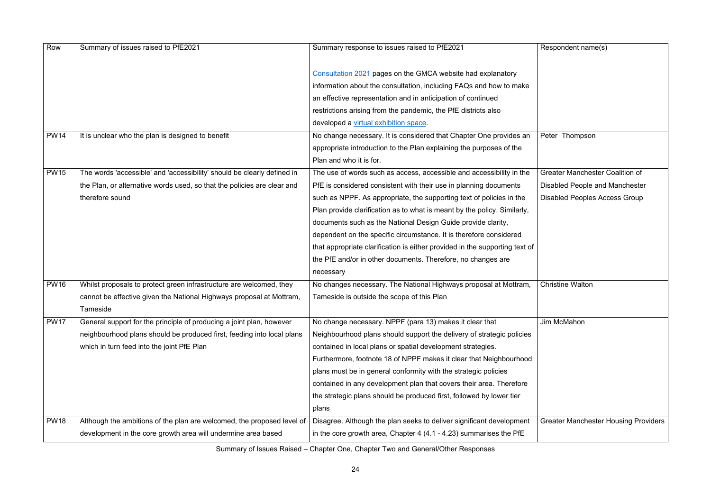| Respondent name(s) |  |  |
|--------------------|--|--|
|--------------------|--|--|

| Row         | Summary of issues raised to PfE2021                                     | Summary response to issues raised to PfE2021                                | Respondent name(s)         |
|-------------|-------------------------------------------------------------------------|-----------------------------------------------------------------------------|----------------------------|
|             |                                                                         |                                                                             |                            |
|             |                                                                         | Consultation 2021 pages on the GMCA website had explanatory                 |                            |
|             |                                                                         | information about the consultation, including FAQs and how to make          |                            |
|             |                                                                         | an effective representation and in anticipation of continued                |                            |
|             |                                                                         | restrictions arising from the pandemic, the PfE districts also              |                            |
|             |                                                                         | developed a virtual exhibition space.                                       |                            |
| <b>PW14</b> | It is unclear who the plan is designed to benefit                       | No change necessary. It is considered that Chapter One provides an          | Peter Thompson             |
|             |                                                                         | appropriate introduction to the Plan explaining the purposes of the         |                            |
|             |                                                                         | Plan and who it is for.                                                     |                            |
| <b>PW15</b> | The words 'accessible' and 'accessibility' should be clearly defined in | The use of words such as access, accessible and accessibility in the        | Greater Manchester         |
|             | the Plan, or alternative words used, so that the policies are clear and | PfE is considered consistent with their use in planning documents           | Disabled People and        |
|             | therefore sound                                                         | such as NPPF. As appropriate, the supporting text of policies in the        | <b>Disabled Peoples Ac</b> |
|             |                                                                         | Plan provide clarification as to what is meant by the policy. Similarly,    |                            |
|             |                                                                         | documents such as the National Design Guide provide clarity,                |                            |
|             |                                                                         | dependent on the specific circumstance. It is therefore considered          |                            |
|             |                                                                         | that appropriate clarification is either provided in the supporting text of |                            |
|             |                                                                         | the PfE and/or in other documents. Therefore, no changes are                |                            |
|             |                                                                         | necessary                                                                   |                            |
| <b>PW16</b> | Whilst proposals to protect green infrastructure are welcomed, they     | No changes necessary. The National Highways proposal at Mottram,            | <b>Christine Walton</b>    |
|             | cannot be effective given the National Highways proposal at Mottram,    | Tameside is outside the scope of this Plan                                  |                            |
|             | Tameside                                                                |                                                                             |                            |
| <b>PW17</b> | General support for the principle of producing a joint plan, however    | No change necessary. NPPF (para 13) makes it clear that                     | Jim McMahon                |
|             | neighbourhood plans should be produced first, feeding into local plans  | Neighbourhood plans should support the delivery of strategic policies       |                            |
|             | which in turn feed into the joint PfE Plan                              | contained in local plans or spatial development strategies.                 |                            |
|             |                                                                         | Furthermore, footnote 18 of NPPF makes it clear that Neighbourhood          |                            |
|             |                                                                         | plans must be in general conformity with the strategic policies             |                            |
|             |                                                                         | contained in any development plan that covers their area. Therefore         |                            |
|             |                                                                         | the strategic plans should be produced first, followed by lower tier        |                            |
|             |                                                                         | plans                                                                       |                            |
| <b>PW18</b> | Although the ambitions of the plan are welcomed, the proposed level of  | Disagree. Although the plan seeks to deliver significant development        | <b>Greater Manchester</b>  |
|             | development in the core growth area will undermine area based           | in the core growth area, Chapter 4 (4.1 - 4.23) summarises the PfE          |                            |

Greater Manchester Coalition of Disabled People and Manchester Disabled Peoples Access Group

Greater Manchester Housing Providers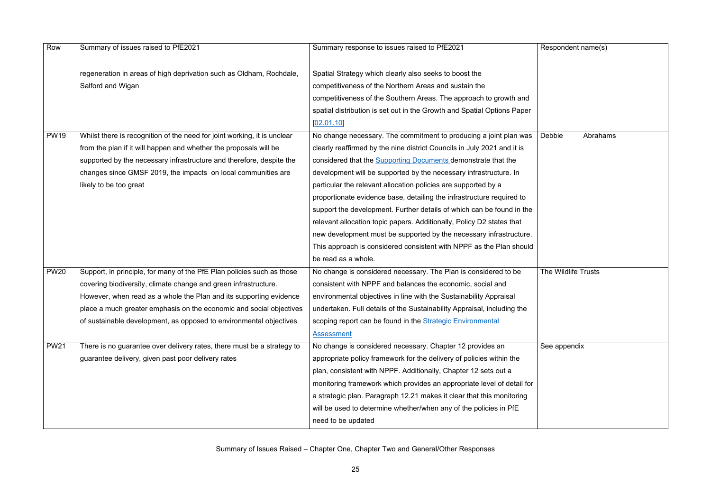| Respondent name(s)  |  |  |
|---------------------|--|--|
|                     |  |  |
| Debbie Abrahams     |  |  |
|                     |  |  |
| The Wildlife Trusts |  |  |
| See appendix        |  |  |
|                     |  |  |

| Row         | Summary of issues raised to PfE2021                                      | Summary response to issues raised to PfE2021                            | Respondent name(s)  |
|-------------|--------------------------------------------------------------------------|-------------------------------------------------------------------------|---------------------|
|             | regeneration in areas of high deprivation such as Oldham, Rochdale,      | Spatial Strategy which clearly also seeks to boost the                  |                     |
|             | Salford and Wigan                                                        | competitiveness of the Northern Areas and sustain the                   |                     |
|             |                                                                          | competitiveness of the Southern Areas. The approach to growth and       |                     |
|             |                                                                          | spatial distribution is set out in the Growth and Spatial Options Paper |                     |
|             |                                                                          | [02.01.10]                                                              |                     |
| <b>PW19</b> | Whilst there is recognition of the need for joint working, it is unclear | No change necessary. The commitment to producing a joint plan was       | Debbie<br>Abraha    |
|             | from the plan if it will happen and whether the proposals will be        | clearly reaffirmed by the nine district Councils in July 2021 and it is |                     |
|             | supported by the necessary infrastructure and therefore, despite the     | considered that the <b>Supporting Documents</b> demonstrate that the    |                     |
|             | changes since GMSF 2019, the impacts on local communities are            | development will be supported by the necessary infrastructure. In       |                     |
|             | likely to be too great                                                   | particular the relevant allocation policies are supported by a          |                     |
|             |                                                                          | proportionate evidence base, detailing the infrastructure required to   |                     |
|             |                                                                          | support the development. Further details of which can be found in the   |                     |
|             |                                                                          | relevant allocation topic papers. Additionally, Policy D2 states that   |                     |
|             |                                                                          | new development must be supported by the necessary infrastructure.      |                     |
|             |                                                                          | This approach is considered consistent with NPPF as the Plan should     |                     |
|             |                                                                          | be read as a whole.                                                     |                     |
| <b>PW20</b> | Support, in principle, for many of the PfE Plan policies such as those   | No change is considered necessary. The Plan is considered to be         | The Wildlife Trusts |
|             | covering biodiversity, climate change and green infrastructure.          | consistent with NPPF and balances the economic, social and              |                     |
|             | However, when read as a whole the Plan and its supporting evidence       | environmental objectives in line with the Sustainability Appraisal      |                     |
|             | place a much greater emphasis on the economic and social objectives      | undertaken. Full details of the Sustainability Appraisal, including the |                     |
|             | of sustainable development, as opposed to environmental objectives       | scoping report can be found in the Strategic Environmental              |                     |
|             |                                                                          | <b>Assessment</b>                                                       |                     |
| <b>PW21</b> | There is no guarantee over delivery rates, there must be a strategy to   | No change is considered necessary. Chapter 12 provides an               | See appendix        |
|             | guarantee delivery, given past poor delivery rates                       | appropriate policy framework for the delivery of policies within the    |                     |
|             |                                                                          | plan, consistent with NPPF. Additionally, Chapter 12 sets out a         |                     |
|             |                                                                          | monitoring framework which provides an appropriate level of detail for  |                     |
|             |                                                                          | a strategic plan. Paragraph 12.21 makes it clear that this monitoring   |                     |
|             |                                                                          | will be used to determine whether/when any of the policies in PfE       |                     |
|             |                                                                          | need to be updated                                                      |                     |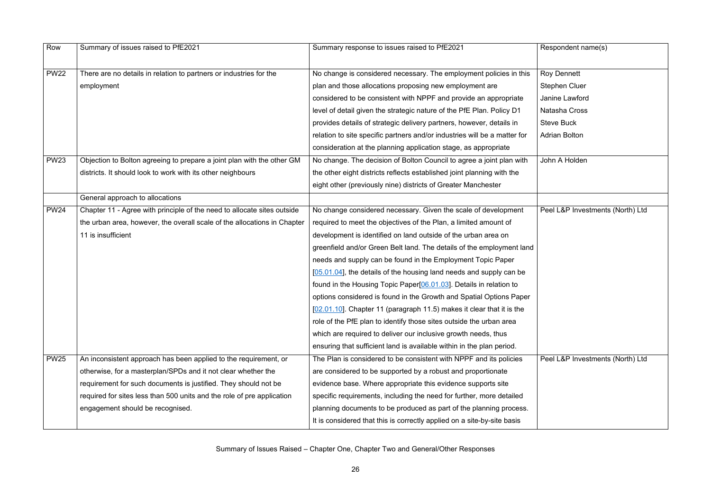$R$ espondent name(s)

Roy Dennett

Stephen Cluer

Janine Lawford

Natasha Cross

Steve Buck

Adrian Bolton

John A Holden

| Row         | Summary of issues raised to PfE2021                                                                                                                                                                                                                                                                                | Summary response to issues raised to PfE2021                                                                                                                                                                                                                                                                                                                                                                                                                                                                                                                                                                                                                                                                                                                                                                                                                                |
|-------------|--------------------------------------------------------------------------------------------------------------------------------------------------------------------------------------------------------------------------------------------------------------------------------------------------------------------|-----------------------------------------------------------------------------------------------------------------------------------------------------------------------------------------------------------------------------------------------------------------------------------------------------------------------------------------------------------------------------------------------------------------------------------------------------------------------------------------------------------------------------------------------------------------------------------------------------------------------------------------------------------------------------------------------------------------------------------------------------------------------------------------------------------------------------------------------------------------------------|
| <b>PW22</b> | There are no details in relation to partners or industries for the<br>employment                                                                                                                                                                                                                                   | No change is considered necessary. The employment policies in this<br>plan and those allocations proposing new employment are<br>considered to be consistent with NPPF and provide an appropriate<br>level of detail given the strategic nature of the PfE Plan. Policy D1<br>provides details of strategic delivery partners, however, details in<br>relation to site specific partners and/or industries will be a matter for                                                                                                                                                                                                                                                                                                                                                                                                                                             |
| <b>PW23</b> | Objection to Bolton agreeing to prepare a joint plan with the other GM<br>districts. It should look to work with its other neighbours                                                                                                                                                                              | consideration at the planning application stage, as appropriate<br>No change. The decision of Bolton Council to agree a joint plan with<br>the other eight districts reflects established joint planning with the<br>eight other (previously nine) districts of Greater Manchester                                                                                                                                                                                                                                                                                                                                                                                                                                                                                                                                                                                          |
|             | General approach to allocations                                                                                                                                                                                                                                                                                    |                                                                                                                                                                                                                                                                                                                                                                                                                                                                                                                                                                                                                                                                                                                                                                                                                                                                             |
| <b>PW24</b> | Chapter 11 - Agree with principle of the need to allocate sites outside<br>the urban area, however, the overall scale of the allocations in Chapter<br>11 is insufficient                                                                                                                                          | No change considered necessary. Given the scale of development<br>required to meet the objectives of the Plan, a limited amount of<br>development is identified on land outside of the urban area on<br>greenfield and/or Green Belt land. The details of the employment land<br>needs and supply can be found in the Employment Topic Paper<br>[05.01.04], the details of the housing land needs and supply can be<br>found in the Housing Topic Paper <sup>[06.01.03]</sup> . Details in relation to<br>options considered is found in the Growth and Spatial Options Paper<br>$[02.01.10]$ . Chapter 11 (paragraph 11.5) makes it clear that it is the<br>role of the PfE plan to identify those sites outside the urban area<br>which are required to deliver our inclusive growth needs, thus<br>ensuring that sufficient land is available within in the plan period. |
| <b>PW25</b> | An inconsistent approach has been applied to the requirement, or<br>otherwise, for a masterplan/SPDs and it not clear whether the<br>requirement for such documents is justified. They should not be<br>required for sites less than 500 units and the role of pre application<br>engagement should be recognised. | The Plan is considered to be consistent with NPPF and its policies<br>are considered to be supported by a robust and proportionate<br>evidence base. Where appropriate this evidence supports site<br>specific requirements, including the need for further, more detailed<br>planning documents to be produced as part of the planning process.<br>It is considered that this is correctly applied on a site-by-site basis                                                                                                                                                                                                                                                                                                                                                                                                                                                 |

Peel L&P Investments (North) Ltd

Peel L&P Investments (North) Ltd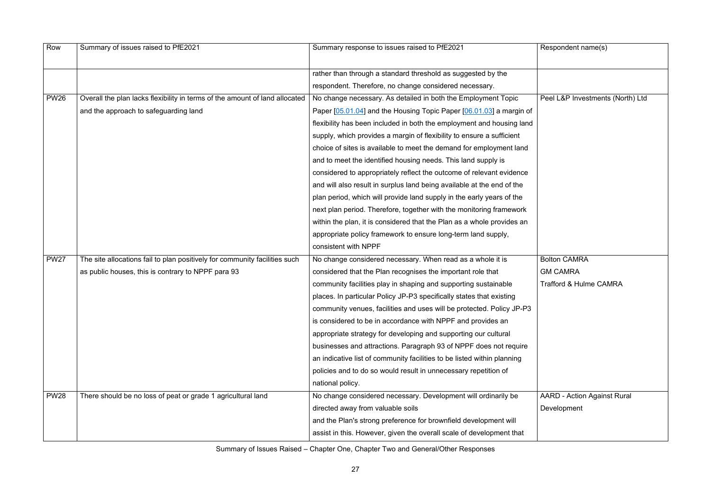Peel L&P Investments (North) Ltd

Bolton CAMRA

| Row         | Summary of issues raised to PfE2021                                         | Summary response to issues raised to PfE2021                            |
|-------------|-----------------------------------------------------------------------------|-------------------------------------------------------------------------|
|             |                                                                             | rather than through a standard threshold as suggested by the            |
|             |                                                                             | respondent. Therefore, no change considered necessary.                  |
| <b>PW26</b> | Overall the plan lacks flexibility in terms of the amount of land allocated | No change necessary. As detailed in both the Employment Topic           |
|             | and the approach to safeguarding land                                       | Paper [05.01.04] and the Housing Topic Paper [06.01.03] a margin of     |
|             |                                                                             | flexibility has been included in both the employment and housing land   |
|             |                                                                             | supply, which provides a margin of flexibility to ensure a sufficient   |
|             |                                                                             | choice of sites is available to meet the demand for employment land     |
|             |                                                                             | and to meet the identified housing needs. This land supply is           |
|             |                                                                             | considered to appropriately reflect the outcome of relevant evidence    |
|             |                                                                             | and will also result in surplus land being available at the end of the  |
|             |                                                                             | plan period, which will provide land supply in the early years of the   |
|             |                                                                             | next plan period. Therefore, together with the monitoring framework     |
|             |                                                                             | within the plan, it is considered that the Plan as a whole provides an  |
|             |                                                                             | appropriate policy framework to ensure long-term land supply,           |
|             |                                                                             | consistent with NPPF                                                    |
| <b>PW27</b> | The site allocations fail to plan positively for community facilities such  | No change considered necessary. When read as a whole it is              |
|             | as public houses, this is contrary to NPPF para 93                          | considered that the Plan recognises the important role that             |
|             |                                                                             | community facilities play in shaping and supporting sustainable         |
|             |                                                                             | places. In particular Policy JP-P3 specifically states that existing    |
|             |                                                                             | community venues, facilities and uses will be protected. Policy JP-P3   |
|             |                                                                             | is considered to be in accordance with NPPF and provides an             |
|             |                                                                             | appropriate strategy for developing and supporting our cultural         |
|             |                                                                             | businesses and attractions. Paragraph 93 of NPPF does not require       |
|             |                                                                             | an indicative list of community facilities to be listed within planning |
|             |                                                                             | policies and to do so would result in unnecessary repetition of         |
|             |                                                                             | national policy.                                                        |
| <b>PW28</b> | There should be no loss of peat or grade 1 agricultural land                | No change considered necessary. Development will ordinarily be          |
|             |                                                                             | directed away from valuable soils                                       |
|             |                                                                             | and the Plan's strong preference for brownfield development will        |
|             |                                                                             | assist in this. However, given the overall scale of development that    |

GM CAMRA Trafford & Hulme CAMRA

AARD - Action Against Rural

Development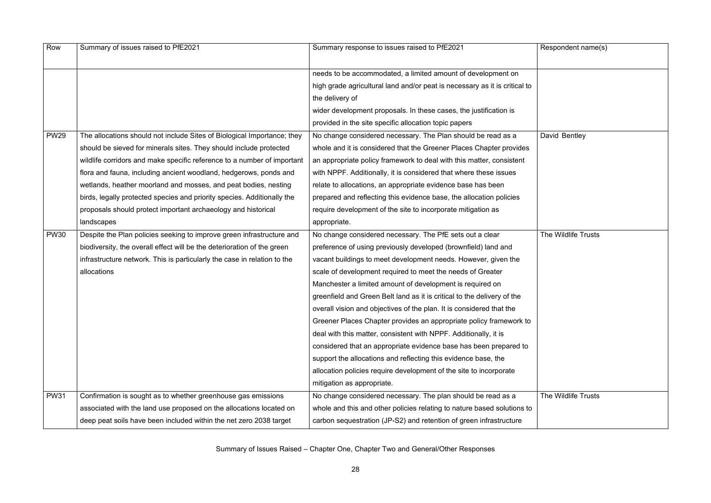| Row         | Summary of issues raised to PfE2021                                      | Summary response to issues raised to PfE2021                               | Respondent name(s)  |
|-------------|--------------------------------------------------------------------------|----------------------------------------------------------------------------|---------------------|
|             |                                                                          | needs to be accommodated, a limited amount of development on               |                     |
|             |                                                                          | high grade agricultural land and/or peat is necessary as it is critical to |                     |
|             |                                                                          | the delivery of                                                            |                     |
|             |                                                                          | wider development proposals. In these cases, the justification is          |                     |
|             |                                                                          | provided in the site specific allocation topic papers                      |                     |
| <b>PW29</b> | The allocations should not include Sites of Biological Importance; they  | No change considered necessary. The Plan should be read as a               | David Bentley       |
|             | should be sieved for minerals sites. They should include protected       | whole and it is considered that the Greener Places Chapter provides        |                     |
|             | wildlife corridors and make specific reference to a number of important  | an appropriate policy framework to deal with this matter, consistent       |                     |
|             | flora and fauna, including ancient woodland, hedgerows, ponds and        | with NPPF. Additionally, it is considered that where these issues          |                     |
|             | wetlands, heather moorland and mosses, and peat bodies, nesting          | relate to allocations, an appropriate evidence base has been               |                     |
|             | birds, legally protected species and priority species. Additionally the  | prepared and reflecting this evidence base, the allocation policies        |                     |
|             | proposals should protect important archaeology and historical            | require development of the site to incorporate mitigation as               |                     |
|             | landscapes                                                               | appropriate.                                                               |                     |
| <b>PW30</b> | Despite the Plan policies seeking to improve green infrastructure and    | No change considered necessary. The PfE sets out a clear                   | The Wildlife Trusts |
|             | biodiversity, the overall effect will be the deterioration of the green  | preference of using previously developed (brownfield) land and             |                     |
|             | infrastructure network. This is particularly the case in relation to the | vacant buildings to meet development needs. However, given the             |                     |
|             | allocations                                                              | scale of development required to meet the needs of Greater                 |                     |
|             |                                                                          | Manchester a limited amount of development is required on                  |                     |
|             |                                                                          | greenfield and Green Belt land as it is critical to the delivery of the    |                     |
|             |                                                                          | overall vision and objectives of the plan. It is considered that the       |                     |
|             |                                                                          | Greener Places Chapter provides an appropriate policy framework to         |                     |
|             |                                                                          | deal with this matter, consistent with NPPF. Additionally, it is           |                     |
|             |                                                                          | considered that an appropriate evidence base has been prepared to          |                     |
|             |                                                                          | support the allocations and reflecting this evidence base, the             |                     |
|             |                                                                          | allocation policies require development of the site to incorporate         |                     |
|             |                                                                          | mitigation as appropriate.                                                 |                     |
| <b>PW31</b> | Confirmation is sought as to whether greenhouse gas emissions            | No change considered necessary. The plan should be read as a               | The Wildlife Trusts |
|             | associated with the land use proposed on the allocations located on      | whole and this and other policies relating to nature based solutions to    |                     |
|             | deep peat soils have been included within the net zero 2038 target       | carbon sequestration (JP-S2) and retention of green infrastructure         |                     |

| Respondent name(s)  |
|---------------------|
|                     |
|                     |
|                     |
|                     |
|                     |
|                     |
|                     |
|                     |
|                     |
|                     |
| David Bentley       |
|                     |
|                     |
|                     |
|                     |
|                     |
|                     |
|                     |
|                     |
|                     |
|                     |
|                     |
| The Wildlife Trusts |
|                     |
|                     |
|                     |
|                     |
|                     |
|                     |
|                     |
|                     |
|                     |
|                     |
|                     |
|                     |
|                     |
|                     |
|                     |
|                     |
|                     |
|                     |
|                     |
|                     |
| The Wildlife Trusts |
|                     |
|                     |
|                     |
|                     |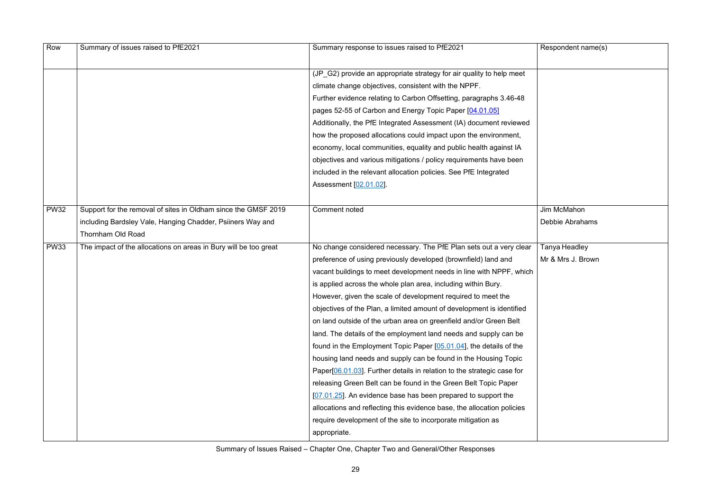Jim McMahon Debbie Abrahams

| Row         | Summary of issues raised to PfE2021                              | Summary response to issues raised to PfE2021                           |
|-------------|------------------------------------------------------------------|------------------------------------------------------------------------|
|             |                                                                  |                                                                        |
|             |                                                                  | (JP_G2) provide an appropriate strategy for air quality to help meet   |
|             |                                                                  | climate change objectives, consistent with the NPPF.                   |
|             |                                                                  | Further evidence relating to Carbon Offsetting, paragraphs 3.46-48     |
|             |                                                                  | pages 52-55 of Carbon and Energy Topic Paper [04.01.05]                |
|             |                                                                  | Additionally, the PfE Integrated Assessment (IA) document reviewed     |
|             |                                                                  | how the proposed allocations could impact upon the environment,        |
|             |                                                                  | economy, local communities, equality and public health against IA      |
|             |                                                                  | objectives and various mitigations / policy requirements have been     |
|             |                                                                  | included in the relevant allocation policies. See PfE Integrated       |
|             |                                                                  | Assessment [02.01.02].                                                 |
|             |                                                                  |                                                                        |
| <b>PW32</b> | Support for the removal of sites in Oldham since the GMSF 2019   | <b>Comment noted</b>                                                   |
|             | including Bardsley Vale, Hanging Chadder, Psiiners Way and       |                                                                        |
|             | <b>Thornham Old Road</b>                                         |                                                                        |
| <b>PW33</b> | The impact of the allocations on areas in Bury will be too great | No change considered necessary. The PfE Plan sets out a very clear     |
|             |                                                                  | preference of using previously developed (brownfield) land and         |
|             |                                                                  | vacant buildings to meet development needs in line with NPPF, which    |
|             |                                                                  | is applied across the whole plan area, including within Bury.          |
|             |                                                                  | However, given the scale of development required to meet the           |
|             |                                                                  | objectives of the Plan, a limited amount of development is identified  |
|             |                                                                  | on land outside of the urban area on greenfield and/or Green Belt      |
|             |                                                                  | land. The details of the employment land needs and supply can be       |
|             |                                                                  | found in the Employment Topic Paper [05.01.04], the details of the     |
|             |                                                                  | housing land needs and supply can be found in the Housing Topic        |
|             |                                                                  | Paper[06.01.03]. Further details in relation to the strategic case for |
|             |                                                                  | releasing Green Belt can be found in the Green Belt Topic Paper        |
|             |                                                                  | [07.01.25]. An evidence base has been prepared to support the          |
|             |                                                                  | allocations and reflecting this evidence base, the allocation policies |
|             |                                                                  | require development of the site to incorporate mitigation as           |
|             |                                                                  | appropriate.                                                           |

Tanya Headley Mr & Mrs J. Brown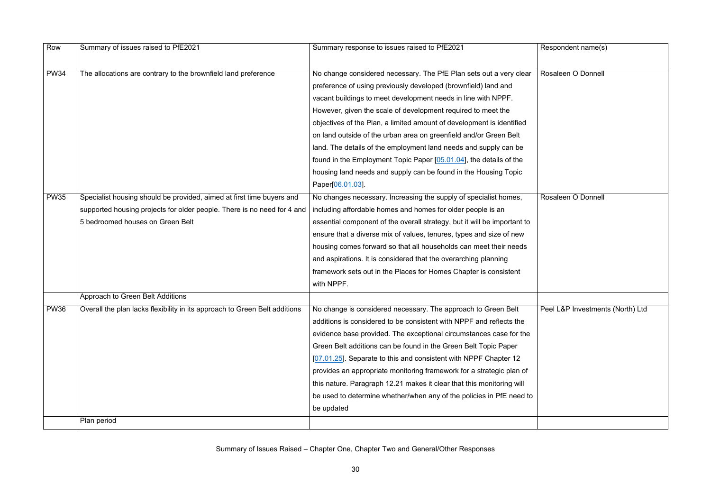Respondent name(s) Rosaleen O Donnell Rosaleen O Donnell Peel L&P Investments (North) Ltd

| Row         | Summary of issues raised to PfE2021                                                                                                        | Summary response to issues raised to PfE2021                             |
|-------------|--------------------------------------------------------------------------------------------------------------------------------------------|--------------------------------------------------------------------------|
|             |                                                                                                                                            |                                                                          |
| <b>PW34</b> | The allocations are contrary to the brownfield land preference                                                                             | No change considered necessary. The PfE Plan sets out a very clear       |
|             |                                                                                                                                            | preference of using previously developed (brownfield) land and           |
|             |                                                                                                                                            | vacant buildings to meet development needs in line with NPPF.            |
|             |                                                                                                                                            | However, given the scale of development required to meet the             |
|             |                                                                                                                                            | objectives of the Plan, a limited amount of development is identified    |
|             |                                                                                                                                            | on land outside of the urban area on greenfield and/or Green Belt        |
|             |                                                                                                                                            | land. The details of the employment land needs and supply can be         |
|             |                                                                                                                                            | found in the Employment Topic Paper [05.01.04], the details of the       |
|             |                                                                                                                                            | housing land needs and supply can be found in the Housing Topic          |
|             |                                                                                                                                            | Paper[06.01.03].                                                         |
| <b>PW35</b> | Specialist housing should be provided, aimed at first time buyers and                                                                      | No changes necessary. Increasing the supply of specialist homes,         |
|             | supported housing projects for older people. There is no need for 4 and                                                                    | including affordable homes and homes for older people is an              |
|             | 5 bedroomed houses on Green Belt                                                                                                           | essential component of the overall strategy, but it will be important to |
|             |                                                                                                                                            | ensure that a diverse mix of values, tenures, types and size of new      |
|             |                                                                                                                                            | housing comes forward so that all households can meet their needs        |
|             |                                                                                                                                            | and aspirations. It is considered that the overarching planning          |
|             |                                                                                                                                            | framework sets out in the Places for Homes Chapter is consistent         |
|             |                                                                                                                                            | with NPPF.                                                               |
|             | Approach to Green Belt Additions                                                                                                           |                                                                          |
| <b>PW36</b> | Overall the plan lacks flexibility in its approach to Green Belt additions   No change is considered necessary. The approach to Green Belt |                                                                          |
|             |                                                                                                                                            | additions is considered to be consistent with NPPF and reflects the      |
|             |                                                                                                                                            | evidence base provided. The exceptional circumstances case for the       |
|             |                                                                                                                                            | Green Belt additions can be found in the Green Belt Topic Paper          |
|             |                                                                                                                                            | [07.01.25]. Separate to this and consistent with NPPF Chapter 12         |
|             |                                                                                                                                            | provides an appropriate monitoring framework for a strategic plan of     |
|             |                                                                                                                                            | this nature. Paragraph 12.21 makes it clear that this monitoring will    |
|             |                                                                                                                                            | be used to determine whether/when any of the policies in PfE need to     |
|             |                                                                                                                                            | be updated                                                               |
|             | Plan period                                                                                                                                |                                                                          |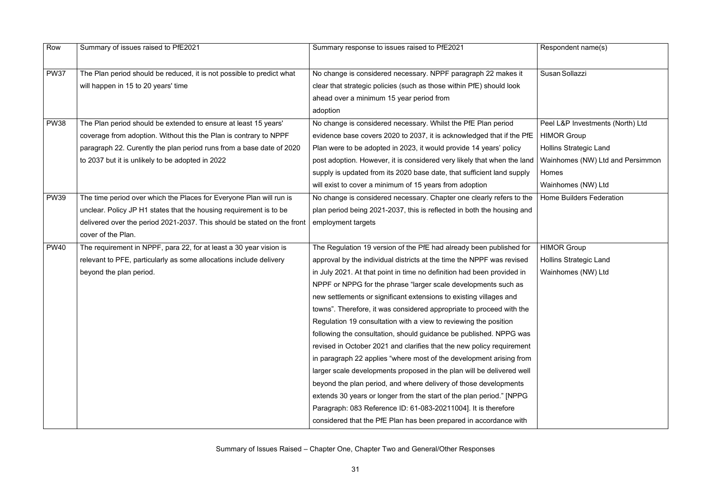$R$ espondent name(s)

Susan Sollazzi

Peel L&P Investments (North) Ltd HIMOR Group Hollins Strategic Land Wainhomes (NW) Ltd and Persimmon Homes Wainhomes (NW) Ltd Home Builders Federation

**HIMOR Group** Hollins Strategic Land Wainhomes (NW) Ltd

| Row                        | Summary of issues raised to PfE2021                                                                                                                                                                                                                                                                                                                                                                                                                                                                                                           | Summary response to issues raised to PfE2021                                                                                                                                                                                                                                                                                                                                                                                                                                                                                                                                                                                                                                                                                                                                                                                                                                                                                                                                                                                                                                                                                                                                                                                                                                                                                                                                                                                                                                          |
|----------------------------|-----------------------------------------------------------------------------------------------------------------------------------------------------------------------------------------------------------------------------------------------------------------------------------------------------------------------------------------------------------------------------------------------------------------------------------------------------------------------------------------------------------------------------------------------|---------------------------------------------------------------------------------------------------------------------------------------------------------------------------------------------------------------------------------------------------------------------------------------------------------------------------------------------------------------------------------------------------------------------------------------------------------------------------------------------------------------------------------------------------------------------------------------------------------------------------------------------------------------------------------------------------------------------------------------------------------------------------------------------------------------------------------------------------------------------------------------------------------------------------------------------------------------------------------------------------------------------------------------------------------------------------------------------------------------------------------------------------------------------------------------------------------------------------------------------------------------------------------------------------------------------------------------------------------------------------------------------------------------------------------------------------------------------------------------|
| <b>PW37</b>                | The Plan period should be reduced, it is not possible to predict what                                                                                                                                                                                                                                                                                                                                                                                                                                                                         | No change is considered necessary. NPPF paragraph 22 makes it                                                                                                                                                                                                                                                                                                                                                                                                                                                                                                                                                                                                                                                                                                                                                                                                                                                                                                                                                                                                                                                                                                                                                                                                                                                                                                                                                                                                                         |
|                            | will happen in 15 to 20 years' time                                                                                                                                                                                                                                                                                                                                                                                                                                                                                                           | clear that strategic policies (such as those within PfE) should look                                                                                                                                                                                                                                                                                                                                                                                                                                                                                                                                                                                                                                                                                                                                                                                                                                                                                                                                                                                                                                                                                                                                                                                                                                                                                                                                                                                                                  |
|                            |                                                                                                                                                                                                                                                                                                                                                                                                                                                                                                                                               | ahead over a minimum 15 year period from<br>adoption                                                                                                                                                                                                                                                                                                                                                                                                                                                                                                                                                                                                                                                                                                                                                                                                                                                                                                                                                                                                                                                                                                                                                                                                                                                                                                                                                                                                                                  |
| <b>PW38</b>                | The Plan period should be extended to ensure at least 15 years'                                                                                                                                                                                                                                                                                                                                                                                                                                                                               | No change is considered necessary. Whilst the PfE Plan period                                                                                                                                                                                                                                                                                                                                                                                                                                                                                                                                                                                                                                                                                                                                                                                                                                                                                                                                                                                                                                                                                                                                                                                                                                                                                                                                                                                                                         |
|                            | coverage from adoption. Without this the Plan is contrary to NPPF                                                                                                                                                                                                                                                                                                                                                                                                                                                                             | evidence base covers 2020 to 2037, it is acknowledged that if the PfE                                                                                                                                                                                                                                                                                                                                                                                                                                                                                                                                                                                                                                                                                                                                                                                                                                                                                                                                                                                                                                                                                                                                                                                                                                                                                                                                                                                                                 |
|                            |                                                                                                                                                                                                                                                                                                                                                                                                                                                                                                                                               |                                                                                                                                                                                                                                                                                                                                                                                                                                                                                                                                                                                                                                                                                                                                                                                                                                                                                                                                                                                                                                                                                                                                                                                                                                                                                                                                                                                                                                                                                       |
|                            |                                                                                                                                                                                                                                                                                                                                                                                                                                                                                                                                               |                                                                                                                                                                                                                                                                                                                                                                                                                                                                                                                                                                                                                                                                                                                                                                                                                                                                                                                                                                                                                                                                                                                                                                                                                                                                                                                                                                                                                                                                                       |
|                            |                                                                                                                                                                                                                                                                                                                                                                                                                                                                                                                                               |                                                                                                                                                                                                                                                                                                                                                                                                                                                                                                                                                                                                                                                                                                                                                                                                                                                                                                                                                                                                                                                                                                                                                                                                                                                                                                                                                                                                                                                                                       |
|                            |                                                                                                                                                                                                                                                                                                                                                                                                                                                                                                                                               |                                                                                                                                                                                                                                                                                                                                                                                                                                                                                                                                                                                                                                                                                                                                                                                                                                                                                                                                                                                                                                                                                                                                                                                                                                                                                                                                                                                                                                                                                       |
|                            |                                                                                                                                                                                                                                                                                                                                                                                                                                                                                                                                               |                                                                                                                                                                                                                                                                                                                                                                                                                                                                                                                                                                                                                                                                                                                                                                                                                                                                                                                                                                                                                                                                                                                                                                                                                                                                                                                                                                                                                                                                                       |
|                            |                                                                                                                                                                                                                                                                                                                                                                                                                                                                                                                                               |                                                                                                                                                                                                                                                                                                                                                                                                                                                                                                                                                                                                                                                                                                                                                                                                                                                                                                                                                                                                                                                                                                                                                                                                                                                                                                                                                                                                                                                                                       |
|                            |                                                                                                                                                                                                                                                                                                                                                                                                                                                                                                                                               |                                                                                                                                                                                                                                                                                                                                                                                                                                                                                                                                                                                                                                                                                                                                                                                                                                                                                                                                                                                                                                                                                                                                                                                                                                                                                                                                                                                                                                                                                       |
|                            |                                                                                                                                                                                                                                                                                                                                                                                                                                                                                                                                               |                                                                                                                                                                                                                                                                                                                                                                                                                                                                                                                                                                                                                                                                                                                                                                                                                                                                                                                                                                                                                                                                                                                                                                                                                                                                                                                                                                                                                                                                                       |
|                            |                                                                                                                                                                                                                                                                                                                                                                                                                                                                                                                                               |                                                                                                                                                                                                                                                                                                                                                                                                                                                                                                                                                                                                                                                                                                                                                                                                                                                                                                                                                                                                                                                                                                                                                                                                                                                                                                                                                                                                                                                                                       |
|                            |                                                                                                                                                                                                                                                                                                                                                                                                                                                                                                                                               |                                                                                                                                                                                                                                                                                                                                                                                                                                                                                                                                                                                                                                                                                                                                                                                                                                                                                                                                                                                                                                                                                                                                                                                                                                                                                                                                                                                                                                                                                       |
|                            |                                                                                                                                                                                                                                                                                                                                                                                                                                                                                                                                               |                                                                                                                                                                                                                                                                                                                                                                                                                                                                                                                                                                                                                                                                                                                                                                                                                                                                                                                                                                                                                                                                                                                                                                                                                                                                                                                                                                                                                                                                                       |
|                            |                                                                                                                                                                                                                                                                                                                                                                                                                                                                                                                                               |                                                                                                                                                                                                                                                                                                                                                                                                                                                                                                                                                                                                                                                                                                                                                                                                                                                                                                                                                                                                                                                                                                                                                                                                                                                                                                                                                                                                                                                                                       |
|                            |                                                                                                                                                                                                                                                                                                                                                                                                                                                                                                                                               |                                                                                                                                                                                                                                                                                                                                                                                                                                                                                                                                                                                                                                                                                                                                                                                                                                                                                                                                                                                                                                                                                                                                                                                                                                                                                                                                                                                                                                                                                       |
|                            |                                                                                                                                                                                                                                                                                                                                                                                                                                                                                                                                               |                                                                                                                                                                                                                                                                                                                                                                                                                                                                                                                                                                                                                                                                                                                                                                                                                                                                                                                                                                                                                                                                                                                                                                                                                                                                                                                                                                                                                                                                                       |
|                            |                                                                                                                                                                                                                                                                                                                                                                                                                                                                                                                                               |                                                                                                                                                                                                                                                                                                                                                                                                                                                                                                                                                                                                                                                                                                                                                                                                                                                                                                                                                                                                                                                                                                                                                                                                                                                                                                                                                                                                                                                                                       |
|                            |                                                                                                                                                                                                                                                                                                                                                                                                                                                                                                                                               |                                                                                                                                                                                                                                                                                                                                                                                                                                                                                                                                                                                                                                                                                                                                                                                                                                                                                                                                                                                                                                                                                                                                                                                                                                                                                                                                                                                                                                                                                       |
|                            |                                                                                                                                                                                                                                                                                                                                                                                                                                                                                                                                               |                                                                                                                                                                                                                                                                                                                                                                                                                                                                                                                                                                                                                                                                                                                                                                                                                                                                                                                                                                                                                                                                                                                                                                                                                                                                                                                                                                                                                                                                                       |
|                            |                                                                                                                                                                                                                                                                                                                                                                                                                                                                                                                                               |                                                                                                                                                                                                                                                                                                                                                                                                                                                                                                                                                                                                                                                                                                                                                                                                                                                                                                                                                                                                                                                                                                                                                                                                                                                                                                                                                                                                                                                                                       |
|                            |                                                                                                                                                                                                                                                                                                                                                                                                                                                                                                                                               |                                                                                                                                                                                                                                                                                                                                                                                                                                                                                                                                                                                                                                                                                                                                                                                                                                                                                                                                                                                                                                                                                                                                                                                                                                                                                                                                                                                                                                                                                       |
|                            |                                                                                                                                                                                                                                                                                                                                                                                                                                                                                                                                               |                                                                                                                                                                                                                                                                                                                                                                                                                                                                                                                                                                                                                                                                                                                                                                                                                                                                                                                                                                                                                                                                                                                                                                                                                                                                                                                                                                                                                                                                                       |
|                            |                                                                                                                                                                                                                                                                                                                                                                                                                                                                                                                                               |                                                                                                                                                                                                                                                                                                                                                                                                                                                                                                                                                                                                                                                                                                                                                                                                                                                                                                                                                                                                                                                                                                                                                                                                                                                                                                                                                                                                                                                                                       |
|                            |                                                                                                                                                                                                                                                                                                                                                                                                                                                                                                                                               |                                                                                                                                                                                                                                                                                                                                                                                                                                                                                                                                                                                                                                                                                                                                                                                                                                                                                                                                                                                                                                                                                                                                                                                                                                                                                                                                                                                                                                                                                       |
|                            |                                                                                                                                                                                                                                                                                                                                                                                                                                                                                                                                               | considered that the PfE Plan has been prepared in accordance with                                                                                                                                                                                                                                                                                                                                                                                                                                                                                                                                                                                                                                                                                                                                                                                                                                                                                                                                                                                                                                                                                                                                                                                                                                                                                                                                                                                                                     |
| <b>PW39</b><br><b>PW40</b> | paragraph 22. Curently the plan period runs from a base date of 2020<br>to 2037 but it is unlikely to be adopted in 2022<br>The time period over which the Places for Everyone Plan will run is<br>unclear. Policy JP H1 states that the housing requirement is to be<br>delivered over the period 2021-2037. This should be stated on the front<br>cover of the Plan.<br>The requirement in NPPF, para 22, for at least a 30 year vision is<br>relevant to PFE, particularly as some allocations include delivery<br>beyond the plan period. | Plan were to be adopted in 2023, it would provide 14 years' policy<br>post adoption. However, it is considered very likely that when the land<br>supply is updated from its 2020 base date, that sufficient land supply<br>will exist to cover a minimum of 15 years from adoption<br>No change is considered necessary. Chapter one clearly refers to the<br>plan period being 2021-2037, this is reflected in both the housing and<br>employment targets<br>The Regulation 19 version of the PfE had already been published for<br>approval by the individual districts at the time the NPPF was revised<br>in July 2021. At that point in time no definition had been provided in<br>NPPF or NPPG for the phrase "larger scale developments such as<br>new settlements or significant extensions to existing villages and<br>towns". Therefore, it was considered appropriate to proceed with the<br>Regulation 19 consultation with a view to reviewing the position<br>following the consultation, should guidance be published. NPPG was<br>revised in October 2021 and clarifies that the new policy requirement<br>in paragraph 22 applies "where most of the development arising from<br>larger scale developments proposed in the plan will be delivered well<br>beyond the plan period, and where delivery of those developments<br>extends 30 years or longer from the start of the plan period." [NPPG<br>Paragraph: 083 Reference ID: 61-083-20211004]. It is therefore |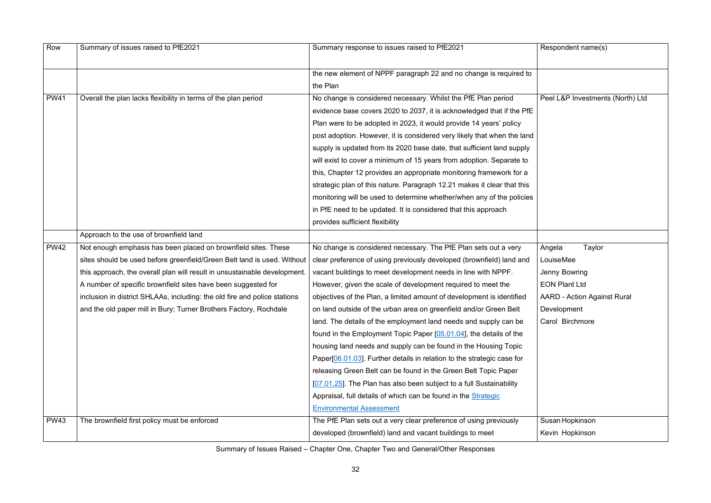#### Peel L&P Investments (North) Ltd

| Row         | Summary of issues raised to PfE2021                                       | Summary response to issues raised to PfE2021                            |
|-------------|---------------------------------------------------------------------------|-------------------------------------------------------------------------|
|             |                                                                           | the new element of NPPF paragraph 22 and no change is required to       |
|             |                                                                           | the Plan                                                                |
| <b>PW41</b> | Overall the plan lacks flexibility in terms of the plan period            | No change is considered necessary. Whilst the PfE Plan period           |
|             |                                                                           | evidence base covers 2020 to 2037, it is acknowledged that if the PfE   |
|             |                                                                           | Plan were to be adopted in 2023, it would provide 14 years' policy      |
|             |                                                                           | post adoption. However, it is considered very likely that when the land |
|             |                                                                           | supply is updated from its 2020 base date, that sufficient land supply  |
|             |                                                                           | will exist to cover a minimum of 15 years from adoption. Separate to    |
|             |                                                                           | this, Chapter 12 provides an appropriate monitoring framework for a     |
|             |                                                                           | strategic plan of this nature. Paragraph 12.21 makes it clear that this |
|             |                                                                           | monitoring will be used to determine whether/when any of the policies   |
|             |                                                                           | in PfE need to be updated. It is considered that this approach          |
|             |                                                                           | provides sufficient flexibility                                         |
|             | Approach to the use of brownfield land                                    |                                                                         |
| <b>PW42</b> | Not enough emphasis has been placed on brownfield sites. These            | No change is considered necessary. The PfE Plan sets out a very         |
|             | sites should be used before greenfield/Green Belt land is used. Without   | clear preference of using previously developed (brownfield) land and    |
|             | this approach, the overall plan will result in unsustainable development. | vacant buildings to meet development needs in line with NPPF.           |
|             | A number of specific brownfield sites have been suggested for             | However, given the scale of development required to meet the            |
|             | inclusion in district SHLAAs, including: the old fire and police stations | objectives of the Plan, a limited amount of development is identified   |
|             | and the old paper mill in Bury; Turner Brothers Factory, Rochdale         | on land outside of the urban area on greenfield and/or Green Belt       |
|             |                                                                           | land. The details of the employment land needs and supply can be        |
|             |                                                                           | found in the Employment Topic Paper [05.01.04], the details of the      |
|             |                                                                           | housing land needs and supply can be found in the Housing Topic         |
|             |                                                                           | Paper[06.01.03]. Further details in relation to the strategic case for  |
|             |                                                                           | releasing Green Belt can be found in the Green Belt Topic Paper         |
|             |                                                                           | [07.01.25]. The Plan has also been subject to a full Sustainability     |
|             |                                                                           | Appraisal, full details of which can be found in the Strategic          |
|             |                                                                           | <b>Environmental Assessment</b>                                         |
| <b>PW43</b> | The brownfield first policy must be enforced                              | The PfE Plan sets out a very clear preference of using previously       |
|             |                                                                           | developed (brownfield) land and vacant buildings to meet                |

- LouiseMee
- Jenny Bowring
- EON Plant Ltd
- AARD Action Against Rural
- Development
- Carol Birchmore

Susan Hopkinson Kevin Hopkinson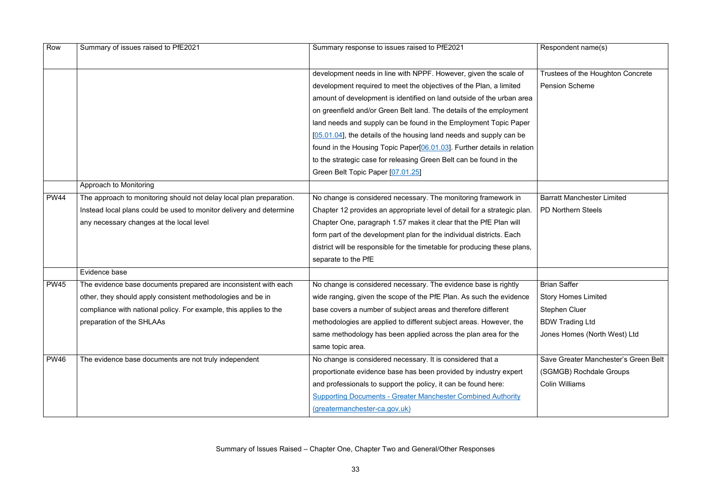Respondent name(s)

Trustees of the Houghton Concrete Pension Scheme

| Row         | Summary of issues raised to PfE2021                                 | Summary response to issues raised to PfE2021                              |
|-------------|---------------------------------------------------------------------|---------------------------------------------------------------------------|
|             |                                                                     |                                                                           |
|             |                                                                     | development needs in line with NPPF. However, given the scale of          |
|             |                                                                     | development required to meet the objectives of the Plan, a limited        |
|             |                                                                     | amount of development is identified on land outside of the urban area     |
|             |                                                                     | on greenfield and/or Green Belt land. The details of the employment       |
|             |                                                                     | land needs and supply can be found in the Employment Topic Paper          |
|             |                                                                     | $[05.01.04]$ , the details of the housing land needs and supply can be    |
|             |                                                                     | found in the Housing Topic Paper[06.01.03]. Further details in relation   |
|             |                                                                     | to the strategic case for releasing Green Belt can be found in the        |
|             |                                                                     | Green Belt Topic Paper [07.01.25]                                         |
|             | Approach to Monitoring                                              |                                                                           |
| <b>PW44</b> | The approach to monitoring should not delay local plan preparation. | No change is considered necessary. The monitoring framework in            |
|             | Instead local plans could be used to monitor delivery and determine | Chapter 12 provides an appropriate level of detail for a strategic plan.  |
|             | any necessary changes at the local level                            | Chapter One, paragraph 1.57 makes it clear that the PfE Plan will         |
|             |                                                                     | form part of the development plan for the individual districts. Each      |
|             |                                                                     | district will be responsible for the timetable for producing these plans, |
|             |                                                                     | separate to the PfE                                                       |
|             | Evidence base                                                       |                                                                           |
| <b>PW45</b> | The evidence base documents prepared are inconsistent with each     | No change is considered necessary. The evidence base is rightly           |
|             | other, they should apply consistent methodologies and be in         | wide ranging, given the scope of the PfE Plan. As such the evidence       |
|             | compliance with national policy. For example, this applies to the   | base covers a number of subject areas and therefore different             |
|             | preparation of the SHLAAs                                           | methodologies are applied to different subject areas. However, the        |
|             |                                                                     | same methodology has been applied across the plan area for the            |
|             |                                                                     | same topic area.                                                          |
| <b>PW46</b> | The evidence base documents are not truly independent               | No change is considered necessary. It is considered that a                |
|             |                                                                     | proportionate evidence base has been provided by industry expert          |
|             |                                                                     | and professionals to support the policy, it can be found here:            |
|             |                                                                     | <b>Supporting Documents - Greater Manchester Combined Authority</b>       |
|             |                                                                     | (greatermanchester-ca.gov.uk)                                             |

#### Barratt Manchester Limited PD Northern Steels

- Brian Saffer
- Story Homes Limited
- Stephen Cluer
- BDW Trading Ltd
- Jones Homes (North West) Ltd

Save Greater Manchester's Green Belt (SGMGB) Rochdale Groups Colin Williams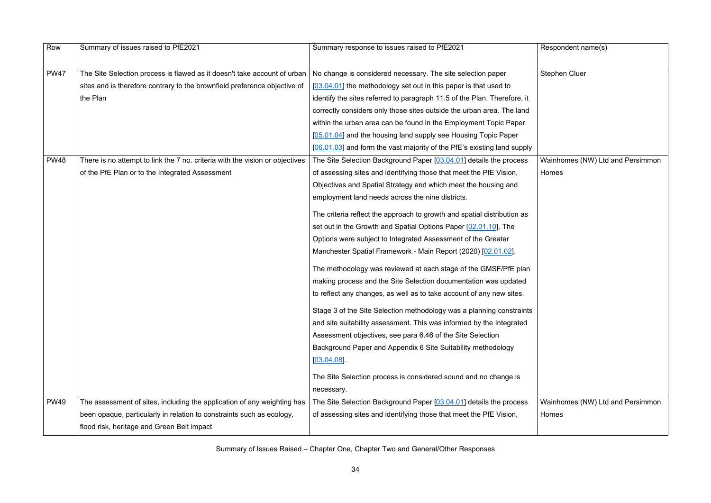$R$ espondent name(s)

Stephen Cluer

| Row         | Summary of issues raised to PfE2021                                          | Summary response to issues raised to PfE2021                             |
|-------------|------------------------------------------------------------------------------|--------------------------------------------------------------------------|
|             |                                                                              |                                                                          |
| <b>PW47</b> | The Site Selection process is flawed as it doesn't take account of urban     | No change is considered necessary. The site selection paper              |
|             | sites and is therefore contrary to the brownfield preference objective of    | [03.04.01] the methodology set out in this paper is that used to         |
|             | the Plan                                                                     | identify the sites referred to paragraph 11.5 of the Plan. Therefore, it |
|             |                                                                              | correctly considers only those sites outside the urban area. The land    |
|             |                                                                              | within the urban area can be found in the Employment Topic Paper         |
|             |                                                                              | [05.01.04] and the housing land supply see Housing Topic Paper           |
|             |                                                                              | [06.01.03] and form the vast majority of the PfE's existing land supply  |
| <b>PW48</b> | There is no attempt to link the 7 no. criteria with the vision or objectives | The Site Selection Background Paper [03.04.01] details the process       |
|             | of the PfE Plan or to the Integrated Assessment                              | of assessing sites and identifying those that meet the PfE Vision,       |
|             |                                                                              | Objectives and Spatial Strategy and which meet the housing and           |
|             |                                                                              | employment land needs across the nine districts.                         |
|             |                                                                              | The criteria reflect the approach to growth and spatial distribution as  |
|             |                                                                              | set out in the Growth and Spatial Options Paper [02.01.10]. The          |
|             |                                                                              | Options were subject to Integrated Assessment of the Greater             |
|             |                                                                              | Manchester Spatial Framework - Main Report (2020) [02.01.02].            |
|             |                                                                              | The methodology was reviewed at each stage of the GMSF/PfE plan          |
|             |                                                                              | making process and the Site Selection documentation was updated          |
|             |                                                                              | to reflect any changes, as well as to take account of any new sites.     |
|             |                                                                              | Stage 3 of the Site Selection methodology was a planning constraints     |
|             |                                                                              | and site suitability assessment. This was informed by the Integrated     |
|             |                                                                              | Assessment objectives, see para 6.46 of the Site Selection               |
|             |                                                                              | Background Paper and Appendix 6 Site Suitability methodology             |
|             |                                                                              | $[03.04.08]$ .                                                           |
|             |                                                                              | The Site Selection process is considered sound and no change is          |
|             |                                                                              | necessary.                                                               |
| <b>PW49</b> | The assessment of sites, including the application of any weighting has      | The Site Selection Background Paper [03.04.01] details the process       |
|             | been opaque, particularly in relation to constraints such as ecology,        | of assessing sites and identifying those that meet the PfE Vision,       |
|             | flood risk, heritage and Green Belt impact                                   |                                                                          |

Wainhomes (NW) Ltd and Persimmon Homes

Wainhomes (NW) Ltd and Persimmon Homes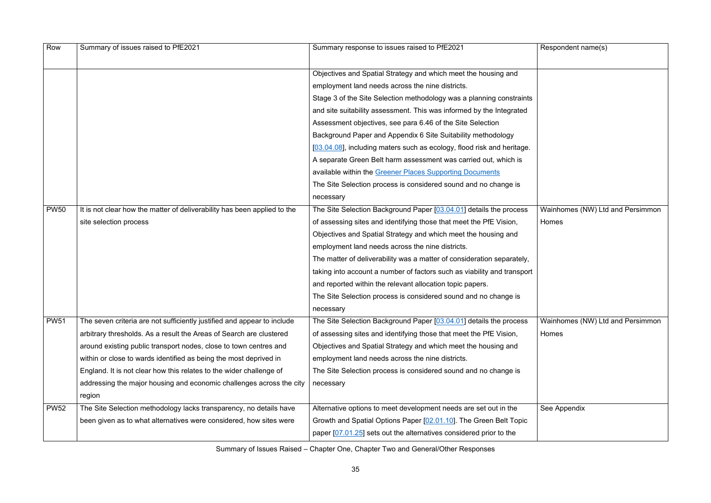| Row         | Summary of issues raised to PfE2021                                      | Summary response to issues raised to PfE2021                            |
|-------------|--------------------------------------------------------------------------|-------------------------------------------------------------------------|
|             |                                                                          |                                                                         |
|             |                                                                          | Objectives and Spatial Strategy and which meet the housing and          |
|             |                                                                          | employment land needs across the nine districts.                        |
|             |                                                                          | Stage 3 of the Site Selection methodology was a planning constraints    |
|             |                                                                          | and site suitability assessment. This was informed by the Integrated    |
|             |                                                                          | Assessment objectives, see para 6.46 of the Site Selection              |
|             |                                                                          | Background Paper and Appendix 6 Site Suitability methodology            |
|             |                                                                          | [03.04.08], including maters such as ecology, flood risk and heritage.  |
|             |                                                                          | A separate Green Belt harm assessment was carried out, which is         |
|             |                                                                          | available within the Greener Places Supporting Documents                |
|             |                                                                          | The Site Selection process is considered sound and no change is         |
|             |                                                                          | necessary                                                               |
| <b>PW50</b> | It is not clear how the matter of deliverability has been applied to the | The Site Selection Background Paper [03.04.01] details the process      |
|             | site selection process                                                   | of assessing sites and identifying those that meet the PfE Vision,      |
|             |                                                                          | Objectives and Spatial Strategy and which meet the housing and          |
|             |                                                                          | employment land needs across the nine districts.                        |
|             |                                                                          | The matter of deliverability was a matter of consideration separately,  |
|             |                                                                          | taking into account a number of factors such as viability and transport |
|             |                                                                          | and reported within the relevant allocation topic papers.               |
|             |                                                                          | The Site Selection process is considered sound and no change is         |
|             |                                                                          | necessary                                                               |
| <b>PW51</b> | The seven criteria are not sufficiently justified and appear to include  | The Site Selection Background Paper [03.04.01] details the process      |
|             | arbitrary thresholds. As a result the Areas of Search are clustered      | of assessing sites and identifying those that meet the PfE Vision,      |
|             | around existing public transport nodes, close to town centres and        | Objectives and Spatial Strategy and which meet the housing and          |
|             | within or close to wards identified as being the most deprived in        | employment land needs across the nine districts.                        |
|             | England. It is not clear how this relates to the wider challenge of      | The Site Selection process is considered sound and no change is         |
|             | addressing the major housing and economic challenges across the city     | necessary                                                               |
|             | region                                                                   |                                                                         |
| <b>PW52</b> | The Site Selection methodology lacks transparency, no details have       | Alternative options to meet development needs are set out in the        |
|             | been given as to what alternatives were considered, how sites were       | Growth and Spatial Options Paper [02.01.10]. The Green Belt Topic       |
|             |                                                                          | paper [07.01.25] sets out the alternatives considered prior to the      |

Wainhomes (NW) Ltd and Persimmon Homes

Wainhomes (NW) Ltd and Persimmon Homes

See Appendix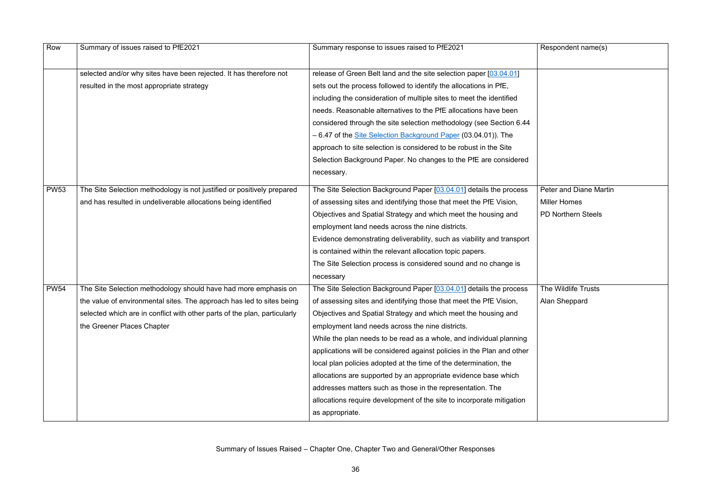| Row         | Summary of issues raised to PfE2021                                       | Summary response to issues raised to PfE2021                           |
|-------------|---------------------------------------------------------------------------|------------------------------------------------------------------------|
|             |                                                                           |                                                                        |
|             | selected and/or why sites have been rejected. It has therefore not        | release of Green Belt land and the site selection paper [03.04.01]     |
|             | resulted in the most appropriate strategy                                 | sets out the process followed to identify the allocations in PfE,      |
|             |                                                                           | including the consideration of multiple sites to meet the identified   |
|             |                                                                           | needs. Reasonable alternatives to the PfE allocations have been        |
|             |                                                                           | considered through the site selection methodology (see Section 6.44    |
|             |                                                                           | - 6.47 of the Site Selection Background Paper (03.04.01)). The         |
|             |                                                                           | approach to site selection is considered to be robust in the Site      |
|             |                                                                           | Selection Background Paper. No changes to the PfE are considered       |
|             |                                                                           | necessary.                                                             |
| <b>PW53</b> | The Site Selection methodology is not justified or positively prepared    | The Site Selection Background Paper [03.04.01] details the process     |
|             | and has resulted in undeliverable allocations being identified            | of assessing sites and identifying those that meet the PfE Vision,     |
|             |                                                                           | Objectives and Spatial Strategy and which meet the housing and         |
|             |                                                                           | employment land needs across the nine districts.                       |
|             |                                                                           | Evidence demonstrating deliverability, such as viability and transport |
|             |                                                                           | is contained within the relevant allocation topic papers.              |
|             |                                                                           | The Site Selection process is considered sound and no change is        |
|             |                                                                           | necessary                                                              |
| <b>PW54</b> | The Site Selection methodology should have had more emphasis on           | The Site Selection Background Paper [03.04.01] details the process     |
|             | the value of environmental sites. The approach has led to sites being     | of assessing sites and identifying those that meet the PfE Vision,     |
|             | selected which are in conflict with other parts of the plan, particularly | Objectives and Spatial Strategy and which meet the housing and         |
|             | the Greener Places Chapter                                                | employment land needs across the nine districts.                       |
|             |                                                                           | While the plan needs to be read as a whole, and individual planning    |
|             |                                                                           | applications will be considered against policies in the Plan and other |
|             |                                                                           | local plan policies adopted at the time of the determination, the      |
|             |                                                                           | allocations are supported by an appropriate evidence base which        |
|             |                                                                           | addresses matters such as those in the representation. The             |
|             |                                                                           | allocations require development of the site to incorporate mitigation  |
|             |                                                                           | as appropriate.                                                        |

# Peter and Diane Martin Miller Homes PD Northern Steels

The Wildlife Trusts Alan Sheppard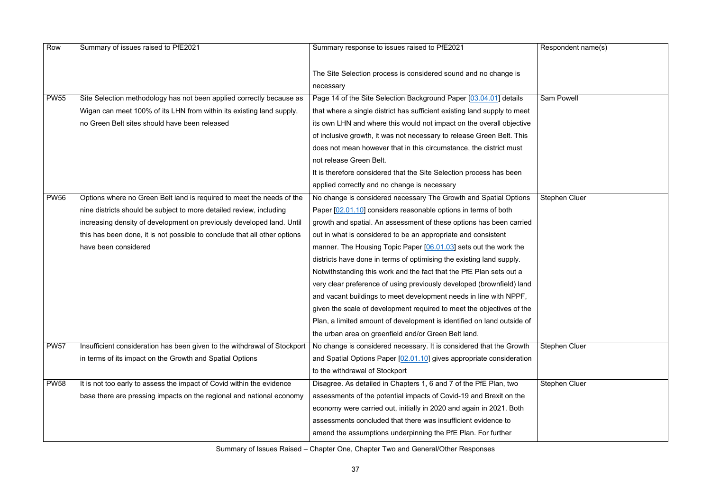Respondent name(s) Sam Powell Stephen Cluer Stephen Cluer Stephen Cluer

| Row         | Summary of issues raised to PfE2021                                       | Summary response to issues raised to PfE2021                             |
|-------------|---------------------------------------------------------------------------|--------------------------------------------------------------------------|
|             |                                                                           |                                                                          |
|             |                                                                           | The Site Selection process is considered sound and no change is          |
|             |                                                                           |                                                                          |
|             |                                                                           | necessary                                                                |
| <b>PW55</b> | Site Selection methodology has not been applied correctly because as      | Page 14 of the Site Selection Background Paper [03.04.01] details        |
|             | Wigan can meet 100% of its LHN from within its existing land supply,      | that where a single district has sufficient existing land supply to meet |
|             | no Green Belt sites should have been released                             | its own LHN and where this would not impact on the overall objective     |
|             |                                                                           | of inclusive growth, it was not necessary to release Green Belt. This    |
|             |                                                                           | does not mean however that in this circumstance, the district must       |
|             |                                                                           | not release Green Belt.                                                  |
|             |                                                                           | It is therefore considered that the Site Selection process has been      |
|             |                                                                           | applied correctly and no change is necessary                             |
| <b>PW56</b> | Options where no Green Belt land is required to meet the needs of the     | No change is considered necessary The Growth and Spatial Options         |
|             | nine districts should be subject to more detailed review, including       | Paper [02.01.10] considers reasonable options in terms of both           |
|             | increasing density of development on previously developed land. Until     | growth and spatial. An assessment of these options has been carried      |
|             | this has been done, it is not possible to conclude that all other options | out in what is considered to be an appropriate and consistent            |
|             | have been considered                                                      | manner. The Housing Topic Paper [06.01.03] sets out the work the         |
|             |                                                                           | districts have done in terms of optimising the existing land supply.     |
|             |                                                                           | Notwithstanding this work and the fact that the PfE Plan sets out a      |
|             |                                                                           | very clear preference of using previously developed (brownfield) land    |
|             |                                                                           | and vacant buildings to meet development needs in line with NPPF,        |
|             |                                                                           | given the scale of development required to meet the objectives of the    |
|             |                                                                           | Plan, a limited amount of development is identified on land outside of   |
|             |                                                                           | the urban area on greenfield and/or Green Belt land.                     |
| <b>PW57</b> | Insufficient consideration has been given to the withdrawal of Stockport  | No change is considered necessary. It is considered that the Growth      |
|             | in terms of its impact on the Growth and Spatial Options                  | and Spatial Options Paper [02.01.10] gives appropriate consideration     |
|             |                                                                           | to the withdrawal of Stockport                                           |
| <b>PW58</b> | It is not too early to assess the impact of Covid within the evidence     | Disagree. As detailed in Chapters 1, 6 and 7 of the PfE Plan, two        |
|             | base there are pressing impacts on the regional and national economy      | assessments of the potential impacts of Covid-19 and Brexit on the       |
|             |                                                                           | economy were carried out, initially in 2020 and again in 2021. Both      |
|             |                                                                           | assessments concluded that there was insufficient evidence to            |
|             |                                                                           | amend the assumptions underpinning the PfE Plan. For further             |
|             |                                                                           |                                                                          |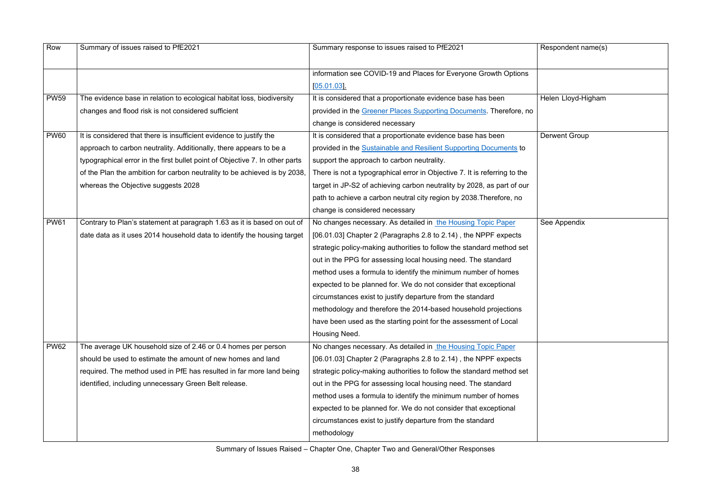| Respondent name(s)   |  |  |
|----------------------|--|--|
|                      |  |  |
| Helen Lloyd-Higham   |  |  |
| <b>Derwent Group</b> |  |  |
| See Appendix         |  |  |
|                      |  |  |

| Row         | Summary of issues raised to PfE2021                                          | Summary response to issues raised to PfE2021                              | Respondent name(s)   |
|-------------|------------------------------------------------------------------------------|---------------------------------------------------------------------------|----------------------|
|             |                                                                              | information see COVID-19 and Places for Everyone Growth Options           |                      |
|             |                                                                              | [05.01.03]                                                                |                      |
| <b>PW59</b> | The evidence base in relation to ecological habitat loss, biodiversity       | It is considered that a proportionate evidence base has been              | Helen Lloyd-Higham   |
|             | changes and flood risk is not considered sufficient                          | provided in the Greener Places Supporting Documents. Therefore, no        |                      |
|             |                                                                              | change is considered necessary                                            |                      |
| <b>PW60</b> | It is considered that there is insufficient evidence to justify the          | It is considered that a proportionate evidence base has been              | <b>Derwent Group</b> |
|             | approach to carbon neutrality. Additionally, there appears to be a           | provided in the Sustainable and Resilient Supporting Documents to         |                      |
|             | typographical error in the first bullet point of Objective 7. In other parts | support the approach to carbon neutrality.                                |                      |
|             | of the Plan the ambition for carbon neutrality to be achieved is by 2038,    | There is not a typographical error in Objective 7. It is referring to the |                      |
|             | whereas the Objective suggests 2028                                          | target in JP-S2 of achieving carbon neutrality by 2028, as part of our    |                      |
|             |                                                                              | path to achieve a carbon neutral city region by 2038. Therefore, no       |                      |
|             |                                                                              | change is considered necessary                                            |                      |
| <b>PW61</b> | Contrary to Plan's statement at paragraph 1.63 as it is based on out of      | No changes necessary. As detailed in the Housing Topic Paper              | See Appendix         |
|             | date data as it uses 2014 household data to identify the housing target      | [06.01.03] Chapter 2 (Paragraphs 2.8 to 2.14), the NPPF expects           |                      |
|             |                                                                              | strategic policy-making authorities to follow the standard method set     |                      |
|             |                                                                              | out in the PPG for assessing local housing need. The standard             |                      |
|             |                                                                              | method uses a formula to identify the minimum number of homes             |                      |
|             |                                                                              | expected to be planned for. We do not consider that exceptional           |                      |
|             |                                                                              | circumstances exist to justify departure from the standard                |                      |
|             |                                                                              | methodology and therefore the 2014-based household projections            |                      |
|             |                                                                              | have been used as the starting point for the assessment of Local          |                      |
|             |                                                                              | Housing Need.                                                             |                      |
| <b>PW62</b> | The average UK household size of 2.46 or 0.4 homes per person                | No changes necessary. As detailed in the Housing Topic Paper              |                      |
|             | should be used to estimate the amount of new homes and land                  | [06.01.03] Chapter 2 (Paragraphs 2.8 to 2.14), the NPPF expects           |                      |
|             | required. The method used in PfE has resulted in far more land being         | strategic policy-making authorities to follow the standard method set     |                      |
|             | identified, including unnecessary Green Belt release.                        | out in the PPG for assessing local housing need. The standard             |                      |
|             |                                                                              | method uses a formula to identify the minimum number of homes             |                      |
|             |                                                                              | expected to be planned for. We do not consider that exceptional           |                      |
|             |                                                                              | circumstances exist to justify departure from the standard                |                      |
|             |                                                                              | methodology                                                               |                      |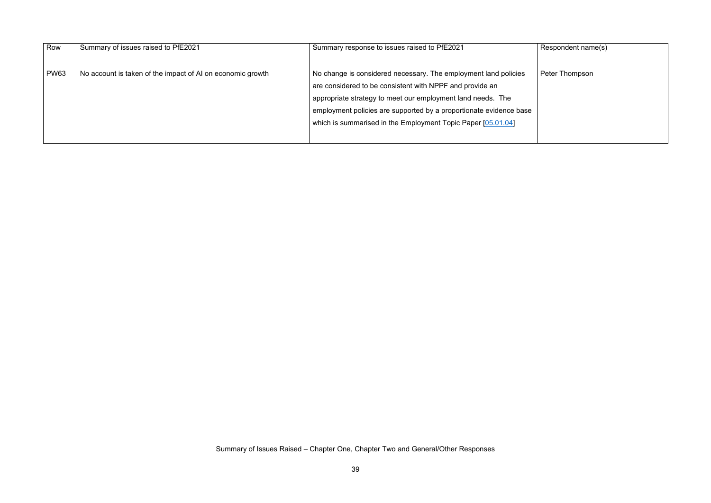Respondent name(s)

Peter Thompson

| Row         | Summary of issues raised to PfE2021                        | Summary response to issues raised to PfE2021                                                                                                                                                                                                                                                                                     |
|-------------|------------------------------------------------------------|----------------------------------------------------------------------------------------------------------------------------------------------------------------------------------------------------------------------------------------------------------------------------------------------------------------------------------|
| <b>PW63</b> | No account is taken of the impact of AI on economic growth | No change is considered necessary. The employment land policies<br>are considered to be consistent with NPPF and provide an<br>appropriate strategy to meet our employment land needs. The<br>employment policies are supported by a proportionate evidence base<br>which is summarised in the Employment Topic Paper [05.01.04] |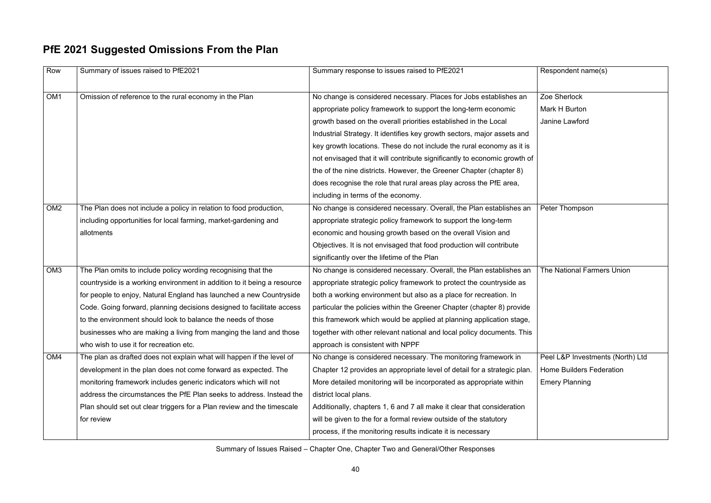$R$ espondent name(s)

# **PfE 2021 Suggested Omissions From the Plan**

Zoe Sherlock Mark H Burton Janine Lawford

Peter Thompson

| Row             | Summary of issues raised to PfE2021                                     | Summary response to issues raised to PfE2021                              |
|-----------------|-------------------------------------------------------------------------|---------------------------------------------------------------------------|
| OM <sub>1</sub> | Omission of reference to the rural economy in the Plan                  | No change is considered necessary. Places for Jobs establishes an         |
|                 |                                                                         | appropriate policy framework to support the long-term economic            |
|                 |                                                                         | growth based on the overall priorities established in the Local           |
|                 |                                                                         | Industrial Strategy. It identifies key growth sectors, major assets and   |
|                 |                                                                         | key growth locations. These do not include the rural economy as it is     |
|                 |                                                                         | not envisaged that it will contribute significantly to economic growth of |
|                 |                                                                         | the of the nine districts. However, the Greener Chapter (chapter 8)       |
|                 |                                                                         | does recognise the role that rural areas play across the PfE area,        |
|                 |                                                                         | including in terms of the economy.                                        |
| OM <sub>2</sub> | The Plan does not include a policy in relation to food production,      | No change is considered necessary. Overall, the Plan establishes an       |
|                 | including opportunities for local farming, market-gardening and         | appropriate strategic policy framework to support the long-term           |
|                 | allotments                                                              | economic and housing growth based on the overall Vision and               |
|                 |                                                                         | Objectives. It is not envisaged that food production will contribute      |
|                 |                                                                         | significantly over the lifetime of the Plan                               |
| OM <sub>3</sub> | The Plan omits to include policy wording recognising that the           | No change is considered necessary. Overall, the Plan establishes an       |
|                 | countryside is a working environment in addition to it being a resource | appropriate strategic policy framework to protect the countryside as      |
|                 | for people to enjoy, Natural England has launched a new Countryside     | both a working environment but also as a place for recreation. In         |
|                 | Code. Going forward, planning decisions designed to facilitate access   | particular the policies within the Greener Chapter (chapter 8) provide    |
|                 | to the environment should look to balance the needs of those            | this framework which would be applied at planning application stage,      |
|                 | businesses who are making a living from manging the land and those      | together with other relevant national and local policy documents. This    |
|                 | who wish to use it for recreation etc.                                  | approach is consistent with NPPF                                          |
| OM4             | The plan as drafted does not explain what will happen if the level of   | No change is considered necessary. The monitoring framework in            |
|                 | development in the plan does not come forward as expected. The          | Chapter 12 provides an appropriate level of detail for a strategic plan.  |
|                 | monitoring framework includes generic indicators which will not         | More detailed monitoring will be incorporated as appropriate within       |
|                 | address the circumstances the PfE Plan seeks to address. Instead the    | district local plans.                                                     |
|                 | Plan should set out clear triggers for a Plan review and the timescale  | Additionally, chapters 1, 6 and 7 all make it clear that consideration    |
|                 | for review                                                              | will be given to the for a formal review outside of the statutory         |
|                 |                                                                         | process, if the monitoring results indicate it is necessary               |

The National Farmers Union

Peel L&P Investments (North) Ltd Home Builders Federation Emery Planning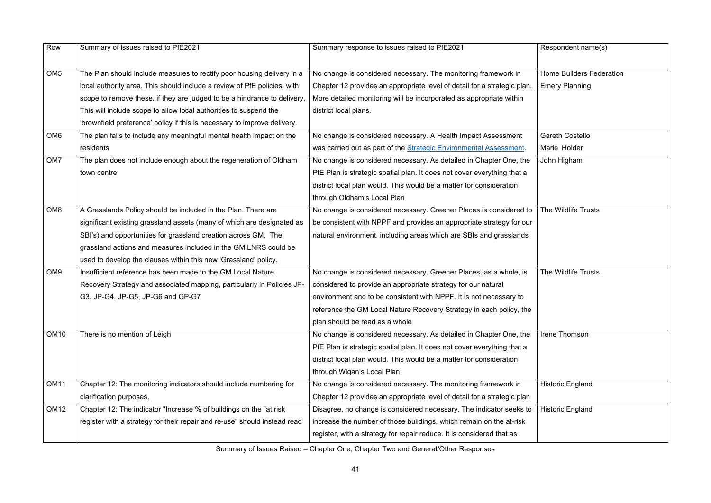| Row             | Summary of issues raised to PfE2021                                       | Summary response to issues raised to PfE2021                             | Respondent name(s)              |
|-----------------|---------------------------------------------------------------------------|--------------------------------------------------------------------------|---------------------------------|
| OM <sub>5</sub> | The Plan should include measures to rectify poor housing delivery in a    | No change is considered necessary. The monitoring framework in           | <b>Home Builders Federation</b> |
|                 | local authority area. This should include a review of PfE policies, with  | Chapter 12 provides an appropriate level of detail for a strategic plan. | <b>Emery Planning</b>           |
|                 | scope to remove these, if they are judged to be a hindrance to delivery.  | More detailed monitoring will be incorporated as appropriate within      |                                 |
|                 | This will include scope to allow local authorities to suspend the         | district local plans.                                                    |                                 |
|                 | 'brownfield preference' policy if this is necessary to improve delivery.  |                                                                          |                                 |
| OM <sub>6</sub> | The plan fails to include any meaningful mental health impact on the      | No change is considered necessary. A Health Impact Assessment            | <b>Gareth Costello</b>          |
|                 | residents                                                                 | was carried out as part of the Strategic Environmental Assessment.       | Marie Holder                    |
| OM7             | The plan does not include enough about the regeneration of Oldham         | No change is considered necessary. As detailed in Chapter One, the       | John Higham                     |
|                 | town centre                                                               | PfE Plan is strategic spatial plan. It does not cover everything that a  |                                 |
|                 |                                                                           | district local plan would. This would be a matter for consideration      |                                 |
|                 |                                                                           | through Oldham's Local Plan                                              |                                 |
| OM <sub>8</sub> | A Grasslands Policy should be included in the Plan. There are             | No change is considered necessary. Greener Places is considered to       | The Wildlife Trusts             |
|                 | significant existing grassland assets (many of which are designated as    | be consistent with NPPF and provides an appropriate strategy for our     |                                 |
|                 | SBI's) and opportunities for grassland creation across GM. The            | natural environment, including areas which are SBIs and grasslands       |                                 |
|                 | grassland actions and measures included in the GM LNRS could be           |                                                                          |                                 |
|                 | used to develop the clauses within this new 'Grassland' policy.           |                                                                          |                                 |
| OM <sub>9</sub> | Insufficient reference has been made to the GM Local Nature               | No change is considered necessary. Greener Places, as a whole, is        | The Wildlife Trusts             |
|                 | Recovery Strategy and associated mapping, particularly in Policies JP-    | considered to provide an appropriate strategy for our natural            |                                 |
|                 | G3, JP-G4, JP-G5, JP-G6 and GP-G7                                         | environment and to be consistent with NPPF. It is not necessary to       |                                 |
|                 |                                                                           | reference the GM Local Nature Recovery Strategy in each policy, the      |                                 |
|                 |                                                                           | plan should be read as a whole                                           |                                 |
| <b>OM10</b>     | There is no mention of Leigh                                              | No change is considered necessary. As detailed in Chapter One, the       | Irene Thomson                   |
|                 |                                                                           | PfE Plan is strategic spatial plan. It does not cover everything that a  |                                 |
|                 |                                                                           | district local plan would. This would be a matter for consideration      |                                 |
|                 |                                                                           | through Wigan's Local Plan                                               |                                 |
| <b>OM11</b>     | Chapter 12: The monitoring indicators should include numbering for        | No change is considered necessary. The monitoring framework in           | <b>Historic England</b>         |
|                 | clarification purposes.                                                   | Chapter 12 provides an appropriate level of detail for a strategic plan  |                                 |
| <b>OM12</b>     | Chapter 12: The indicator "Increase % of buildings on the "at risk        | Disagree, no change is considered necessary. The indicator seeks to      | <b>Historic England</b>         |
|                 | register with a strategy for their repair and re-use" should instead read | increase the number of those buildings, which remain on the at-risk      |                                 |
|                 |                                                                           | register, with a strategy for repair reduce. It is considered that as    |                                 |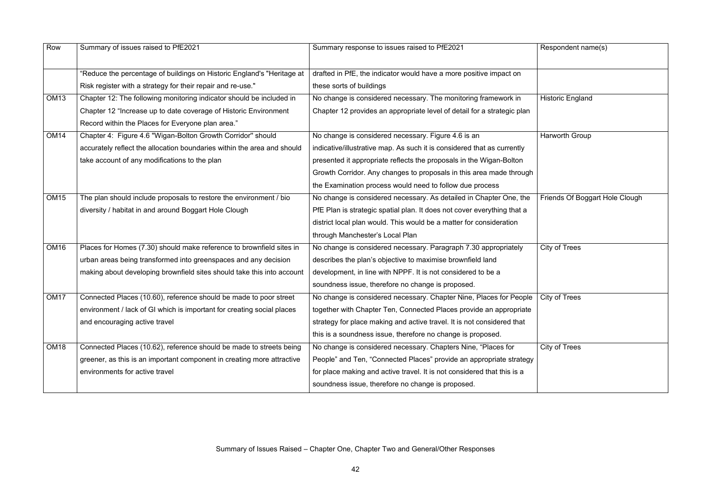| Row              | Summary of issues raised to PfE2021                                     | Summary response to issues raised to PfE2021                            | Respondent name(s)      |
|------------------|-------------------------------------------------------------------------|-------------------------------------------------------------------------|-------------------------|
|                  | 'Reduce the percentage of buildings on Historic England's "Heritage at  | drafted in PfE, the indicator would have a more positive impact on      |                         |
|                  | Risk register with a strategy for their repair and re-use."             | these sorts of buildings                                                |                         |
| <b>OM13</b>      | Chapter 12: The following monitoring indicator should be included in    | No change is considered necessary. The monitoring framework in          | <b>Historic England</b> |
|                  | Chapter 12 "Increase up to date coverage of Historic Environment        | Chapter 12 provides an appropriate level of detail for a strategic plan |                         |
|                  | Record within the Places for Everyone plan area."                       |                                                                         |                         |
| <b>OM14</b>      | Chapter 4: Figure 4.6 "Wigan-Bolton Growth Corridor" should             | No change is considered necessary. Figure 4.6 is an                     | Harworth Group          |
|                  | accurately reflect the allocation boundaries within the area and should | indicative/illustrative map. As such it is considered that as currently |                         |
|                  | take account of any modifications to the plan                           | presented it appropriate reflects the proposals in the Wigan-Bolton     |                         |
|                  |                                                                         | Growth Corridor. Any changes to proposals in this area made through     |                         |
|                  |                                                                         | the Examination process would need to follow due process                |                         |
| <b>OM15</b>      | The plan should include proposals to restore the environment / bio      | No change is considered necessary. As detailed in Chapter One, the      | Friends Of Boggart H    |
|                  | diversity / habitat in and around Boggart Hole Clough                   | PfE Plan is strategic spatial plan. It does not cover everything that a |                         |
|                  |                                                                         | district local plan would. This would be a matter for consideration     |                         |
|                  |                                                                         | through Manchester's Local Plan                                         |                         |
| OM <sub>16</sub> | Places for Homes (7.30) should make reference to brownfield sites in    | No change is considered necessary. Paragraph 7.30 appropriately         | City of Trees           |
|                  | urban areas being transformed into greenspaces and any decision         | describes the plan's objective to maximise brownfield land              |                         |
|                  | making about developing brownfield sites should take this into account  | development, in line with NPPF. It is not considered to be a            |                         |
|                  |                                                                         | soundness issue, therefore no change is proposed.                       |                         |
| OM <sub>17</sub> | Connected Places (10.60), reference should be made to poor street       | No change is considered necessary. Chapter Nine, Places for People      | City of Trees           |
|                  | environment / lack of GI which is important for creating social places  | together with Chapter Ten, Connected Places provide an appropriate      |                         |
|                  | and encouraging active travel                                           | strategy for place making and active travel. It is not considered that  |                         |
|                  |                                                                         | this is a soundness issue, therefore no change is proposed.             |                         |
| OM <sub>18</sub> | Connected Places (10.62), reference should be made to streets being     | No change is considered necessary. Chapters Nine, "Places for           | City of Trees           |
|                  | greener, as this is an important component in creating more attractive  | People" and Ten, "Connected Places" provide an appropriate strategy     |                         |
|                  | environments for active travel                                          | for place making and active travel. It is not considered that this is a |                         |
|                  |                                                                         | soundness issue, therefore no change is proposed.                       |                         |
|                  |                                                                         |                                                                         |                         |

| Respondent name(s)             |
|--------------------------------|
|                                |
| <b>Historic England</b>        |
|                                |
| <b>Harworth Group</b>          |
| Friends Of Boggart Hole Clough |
|                                |
| <b>City of Trees</b>           |
| <b>City of Trees</b>           |
| <b>City of Trees</b>           |
|                                |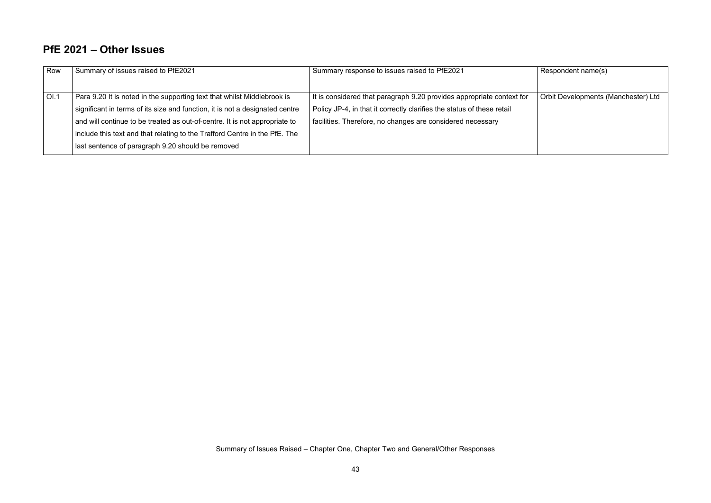$\sqrt{\mathsf{Respondent} \mathsf{name(s)}}$ 

# **PfE 2021 – Other Issues**

| Row  | Summary of issues raised to PfE2021                                                                                                                                                                                                   | Summary response to issues raised to PfE2021                                                                                                                                                                  |
|------|---------------------------------------------------------------------------------------------------------------------------------------------------------------------------------------------------------------------------------------|---------------------------------------------------------------------------------------------------------------------------------------------------------------------------------------------------------------|
| OI.1 | Para 9.20 It is noted in the supporting text that whilst Middlebrook is<br>significant in terms of its size and function, it is not a designated centre<br>and will continue to be treated as out-of-centre. It is not appropriate to | It is considered that paragraph 9.20 provides appropriate context for<br>Policy JP-4, in that it correctly clarifies the status of these retail<br>facilities. Therefore, no changes are considered necessary |
|      | include this text and that relating to the Trafford Centre in the PfE. The<br>last sentence of paragraph 9.20 should be removed                                                                                                       |                                                                                                                                                                                                               |

Orbit Developments (Manchester) Ltd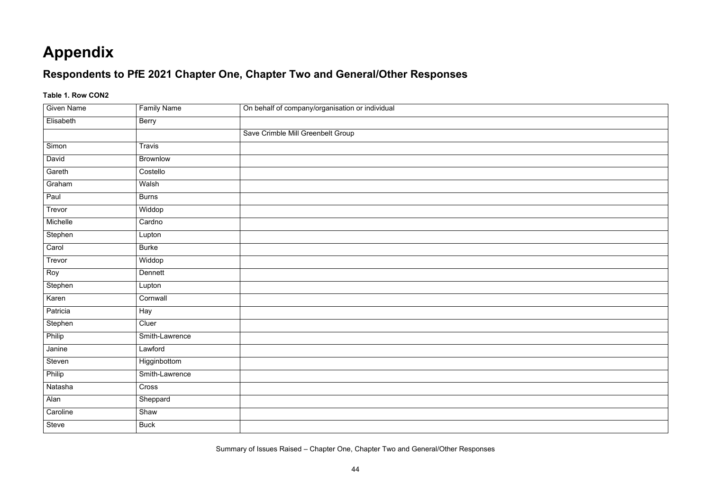# **Appendix**

# **Respondents to PfE 2021 Chapter One, Chapter Two and General/Other Responses**

## **Table 1. Row CON2**

| <b>Given Name</b> | <b>Family Name</b> | On behalf of company/organisation or individual |
|-------------------|--------------------|-------------------------------------------------|
| Elisabeth         | <b>Berry</b>       |                                                 |
|                   |                    | Save Crimble Mill Greenbelt Group               |
| Simon             | Travis             |                                                 |
| David             | <b>Brownlow</b>    |                                                 |
| Gareth            | Costello           |                                                 |
| Graham            | Walsh              |                                                 |
| Paul              | <b>Burns</b>       |                                                 |
| Trevor            | Widdop             |                                                 |
| Michelle          | Cardno             |                                                 |
| Stephen           | Lupton             |                                                 |
| Carol             | <b>Burke</b>       |                                                 |
| Trevor            | Widdop             |                                                 |
| Roy               | Dennett            |                                                 |
| Stephen           | Lupton             |                                                 |
| Karen             | Cornwall           |                                                 |
| Patricia          | Hay                |                                                 |
| Stephen           | Cluer              |                                                 |
| Philip            | Smith-Lawrence     |                                                 |
| Janine            | Lawford            |                                                 |
| Steven            | Higginbottom       |                                                 |
| Philip            | Smith-Lawrence     |                                                 |
| Natasha           | Cross              |                                                 |
| Alan              | Sheppard           |                                                 |
| Caroline          | Shaw               |                                                 |
| Steve             | <b>Buck</b>        |                                                 |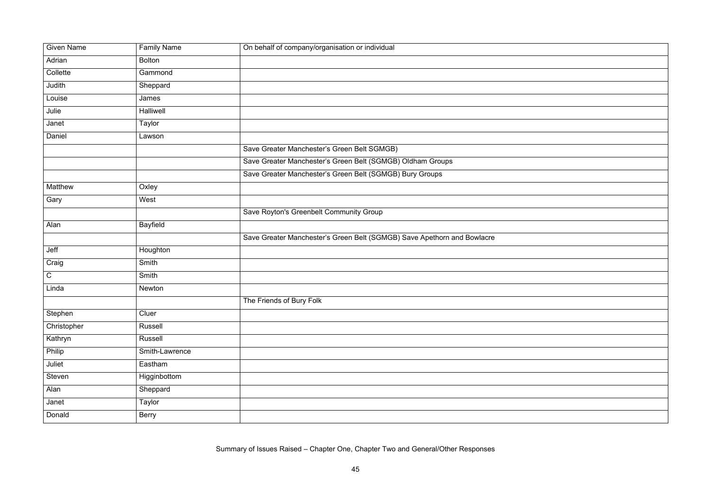| <b>Given Name</b> | <b>Family Name</b> | On behalf of company/organisation or individual                         |
|-------------------|--------------------|-------------------------------------------------------------------------|
| Adrian            | <b>Bolton</b>      |                                                                         |
| Collette          | Gammond            |                                                                         |
| Judith            | Sheppard           |                                                                         |
| Louise            | James              |                                                                         |
| Julie             | Halliwell          |                                                                         |
| Janet             | Taylor             |                                                                         |
| Daniel            | Lawson             |                                                                         |
|                   |                    | Save Greater Manchester's Green Belt SGMGB)                             |
|                   |                    | Save Greater Manchester's Green Belt (SGMGB) Oldham Groups              |
|                   |                    | Save Greater Manchester's Green Belt (SGMGB) Bury Groups                |
| Matthew           | Oxley              |                                                                         |
| Gary              | West               |                                                                         |
|                   |                    | Save Royton's Greenbelt Community Group                                 |
| Alan              | <b>Bayfield</b>    |                                                                         |
|                   |                    | Save Greater Manchester's Green Belt (SGMGB) Save Apethorn and Bowlacre |
| Jeff              | Houghton           |                                                                         |
| Craig             | Smith              |                                                                         |
| $\mathsf C$       | Smith              |                                                                         |
| Linda             | Newton             |                                                                         |
|                   |                    | The Friends of Bury Folk                                                |
| Stephen           | Cluer              |                                                                         |
| Christopher       | Russell            |                                                                         |
| Kathryn           | Russell            |                                                                         |
| Philip            | Smith-Lawrence     |                                                                         |
| Juliet            | Eastham            |                                                                         |
| Steven            | Higginbottom       |                                                                         |
| Alan              | Sheppard           |                                                                         |
| Janet             | Taylor             |                                                                         |
| Donald            | <b>Berry</b>       |                                                                         |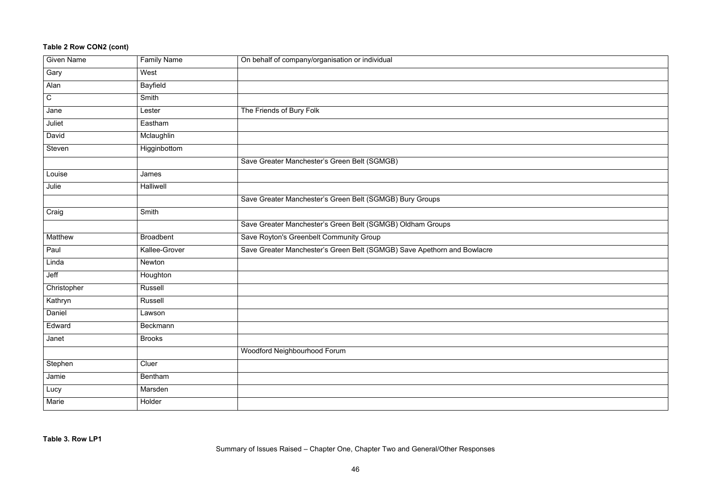# **Table 2 Row CON2 (cont)**

| <b>Given Name</b> | <b>Family Name</b> | On behalf of company/organisation or individual                         |
|-------------------|--------------------|-------------------------------------------------------------------------|
| Gary              | West               |                                                                         |
| Alan              | <b>Bayfield</b>    |                                                                         |
| $\mathsf C$       | Smith              |                                                                         |
| Jane              | Lester             | The Friends of Bury Folk                                                |
| Juliet            | Eastham            |                                                                         |
| David             | Mclaughlin         |                                                                         |
| <b>Steven</b>     | Higginbottom       |                                                                         |
|                   |                    | Save Greater Manchester's Green Belt (SGMGB)                            |
| Louise            | James              |                                                                         |
| Julie             | Halliwell          |                                                                         |
|                   |                    | Save Greater Manchester's Green Belt (SGMGB) Bury Groups                |
| Craig             | Smith              |                                                                         |
|                   |                    | Save Greater Manchester's Green Belt (SGMGB) Oldham Groups              |
| Matthew           | <b>Broadbent</b>   | Save Royton's Greenbelt Community Group                                 |
| Paul              | Kallee-Grover      | Save Greater Manchester's Green Belt (SGMGB) Save Apethorn and Bowlacre |
| Linda             | Newton             |                                                                         |
| Jeff              | Houghton           |                                                                         |
| Christopher       | <b>Russell</b>     |                                                                         |
| Kathryn           | <b>Russell</b>     |                                                                         |
| Daniel            | Lawson             |                                                                         |
| Edward            | Beckmann           |                                                                         |
| Janet             | <b>Brooks</b>      |                                                                         |
|                   |                    | Woodford Neighbourhood Forum                                            |
| Stephen           | Cluer              |                                                                         |
| Jamie             | Bentham            |                                                                         |
| Lucy              | Marsden            |                                                                         |
| Marie             | Holder             |                                                                         |
|                   |                    |                                                                         |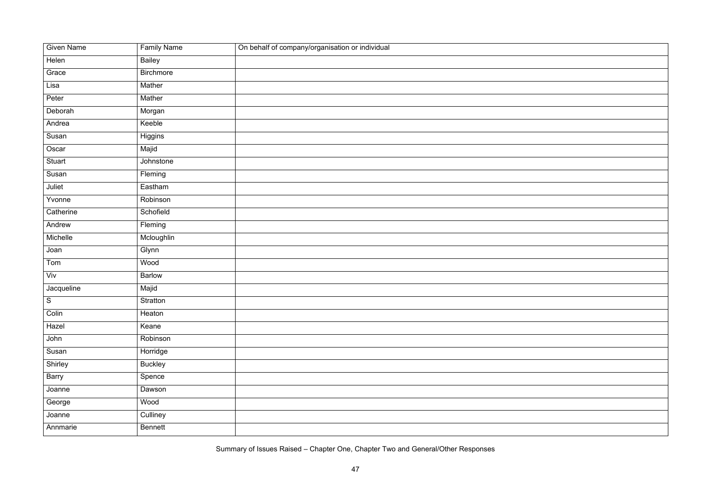| <b>Given Name</b> | <b>Family Name</b> | On behalf of company/organisation or individual |
|-------------------|--------------------|-------------------------------------------------|
| Helen             | Bailey             |                                                 |
| Grace             | <b>Birchmore</b>   |                                                 |
| Lisa              | Mather             |                                                 |
| Peter             | Mather             |                                                 |
| Deborah           | Morgan             |                                                 |
| Andrea            | Keeble             |                                                 |
| Susan             | Higgins            |                                                 |
| Oscar             | Majid              |                                                 |
| Stuart            | Johnstone          |                                                 |
| Susan             | Fleming            |                                                 |
| Juliet            | Eastham            |                                                 |
| Yvonne            | Robinson           |                                                 |
| Catherine         | Schofield          |                                                 |
| Andrew            | Fleming            |                                                 |
| Michelle          | Mcloughlin         |                                                 |
| Joan              | Glynn              |                                                 |
| Tom               | Wood               |                                                 |
| Viv               | <b>Barlow</b>      |                                                 |
| Jacqueline        | Majid              |                                                 |
| $\overline{S}$    | Stratton           |                                                 |
| Colin             | Heaton             |                                                 |
| Hazel             | Keane              |                                                 |
| John              | Robinson           |                                                 |
| Susan             | Horridge           |                                                 |
| Shirley           | <b>Buckley</b>     |                                                 |
| Barry             | Spence             |                                                 |
| Joanne            | Dawson             |                                                 |
| George            | Wood               |                                                 |
| Joanne            | Culliney           |                                                 |
| Annmarie          | <b>Bennett</b>     |                                                 |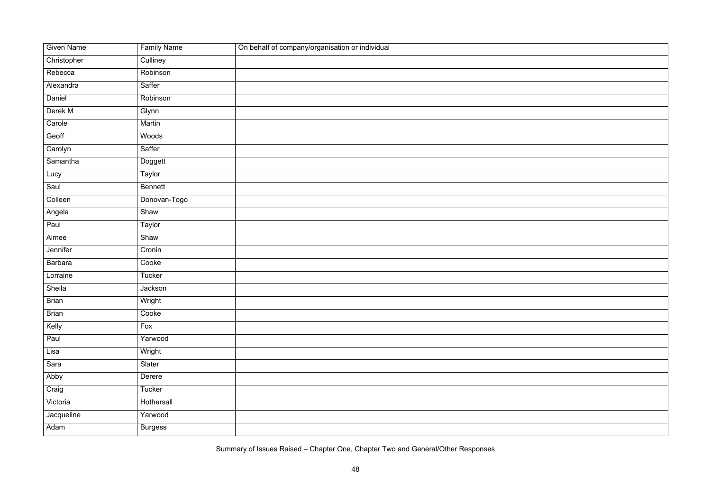| <b>Given Name</b> | <b>Family Name</b> | On behalf of company/organisation or individual |
|-------------------|--------------------|-------------------------------------------------|
| Christopher       | Culliney           |                                                 |
| Rebecca           | Robinson           |                                                 |
| Alexandra         | Saffer             |                                                 |
| Daniel            | Robinson           |                                                 |
| Derek M           | Glynn              |                                                 |
| Carole            | Martin             |                                                 |
| Geoff             | Woods              |                                                 |
| Carolyn           | Saffer             |                                                 |
| Samantha          | Doggett            |                                                 |
| Lucy              | Taylor             |                                                 |
| Saul              | <b>Bennett</b>     |                                                 |
| Colleen           | Donovan-Togo       |                                                 |
| Angela            | Shaw               |                                                 |
| Paul              | Taylor             |                                                 |
| Aimee             | Shaw               |                                                 |
| Jennifer          | Cronin             |                                                 |
| <b>Barbara</b>    | Cooke              |                                                 |
| Lorraine          | Tucker             |                                                 |
| Sheila            | Jackson            |                                                 |
| <b>Brian</b>      | Wright             |                                                 |
| <b>Brian</b>      | Cooke              |                                                 |
| Kelly             | Fox                |                                                 |
| Paul              | Yarwood            |                                                 |
| Lisa              | Wright             |                                                 |
| Sara              | Slater             |                                                 |
| Abby              | Derere             |                                                 |
| Craig             | Tucker             |                                                 |
| Victoria          | Hothersall         |                                                 |
| Jacqueline        | Yarwood            |                                                 |
| Adam              | <b>Burgess</b>     |                                                 |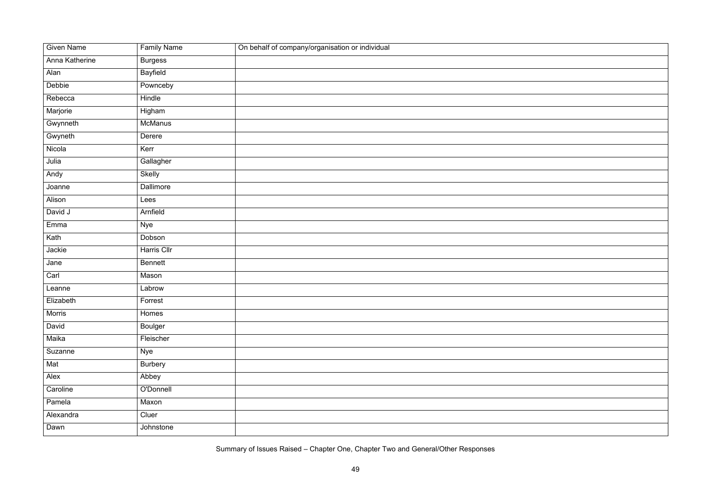| <b>Given Name</b> | <b>Family Name</b> | On behalf of company/organisation or individual |
|-------------------|--------------------|-------------------------------------------------|
| Anna Katherine    | <b>Burgess</b>     |                                                 |
| Alan              | <b>Bayfield</b>    |                                                 |
| Debbie            | Pownceby           |                                                 |
| Rebecca           | Hindle             |                                                 |
| Marjorie          | Higham             |                                                 |
| Gwynneth          | McManus            |                                                 |
| Gwyneth           | Derere             |                                                 |
| Nicola            | Kerr               |                                                 |
| Julia             | Gallagher          |                                                 |
| Andy              | <b>Skelly</b>      |                                                 |
| Joanne            | Dallimore          |                                                 |
| Alison            | Lees               |                                                 |
| David J           | Arnfield           |                                                 |
| Emma              | <b>Nye</b>         |                                                 |
| Kath              | Dobson             |                                                 |
| Jackie            | Harris Cllr        |                                                 |
| Jane              | <b>Bennett</b>     |                                                 |
| Carl              | Mason              |                                                 |
| Leanne            | Labrow             |                                                 |
| Elizabeth         | Forrest            |                                                 |
| Morris            | Homes              |                                                 |
| David             | <b>Boulger</b>     |                                                 |
| Maika             | Fleischer          |                                                 |
| Suzanne           | <b>Nye</b>         |                                                 |
| Mat               | <b>Burbery</b>     |                                                 |
| Alex              | Abbey              |                                                 |
| Caroline          | O'Donnell          |                                                 |
| Pamela            | Maxon              |                                                 |
| Alexandra         | Cluer              |                                                 |
| Dawn              | Johnstone          |                                                 |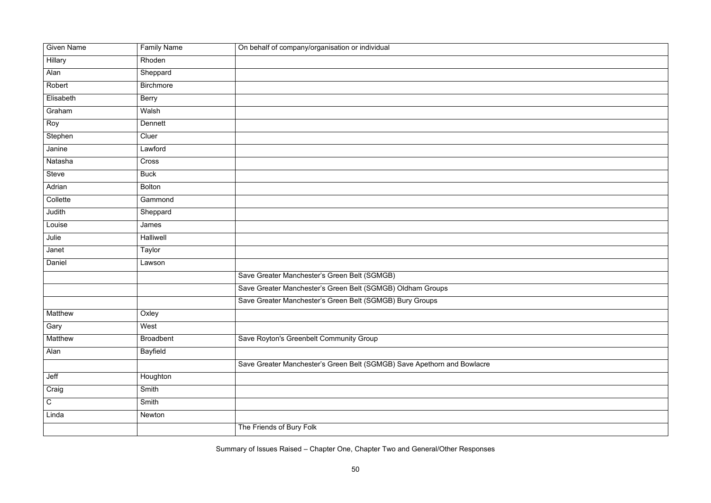| <b>Given Name</b> | <b>Family Name</b> | On behalf of company/organisation or individual                         |
|-------------------|--------------------|-------------------------------------------------------------------------|
| Hillary           | Rhoden             |                                                                         |
| Alan              | Sheppard           |                                                                         |
| Robert            | <b>Birchmore</b>   |                                                                         |
| Elisabeth         | <b>Berry</b>       |                                                                         |
| Graham            | Walsh              |                                                                         |
| Roy               | <b>Dennett</b>     |                                                                         |
| Stephen           | Cluer              |                                                                         |
| Janine            | Lawford            |                                                                         |
| Natasha           | Cross              |                                                                         |
| <b>Steve</b>      | <b>Buck</b>        |                                                                         |
| Adrian            | <b>Bolton</b>      |                                                                         |
| Collette          | Gammond            |                                                                         |
| Judith            | Sheppard           |                                                                         |
| Louise            | James              |                                                                         |
| Julie             | Halliwell          |                                                                         |
| Janet             | <b>Taylor</b>      |                                                                         |
| Daniel            | Lawson             |                                                                         |
|                   |                    | Save Greater Manchester's Green Belt (SGMGB)                            |
|                   |                    | Save Greater Manchester's Green Belt (SGMGB) Oldham Groups              |
|                   |                    | Save Greater Manchester's Green Belt (SGMGB) Bury Groups                |
| Matthew           | Oxley              |                                                                         |
| Gary              | West               |                                                                         |
| Matthew           | <b>Broadbent</b>   | Save Royton's Greenbelt Community Group                                 |
| Alan              | <b>Bayfield</b>    |                                                                         |
|                   |                    | Save Greater Manchester's Green Belt (SGMGB) Save Apethorn and Bowlacre |
| Jeff              | Houghton           |                                                                         |
| Craig             | Smith              |                                                                         |
| ${\bf C}$         | Smith              |                                                                         |
| Linda             | Newton             |                                                                         |
|                   |                    | The Friends of Bury Folk                                                |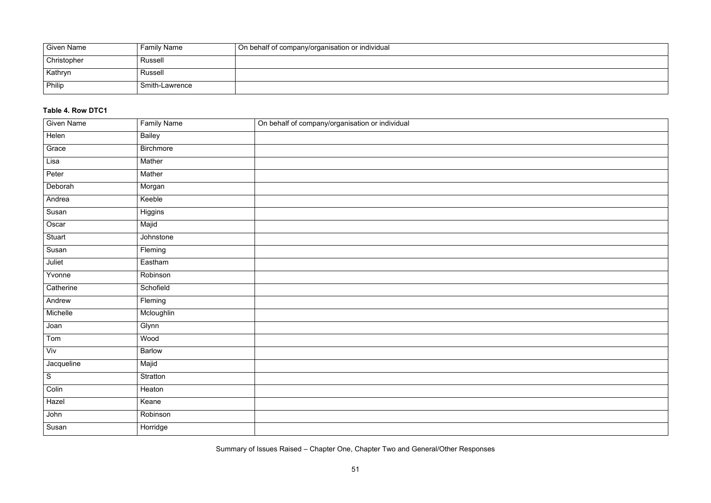| <b>Given Name</b> | <b>Family Name</b> | ∣ On behalf of company/organisation or individual |
|-------------------|--------------------|---------------------------------------------------|
| Christopher       | <b>Russell</b>     |                                                   |
| Kathryn           | <b>Russell</b>     |                                                   |
| Philip            | Smith-Lawrence     |                                                   |

### **Table 4. Row DTC1**

| <b>Given Name</b> | <b>Family Name</b> | On behalf of company/organisation or individual |
|-------------------|--------------------|-------------------------------------------------|
| Helen             | <b>Bailey</b>      |                                                 |
| Grace             | <b>Birchmore</b>   |                                                 |
| Lisa              | Mather             |                                                 |
| Peter             | Mather             |                                                 |
| Deborah           | Morgan             |                                                 |
| Andrea            | Keeble             |                                                 |
| Susan             | Higgins            |                                                 |
| Oscar             | Majid              |                                                 |
| Stuart            | Johnstone          |                                                 |
| Susan             | Fleming            |                                                 |
| Juliet            | Eastham            |                                                 |
| Yvonne            | Robinson           |                                                 |
| Catherine         | Schofield          |                                                 |
| Andrew            | Fleming            |                                                 |
| Michelle          | Mcloughlin         |                                                 |
| Joan              | Glynn              |                                                 |
| Tom               | Wood               |                                                 |
| Viv               | <b>Barlow</b>      |                                                 |
| Jacqueline        | Majid              |                                                 |
| ${\mathsf S}$     | Stratton           |                                                 |
| Colin             | Heaton             |                                                 |
| Hazel             | Keane              |                                                 |
| John              | Robinson           |                                                 |
| Susan             | Horridge           |                                                 |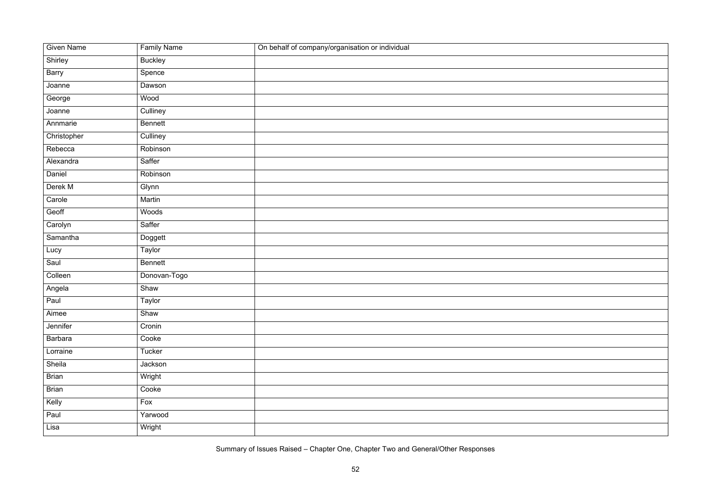| <b>Given Name</b> | <b>Family Name</b> | On behalf of company/organisation or individual |
|-------------------|--------------------|-------------------------------------------------|
| Shirley           | <b>Buckley</b>     |                                                 |
| Barry             | Spence             |                                                 |
| Joanne            | Dawson             |                                                 |
| George            | Wood               |                                                 |
| Joanne            | Culliney           |                                                 |
| Annmarie          | <b>Bennett</b>     |                                                 |
| Christopher       | Culliney           |                                                 |
| Rebecca           | Robinson           |                                                 |
| Alexandra         | Saffer             |                                                 |
| Daniel            | Robinson           |                                                 |
| Derek M           | Glynn              |                                                 |
| Carole            | Martin             |                                                 |
| Geoff             | Woods              |                                                 |
| Carolyn           | Saffer             |                                                 |
| Samantha          | Doggett            |                                                 |
| Lucy              | Taylor             |                                                 |
| Saul              | <b>Bennett</b>     |                                                 |
| Colleen           | Donovan-Togo       |                                                 |
| Angela            | Shaw               |                                                 |
| Paul              | Taylor             |                                                 |
| Aimee             | Shaw               |                                                 |
| Jennifer          | Cronin             |                                                 |
| <b>Barbara</b>    | Cooke              |                                                 |
| Lorraine          | Tucker             |                                                 |
| Sheila            | Jackson            |                                                 |
| <b>Brian</b>      | Wright             |                                                 |
| <b>Brian</b>      | Cooke              |                                                 |
| Kelly             | Fox                |                                                 |
| Paul              | Yarwood            |                                                 |
| Lisa              | Wright             |                                                 |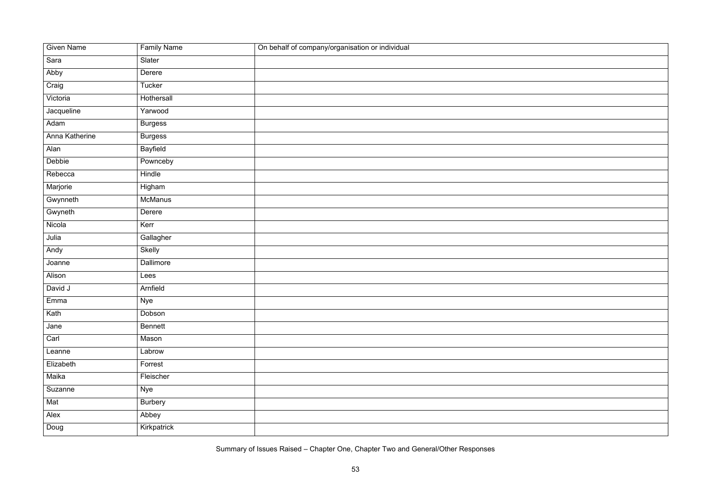| <b>Given Name</b> | <b>Family Name</b> | On behalf of company/organisation or individual |
|-------------------|--------------------|-------------------------------------------------|
| Sara              | Slater             |                                                 |
| Abby              | Derere             |                                                 |
| Craig             | Tucker             |                                                 |
| Victoria          | Hothersall         |                                                 |
| Jacqueline        | Yarwood            |                                                 |
| Adam              | <b>Burgess</b>     |                                                 |
| Anna Katherine    | <b>Burgess</b>     |                                                 |
| Alan              | <b>Bayfield</b>    |                                                 |
| Debbie            | Pownceby           |                                                 |
| Rebecca           | Hindle             |                                                 |
| Marjorie          | Higham             |                                                 |
| Gwynneth          | McManus            |                                                 |
| Gwyneth           | Derere             |                                                 |
| Nicola            | Kerr               |                                                 |
| Julia             | Gallagher          |                                                 |
| Andy              | <b>Skelly</b>      |                                                 |
| Joanne            | Dallimore          |                                                 |
| Alison            | Lees               |                                                 |
| David J           | Arnfield           |                                                 |
| Emma              | Nye                |                                                 |
| Kath              | Dobson             |                                                 |
| Jane              | <b>Bennett</b>     |                                                 |
| Carl              | Mason              |                                                 |
| Leanne            | Labrow             |                                                 |
| Elizabeth         | Forrest            |                                                 |
| Maika             | Fleischer          |                                                 |
| Suzanne           | <b>Nye</b>         |                                                 |
| Mat               | <b>Burbery</b>     |                                                 |
| Alex              | Abbey              |                                                 |
| Doug              | Kirkpatrick        |                                                 |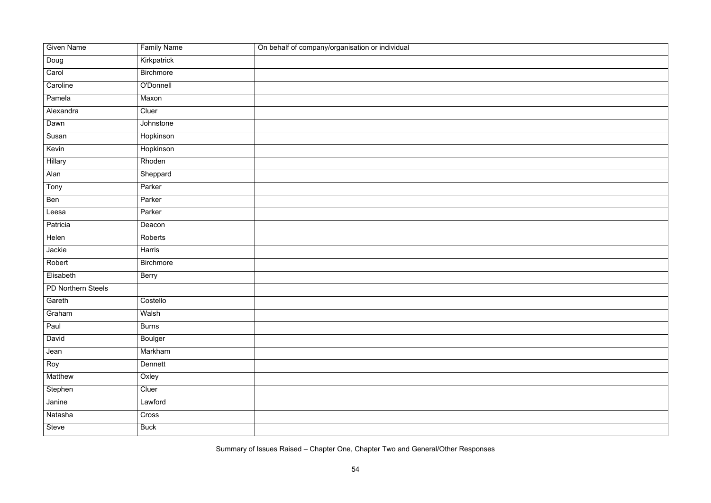| <b>Given Name</b>  | <b>Family Name</b> | On behalf of company/organisation or individual |
|--------------------|--------------------|-------------------------------------------------|
| Doug               | Kirkpatrick        |                                                 |
| Carol              | <b>Birchmore</b>   |                                                 |
| Caroline           | O'Donnell          |                                                 |
| Pamela             | Maxon              |                                                 |
| Alexandra          | Cluer              |                                                 |
| Dawn               | Johnstone          |                                                 |
| Susan              | Hopkinson          |                                                 |
| Kevin              | Hopkinson          |                                                 |
| <b>Hillary</b>     | Rhoden             |                                                 |
| Alan               | Sheppard           |                                                 |
| Tony               | Parker             |                                                 |
| Ben                | Parker             |                                                 |
| Leesa              | Parker             |                                                 |
| Patricia           | Deacon             |                                                 |
| Helen              | Roberts            |                                                 |
| Jackie             | Harris             |                                                 |
| Robert             | <b>Birchmore</b>   |                                                 |
| Elisabeth          | Berry              |                                                 |
| PD Northern Steels |                    |                                                 |
| Gareth             | Costello           |                                                 |
| Graham             | Walsh              |                                                 |
| Paul               | <b>Burns</b>       |                                                 |
| David              | <b>Boulger</b>     |                                                 |
| Jean               | Markham            |                                                 |
| Roy                | Dennett            |                                                 |
| Matthew            | Oxley              |                                                 |
| Stephen            | Cluer              |                                                 |
| Janine             | Lawford            |                                                 |
| Natasha            | Cross              |                                                 |
| Steve              | <b>Buck</b>        |                                                 |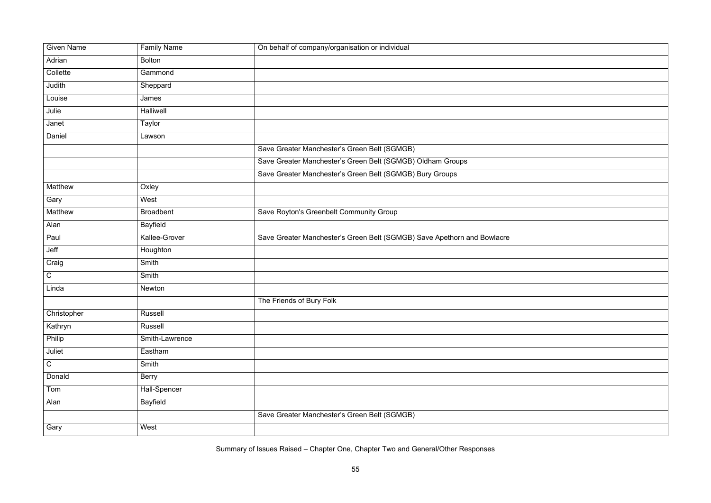| Adrian<br><b>Bolton</b><br>Collette<br>Gammond<br>Judith<br>Sheppard<br>Louise<br>James<br>Julie<br><b>Halliwell</b><br>Taylor<br>Janet<br>Daniel<br>Lawson<br>Save Greater Manchester's Green Belt (SGMGB)<br>Save Greater Manchester's Green Belt (SGMGB) Oldham Groups<br>Save Greater Manchester's Green Belt (SGMGB) Bury Groups<br>Matthew<br>Oxley<br>Gary<br>West<br>Matthew<br><b>Broadbent</b><br>Save Royton's Greenbelt Community Group<br><b>Bayfield</b><br>Alan<br>Kallee-Grover<br>Save Greater Manchester's Green Belt (SGMGB) Save Apethorn and Bowlacre<br>Paul<br>Jeff<br>Houghton<br>Craig<br>Smith<br>$\mathsf C$<br>Smith<br>Linda<br>Newton |                   |                    |                                                 |
|---------------------------------------------------------------------------------------------------------------------------------------------------------------------------------------------------------------------------------------------------------------------------------------------------------------------------------------------------------------------------------------------------------------------------------------------------------------------------------------------------------------------------------------------------------------------------------------------------------------------------------------------------------------------|-------------------|--------------------|-------------------------------------------------|
|                                                                                                                                                                                                                                                                                                                                                                                                                                                                                                                                                                                                                                                                     | <b>Given Name</b> | <b>Family Name</b> | On behalf of company/organisation or individual |
|                                                                                                                                                                                                                                                                                                                                                                                                                                                                                                                                                                                                                                                                     |                   |                    |                                                 |
|                                                                                                                                                                                                                                                                                                                                                                                                                                                                                                                                                                                                                                                                     |                   |                    |                                                 |
|                                                                                                                                                                                                                                                                                                                                                                                                                                                                                                                                                                                                                                                                     |                   |                    |                                                 |
|                                                                                                                                                                                                                                                                                                                                                                                                                                                                                                                                                                                                                                                                     |                   |                    |                                                 |
|                                                                                                                                                                                                                                                                                                                                                                                                                                                                                                                                                                                                                                                                     |                   |                    |                                                 |
|                                                                                                                                                                                                                                                                                                                                                                                                                                                                                                                                                                                                                                                                     |                   |                    |                                                 |
|                                                                                                                                                                                                                                                                                                                                                                                                                                                                                                                                                                                                                                                                     |                   |                    |                                                 |
|                                                                                                                                                                                                                                                                                                                                                                                                                                                                                                                                                                                                                                                                     |                   |                    |                                                 |
|                                                                                                                                                                                                                                                                                                                                                                                                                                                                                                                                                                                                                                                                     |                   |                    |                                                 |
|                                                                                                                                                                                                                                                                                                                                                                                                                                                                                                                                                                                                                                                                     |                   |                    |                                                 |
|                                                                                                                                                                                                                                                                                                                                                                                                                                                                                                                                                                                                                                                                     |                   |                    |                                                 |
|                                                                                                                                                                                                                                                                                                                                                                                                                                                                                                                                                                                                                                                                     |                   |                    |                                                 |
|                                                                                                                                                                                                                                                                                                                                                                                                                                                                                                                                                                                                                                                                     |                   |                    |                                                 |
|                                                                                                                                                                                                                                                                                                                                                                                                                                                                                                                                                                                                                                                                     |                   |                    |                                                 |
|                                                                                                                                                                                                                                                                                                                                                                                                                                                                                                                                                                                                                                                                     |                   |                    |                                                 |
|                                                                                                                                                                                                                                                                                                                                                                                                                                                                                                                                                                                                                                                                     |                   |                    |                                                 |
|                                                                                                                                                                                                                                                                                                                                                                                                                                                                                                                                                                                                                                                                     |                   |                    |                                                 |
|                                                                                                                                                                                                                                                                                                                                                                                                                                                                                                                                                                                                                                                                     |                   |                    |                                                 |
|                                                                                                                                                                                                                                                                                                                                                                                                                                                                                                                                                                                                                                                                     |                   |                    |                                                 |
|                                                                                                                                                                                                                                                                                                                                                                                                                                                                                                                                                                                                                                                                     |                   |                    | The Friends of Bury Folk                        |
| Christopher<br>Russell                                                                                                                                                                                                                                                                                                                                                                                                                                                                                                                                                                                                                                              |                   |                    |                                                 |
| Kathryn<br>Russell                                                                                                                                                                                                                                                                                                                                                                                                                                                                                                                                                                                                                                                  |                   |                    |                                                 |
| Philip<br>Smith-Lawrence                                                                                                                                                                                                                                                                                                                                                                                                                                                                                                                                                                                                                                            |                   |                    |                                                 |
| Juliet<br>Eastham                                                                                                                                                                                                                                                                                                                                                                                                                                                                                                                                                                                                                                                   |                   |                    |                                                 |
| $\mathsf C$<br><b>Smith</b>                                                                                                                                                                                                                                                                                                                                                                                                                                                                                                                                                                                                                                         |                   |                    |                                                 |
| Donald<br><b>Berry</b>                                                                                                                                                                                                                                                                                                                                                                                                                                                                                                                                                                                                                                              |                   |                    |                                                 |
| Hall-Spencer<br>Tom                                                                                                                                                                                                                                                                                                                                                                                                                                                                                                                                                                                                                                                 |                   |                    |                                                 |
| <b>Bayfield</b><br>Alan                                                                                                                                                                                                                                                                                                                                                                                                                                                                                                                                                                                                                                             |                   |                    |                                                 |
| Save Greater Manchester's Green Belt (SGMGB)                                                                                                                                                                                                                                                                                                                                                                                                                                                                                                                                                                                                                        |                   |                    |                                                 |
| West<br>Gary                                                                                                                                                                                                                                                                                                                                                                                                                                                                                                                                                                                                                                                        |                   |                    |                                                 |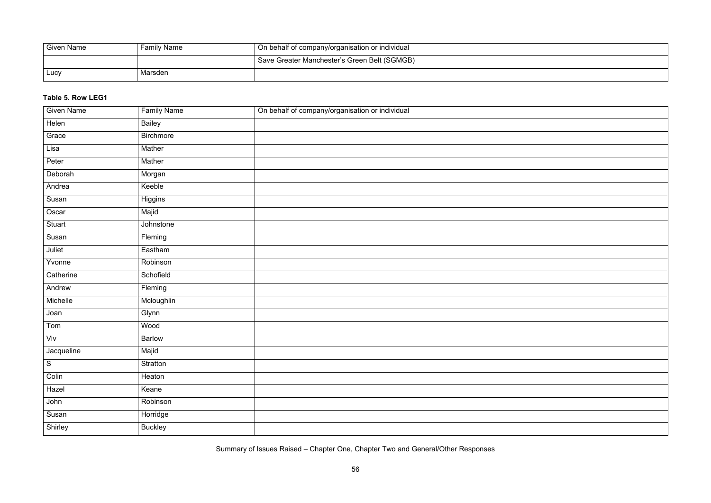| <b>Given Name</b> | <b>Family Name</b> | $\overline{\phantom{a}}$ On behalf of company/organisation or individual |
|-------------------|--------------------|--------------------------------------------------------------------------|
|                   |                    | ' Save Greater Manchester's Green Belt (SGMGB)                           |
| Lucy              | Marsden            |                                                                          |

## **Table 5. Row LEG1**

| <b>Given Name</b> | <b>Family Name</b> | On behalf of company/organisation or individual |
|-------------------|--------------------|-------------------------------------------------|
| Helen             | <b>Bailey</b>      |                                                 |
| Grace             | <b>Birchmore</b>   |                                                 |
| Lisa              | Mather             |                                                 |
| Peter             | Mather             |                                                 |
| Deborah           | Morgan             |                                                 |
| Andrea            | Keeble             |                                                 |
| Susan             | Higgins            |                                                 |
| Oscar             | Majid              |                                                 |
| <b>Stuart</b>     | Johnstone          |                                                 |
| Susan             | Fleming            |                                                 |
| Juliet            | Eastham            |                                                 |
| Yvonne            | Robinson           |                                                 |
| Catherine         | Schofield          |                                                 |
| Andrew            | Fleming            |                                                 |
| Michelle          | Mcloughlin         |                                                 |
| Joan              | Glynn              |                                                 |
| Tom               | Wood               |                                                 |
| Viv               | <b>Barlow</b>      |                                                 |
| Jacqueline        | Majid              |                                                 |
| ${\mathsf S}$     | Stratton           |                                                 |
| Colin             | Heaton             |                                                 |
| Hazel             | Keane              |                                                 |
| John              | Robinson           |                                                 |
| Susan             | Horridge           |                                                 |
| Shirley           | <b>Buckley</b>     |                                                 |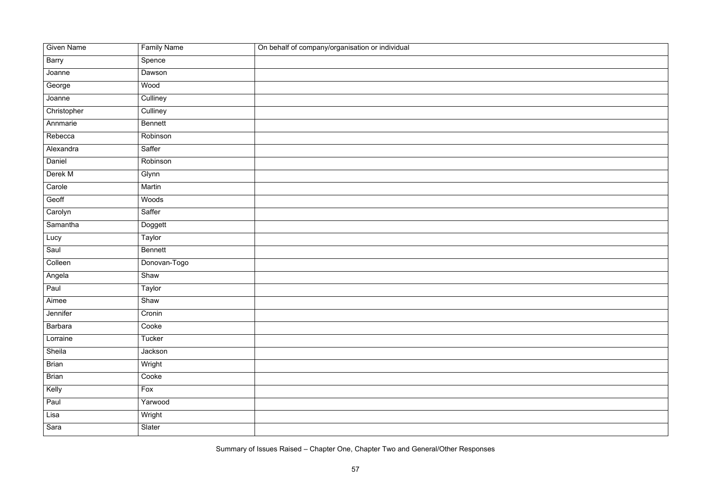| <b>Given Name</b> | <b>Family Name</b> | On behalf of company/organisation or individual |
|-------------------|--------------------|-------------------------------------------------|
| <b>Barry</b>      | Spence             |                                                 |
| Joanne            | Dawson             |                                                 |
| George            | Wood               |                                                 |
| Joanne            | Culliney           |                                                 |
| Christopher       | Culliney           |                                                 |
| Annmarie          | <b>Bennett</b>     |                                                 |
| Rebecca           | Robinson           |                                                 |
| Alexandra         | Saffer             |                                                 |
| Daniel            | Robinson           |                                                 |
| Derek M           | Glynn              |                                                 |
| Carole            | Martin             |                                                 |
| Geoff             | Woods              |                                                 |
| Carolyn           | Saffer             |                                                 |
| Samantha          | Doggett            |                                                 |
| Lucy              | Taylor             |                                                 |
| Saul              | <b>Bennett</b>     |                                                 |
| Colleen           | Donovan-Togo       |                                                 |
| Angela            | Shaw               |                                                 |
| Paul              | <b>Taylor</b>      |                                                 |
| Aimee             | Shaw               |                                                 |
| Jennifer          | Cronin             |                                                 |
| <b>Barbara</b>    | Cooke              |                                                 |
| Lorraine          | Tucker             |                                                 |
| Sheila            | Jackson            |                                                 |
| <b>Brian</b>      | Wright             |                                                 |
| <b>Brian</b>      | Cooke              |                                                 |
| Kelly             | Fox                |                                                 |
| Paul              | Yarwood            |                                                 |
| Lisa              | Wright             |                                                 |
| Sara              | Slater             |                                                 |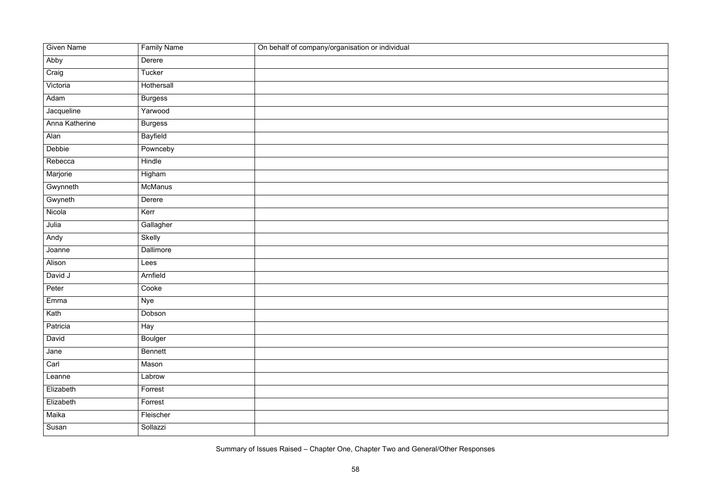| <b>Given Name</b> | <b>Family Name</b> | On behalf of company/organisation or individual |
|-------------------|--------------------|-------------------------------------------------|
| Abby              | Derere             |                                                 |
| Craig             | Tucker             |                                                 |
| Victoria          | Hothersall         |                                                 |
| Adam              | <b>Burgess</b>     |                                                 |
| Jacqueline        | Yarwood            |                                                 |
| Anna Katherine    | <b>Burgess</b>     |                                                 |
| Alan              | <b>Bayfield</b>    |                                                 |
| Debbie            | Pownceby           |                                                 |
| Rebecca           | Hindle             |                                                 |
| Marjorie          | Higham             |                                                 |
| Gwynneth          | <b>McManus</b>     |                                                 |
| Gwyneth           | Derere             |                                                 |
| Nicola            | Kerr               |                                                 |
| Julia             | Gallagher          |                                                 |
| Andy              | Skelly             |                                                 |
| Joanne            | Dallimore          |                                                 |
| Alison            | Lees               |                                                 |
| David J           | Arnfield           |                                                 |
| Peter             | Cooke              |                                                 |
| Emma              | <b>Nye</b>         |                                                 |
| Kath              | Dobson             |                                                 |
| Patricia          | Hay                |                                                 |
| David             | <b>Boulger</b>     |                                                 |
| Jane              | <b>Bennett</b>     |                                                 |
| Carl              | Mason              |                                                 |
| Leanne            | Labrow             |                                                 |
| Elizabeth         | Forrest            |                                                 |
| Elizabeth         | Forrest            |                                                 |
| Maika             | Fleischer          |                                                 |
| Susan             | Sollazzi           |                                                 |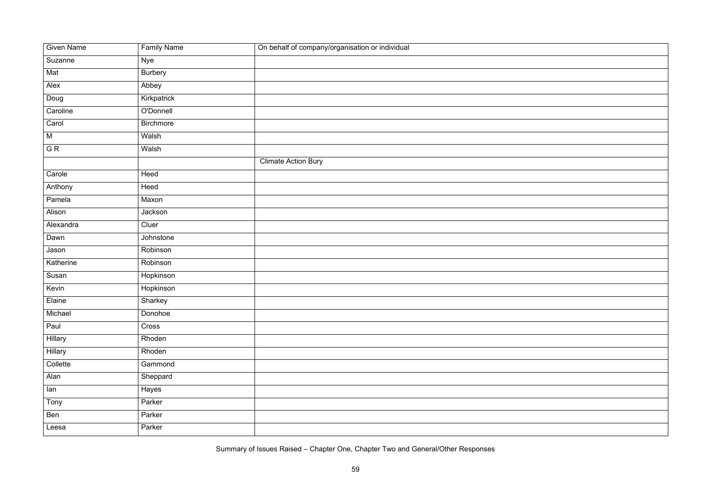| <b>Given Name</b> | <b>Family Name</b> | On behalf of company/organisation or individual |
|-------------------|--------------------|-------------------------------------------------|
| Suzanne           | Nye                |                                                 |
| Mat               | <b>Burbery</b>     |                                                 |
|                   |                    |                                                 |
| Alex              | Abbey              |                                                 |
| Doug              | Kirkpatrick        |                                                 |
| Caroline          | O'Donnell          |                                                 |
| Carol             | <b>Birchmore</b>   |                                                 |
| ${\sf M}$         | Walsh              |                                                 |
| G R               | Walsh              |                                                 |
|                   |                    | <b>Climate Action Bury</b>                      |
| Carole            | Heed               |                                                 |
| Anthony           | Heed               |                                                 |
| Pamela            | Maxon              |                                                 |
| Alison            | Jackson            |                                                 |
| Alexandra         | Cluer              |                                                 |
| Dawn              | Johnstone          |                                                 |
| Jason             | Robinson           |                                                 |
| Katherine         | Robinson           |                                                 |
| Susan             | Hopkinson          |                                                 |
| Kevin             | Hopkinson          |                                                 |
| Elaine            | Sharkey            |                                                 |
| Michael           | Donohoe            |                                                 |
| Paul              | Cross              |                                                 |
| Hillary           | Rhoden             |                                                 |
| <b>Hillary</b>    | Rhoden             |                                                 |
| Collette          | Gammond            |                                                 |
| Alan              | Sheppard           |                                                 |
| lan               | Hayes              |                                                 |
| Tony              | Parker             |                                                 |
| Ben               | Parker             |                                                 |
| Leesa             | Parker             |                                                 |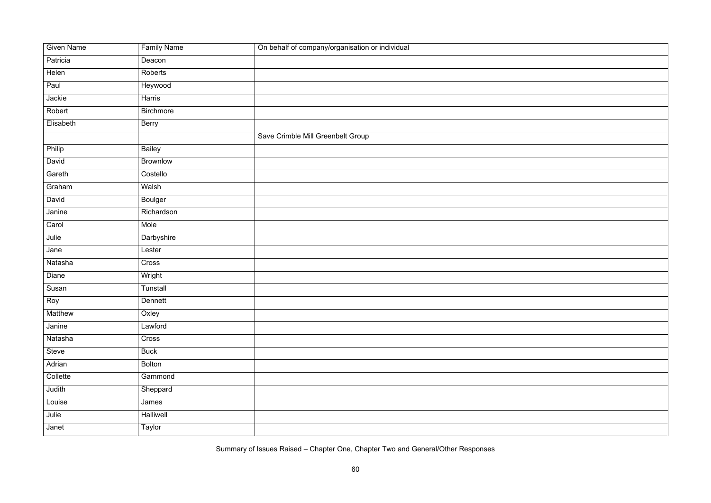| <b>Given Name</b> | <b>Family Name</b> | On behalf of company/organisation or individual |
|-------------------|--------------------|-------------------------------------------------|
| Patricia          | Deacon             |                                                 |
| Helen             | Roberts            |                                                 |
| Paul              | Heywood            |                                                 |
| Jackie            | Harris             |                                                 |
| Robert            | <b>Birchmore</b>   |                                                 |
| Elisabeth         | Berry              |                                                 |
|                   |                    | Save Crimble Mill Greenbelt Group               |
| Philip            | <b>Bailey</b>      |                                                 |
| David             | <b>Brownlow</b>    |                                                 |
| Gareth            | Costello           |                                                 |
| Graham            | Walsh              |                                                 |
| David             | <b>Boulger</b>     |                                                 |
| Janine            | Richardson         |                                                 |
| Carol             | Mole               |                                                 |
| Julie             | Darbyshire         |                                                 |
| Jane              | Lester             |                                                 |
| Natasha           | Cross              |                                                 |
| Diane             | Wright             |                                                 |
| Susan             | Tunstall           |                                                 |
| Roy               | Dennett            |                                                 |
| Matthew           | Oxley              |                                                 |
| Janine            | Lawford            |                                                 |
| Natasha           | Cross              |                                                 |
| Steve             | <b>Buck</b>        |                                                 |
| Adrian            | <b>Bolton</b>      |                                                 |
| Collette          | Gammond            |                                                 |
| Judith            | Sheppard           |                                                 |
| Louise            | James              |                                                 |
| Julie             | Halliwell          |                                                 |
| Janet             | Taylor             |                                                 |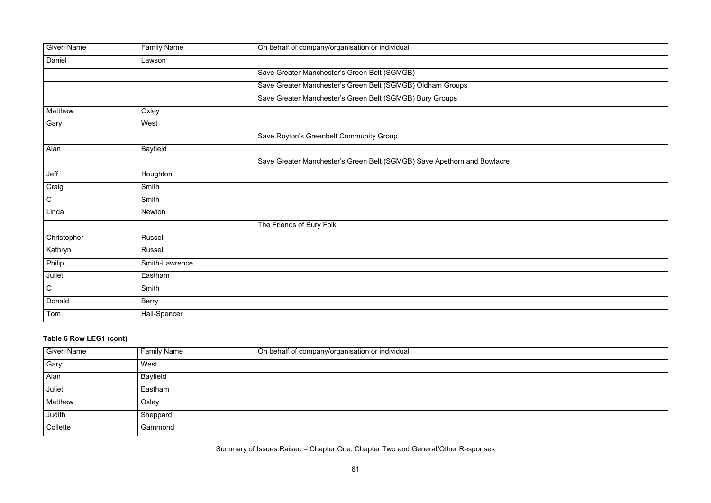| <u> 1989 - Johann Stoff, deutscher Stoffen und der Stoffen und der Stoffen und der Stoffen und der Stoffen und der</u> |  |  |
|------------------------------------------------------------------------------------------------------------------------|--|--|
|                                                                                                                        |  |  |
|                                                                                                                        |  |  |
|                                                                                                                        |  |  |
|                                                                                                                        |  |  |
|                                                                                                                        |  |  |

| <b>Given Name</b> | <b>Family Name</b> | On behalf of company/organisation or individual                         |
|-------------------|--------------------|-------------------------------------------------------------------------|
| Daniel            | Lawson             |                                                                         |
|                   |                    | Save Greater Manchester's Green Belt (SGMGB)                            |
|                   |                    | Save Greater Manchester's Green Belt (SGMGB) Oldham Groups              |
|                   |                    | Save Greater Manchester's Green Belt (SGMGB) Bury Groups                |
| <b>Matthew</b>    | Oxley              |                                                                         |
| Gary              | West               |                                                                         |
|                   |                    | Save Royton's Greenbelt Community Group                                 |
| Alan              | <b>Bayfield</b>    |                                                                         |
|                   |                    | Save Greater Manchester's Green Belt (SGMGB) Save Apethorn and Bowlacre |
| Jeff              | Houghton           |                                                                         |
| Craig             | Smith              |                                                                         |
| $\mathsf C$       | Smith              |                                                                         |
| Linda             | Newton             |                                                                         |
|                   |                    | The Friends of Bury Folk                                                |
| Christopher       | <b>Russell</b>     |                                                                         |
| Kathryn           | <b>Russell</b>     |                                                                         |
| Philip            | Smith-Lawrence     |                                                                         |
| Juliet            | Eastham            |                                                                         |
| $\overline{C}$    | Smith              |                                                                         |
| Donald            | Berry              |                                                                         |
| Tom               | Hall-Spencer       |                                                                         |

# **Table 6 Row LEG1 (cont)**

| <b>Given Name</b> | <b>Family Name</b> | On behalf of company/organisation or individual |
|-------------------|--------------------|-------------------------------------------------|
| Gary              | West               |                                                 |
| Alan              | Bayfield           |                                                 |
| Juliet            | Eastham            |                                                 |
| <b>Matthew</b>    | Oxley              |                                                 |
| Judith            | Sheppard           |                                                 |
| Collette          | Gammond            |                                                 |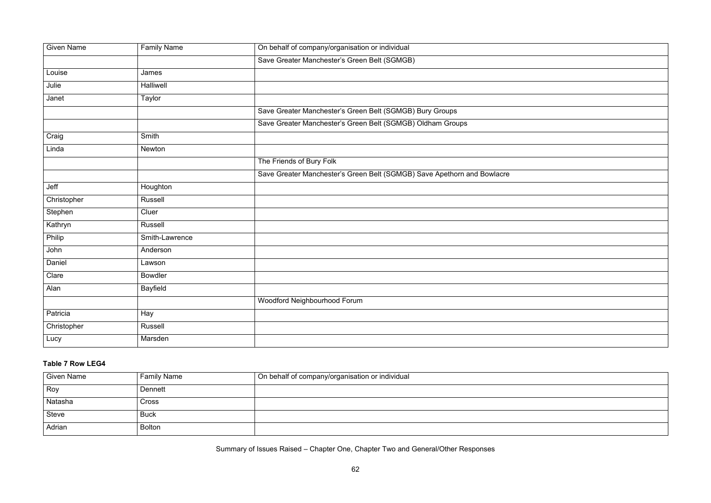|                                                                                                                      |  | the control of the control of     |  |
|----------------------------------------------------------------------------------------------------------------------|--|-----------------------------------|--|
|                                                                                                                      |  | the control of the control of the |  |
| <u> 1988 - Ann an Dùbhlachd ann an Dùbhlachd ann an Dùbhlachd ann an Dùbhlachd ann an Dùbhlachd ann an Dùbhlachd</u> |  |                                   |  |
| <u> 1989 - Andrea Andrewski, matematik a stranislavnik i strategicki strategicki strategicki strategicki strateg</u> |  | the control of the control of the |  |
|                                                                                                                      |  |                                   |  |
| <u> 1989 - Andrea Andrew Maria (h. 1989).</u>                                                                        |  |                                   |  |
|                                                                                                                      |  |                                   |  |

| <b>Given Name</b> | <b>Family Name</b> | On behalf of company/organisation or individual                         |
|-------------------|--------------------|-------------------------------------------------------------------------|
|                   |                    | Save Greater Manchester's Green Belt (SGMGB)                            |
| Louise            | James              |                                                                         |
| Julie             | <b>Halliwell</b>   |                                                                         |
| Janet             | Taylor             |                                                                         |
|                   |                    | Save Greater Manchester's Green Belt (SGMGB) Bury Groups                |
|                   |                    | Save Greater Manchester's Green Belt (SGMGB) Oldham Groups              |
| Craig             | Smith              |                                                                         |
| Linda             | Newton             |                                                                         |
|                   |                    | The Friends of Bury Folk                                                |
|                   |                    | Save Greater Manchester's Green Belt (SGMGB) Save Apethorn and Bowlacre |
| Jeff              | Houghton           |                                                                         |
| Christopher       | Russell            |                                                                         |
| Stephen           | Cluer              |                                                                         |
| Kathryn           | Russell            |                                                                         |
| Philip            | Smith-Lawrence     |                                                                         |
| John              | Anderson           |                                                                         |
| Daniel            | Lawson             |                                                                         |
| Clare             | <b>Bowdler</b>     |                                                                         |
| Alan              | <b>Bayfield</b>    |                                                                         |
|                   |                    | Woodford Neighbourhood Forum                                            |
| Patricia          | Hay                |                                                                         |
| Christopher       | <b>Russell</b>     |                                                                         |
| Lucy              | Marsden            |                                                                         |

### **Table 7 Row LEG4**

| <b>Given Name</b> | <b>Family Name</b> | On behalf of company/organisation or individual |
|-------------------|--------------------|-------------------------------------------------|
| Roy               | Dennett            |                                                 |
| Natasha           | <b>Cross</b>       |                                                 |
| <b>Steve</b>      | <b>Buck</b>        |                                                 |
| Adrian            | <b>Bolton</b>      |                                                 |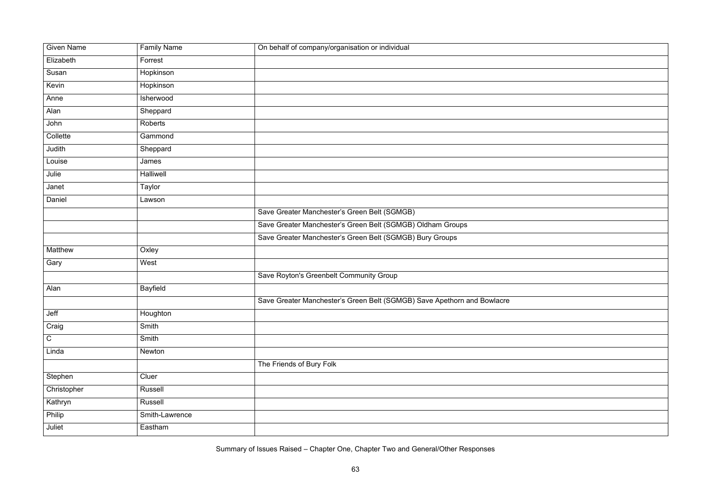| <b>Given Name</b> | <b>Family Name</b> | On behalf of company/organisation or individual                         |
|-------------------|--------------------|-------------------------------------------------------------------------|
| Elizabeth         | Forrest            |                                                                         |
| Susan             | Hopkinson          |                                                                         |
| Kevin             | Hopkinson          |                                                                         |
| Anne              | Isherwood          |                                                                         |
| Alan              | Sheppard           |                                                                         |
| John              | Roberts            |                                                                         |
| Collette          | Gammond            |                                                                         |
| Judith            | Sheppard           |                                                                         |
| Louise            | James              |                                                                         |
| Julie             | Halliwell          |                                                                         |
| Janet             | Taylor             |                                                                         |
| Daniel            | Lawson             |                                                                         |
|                   |                    | Save Greater Manchester's Green Belt (SGMGB)                            |
|                   |                    | Save Greater Manchester's Green Belt (SGMGB) Oldham Groups              |
|                   |                    | Save Greater Manchester's Green Belt (SGMGB) Bury Groups                |
| Matthew           | Oxley              |                                                                         |
| Gary              | West               |                                                                         |
|                   |                    | Save Royton's Greenbelt Community Group                                 |
| Alan              | <b>Bayfield</b>    |                                                                         |
|                   |                    | Save Greater Manchester's Green Belt (SGMGB) Save Apethorn and Bowlacre |
| Jeff              | Houghton           |                                                                         |
| Craig             | Smith              |                                                                         |
| $\mathsf C$       | Smith              |                                                                         |
| Linda             | Newton             |                                                                         |
|                   |                    | The Friends of Bury Folk                                                |
| Stephen           | Cluer              |                                                                         |
| Christopher       | Russell            |                                                                         |
| Kathryn           | Russell            |                                                                         |
| Philip            | Smith-Lawrence     |                                                                         |
| Juliet            | Eastham            |                                                                         |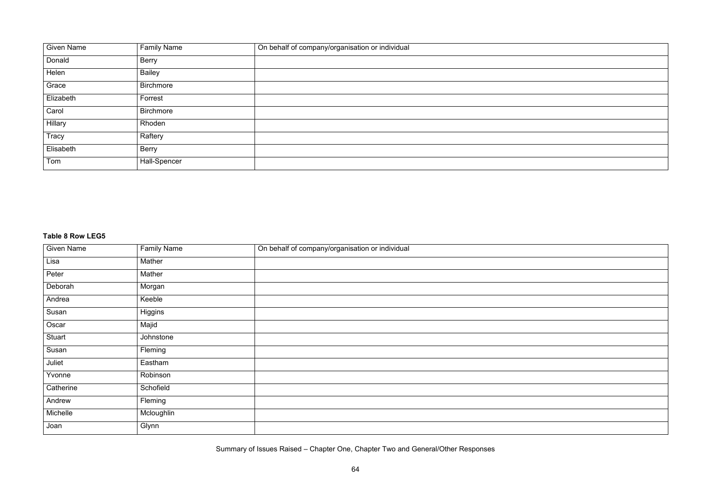



| <b>Given Name</b> | <b>Family Name</b> | On behalf of company/organisation or individual |
|-------------------|--------------------|-------------------------------------------------|
| Donald            | <b>Berry</b>       |                                                 |
| Helen             | <b>Bailey</b>      |                                                 |
| Grace             | Birchmore          |                                                 |
| Elizabeth         | Forrest            |                                                 |
| Carol             | <b>Birchmore</b>   |                                                 |
| Hillary           | Rhoden             |                                                 |
| Tracy             | Raftery            |                                                 |
| Elisabeth         | <b>Berry</b>       |                                                 |
| Tom               | Hall-Spencer       |                                                 |

#### **Table 8 Row LEG5**

| <b>Given Name</b> | <b>Family Name</b> | On behalf of company/organisation or individual |
|-------------------|--------------------|-------------------------------------------------|
| Lisa              | Mather             |                                                 |
| Peter             | Mather             |                                                 |
| Deborah           | Morgan             |                                                 |
| Andrea            | Keeble             |                                                 |
| Susan             | Higgins            |                                                 |
| Oscar             | Majid              |                                                 |
| Stuart            | Johnstone          |                                                 |
| Susan             | Fleming            |                                                 |
| Juliet            | Eastham            |                                                 |
| Yvonne            | Robinson           |                                                 |
| Catherine         | Schofield          |                                                 |
| Andrew            | Fleming            |                                                 |
| Michelle          | Mcloughlin         |                                                 |
| Joan              | Glynn              |                                                 |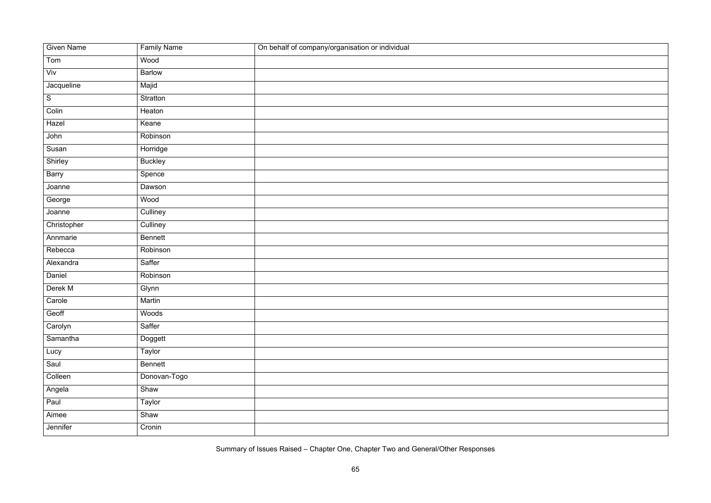| <b>Given Name</b> | <b>Family Name</b> | On behalf of company/organisation or individual |
|-------------------|--------------------|-------------------------------------------------|
| Tom               | Wood               |                                                 |
| Viv               | <b>Barlow</b>      |                                                 |
| Jacqueline        | Majid              |                                                 |
| ${\mathsf S}$     | Stratton           |                                                 |
| Colin             | Heaton             |                                                 |
| Hazel             | Keane              |                                                 |
| John              | Robinson           |                                                 |
| Susan             | Horridge           |                                                 |
| Shirley           | <b>Buckley</b>     |                                                 |
| Barry             | Spence             |                                                 |
| Joanne            | Dawson             |                                                 |
| George            | Wood               |                                                 |
| Joanne            | Culliney           |                                                 |
| Christopher       | Culliney           |                                                 |
| Annmarie          | <b>Bennett</b>     |                                                 |
| Rebecca           | Robinson           |                                                 |
| Alexandra         | Saffer             |                                                 |
| Daniel            | Robinson           |                                                 |
| Derek M           | Glynn              |                                                 |
| Carole            | Martin             |                                                 |
| Geoff             | Woods              |                                                 |
| Carolyn           | Saffer             |                                                 |
| Samantha          | Doggett            |                                                 |
| Lucy              | Taylor             |                                                 |
| Saul              | Bennett            |                                                 |
| Colleen           | Donovan-Togo       |                                                 |
| Angela            | Shaw               |                                                 |
| Paul              | Taylor             |                                                 |
| Aimee             | Shaw               |                                                 |
| Jennifer          | Cronin             |                                                 |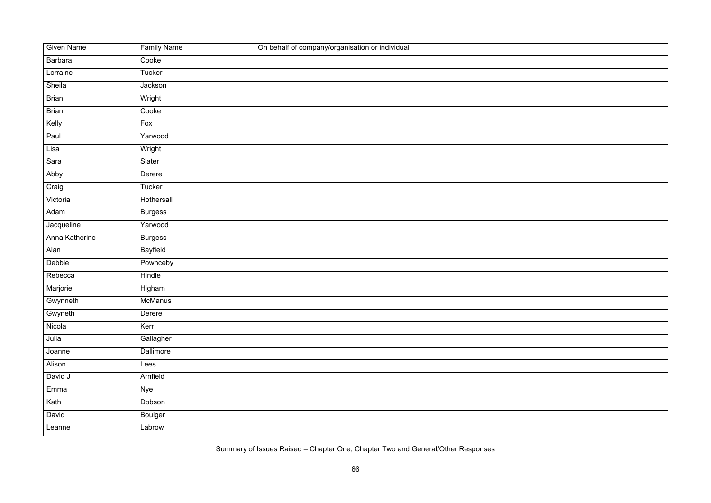| <b>Given Name</b> | <b>Family Name</b> | On behalf of company/organisation or individual |
|-------------------|--------------------|-------------------------------------------------|
| <b>Barbara</b>    | Cooke              |                                                 |
| Lorraine          | Tucker             |                                                 |
| Sheila            | Jackson            |                                                 |
| <b>Brian</b>      | Wright             |                                                 |
| <b>Brian</b>      | Cooke              |                                                 |
| Kelly             | Fox                |                                                 |
| Paul              | Yarwood            |                                                 |
| Lisa              | Wright             |                                                 |
| Sara              | Slater             |                                                 |
| Abby              | Derere             |                                                 |
| Craig             | Tucker             |                                                 |
| Victoria          | Hothersall         |                                                 |
| Adam              | <b>Burgess</b>     |                                                 |
| Jacqueline        | Yarwood            |                                                 |
| Anna Katherine    | <b>Burgess</b>     |                                                 |
| Alan              | <b>Bayfield</b>    |                                                 |
| Debbie            | Pownceby           |                                                 |
| Rebecca           | <b>Hindle</b>      |                                                 |
| Marjorie          | Higham             |                                                 |
| Gwynneth          | <b>McManus</b>     |                                                 |
| Gwyneth           | Derere             |                                                 |
| Nicola            | Kerr               |                                                 |
| Julia             | Gallagher          |                                                 |
| Joanne            | Dallimore          |                                                 |
| Alison            | Lees               |                                                 |
| David J           | Arnfield           |                                                 |
| Emma              | <b>Nye</b>         |                                                 |
| Kath              | Dobson             |                                                 |
| David             | <b>Boulger</b>     |                                                 |
| Leanne            | Labrow             |                                                 |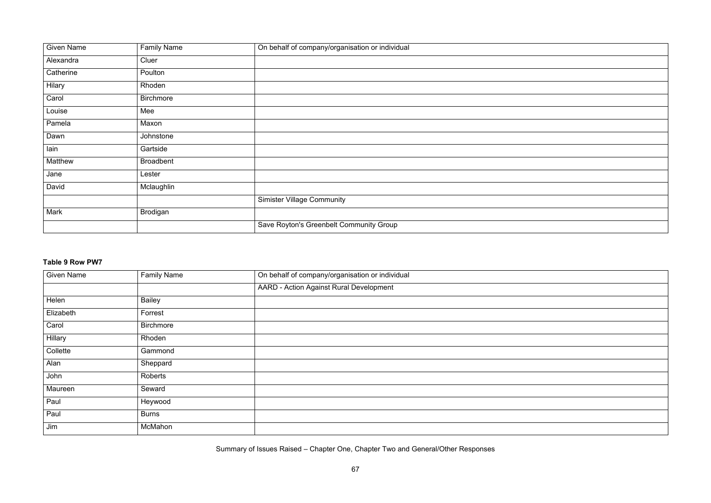

| <b>Given Name</b> | <b>Family Name</b> | On behalf of company/organisation or individual |
|-------------------|--------------------|-------------------------------------------------|
| Alexandra         | Cluer              |                                                 |
| Catherine         | Poulton            |                                                 |
| Hilary            | Rhoden             |                                                 |
| Carol             | <b>Birchmore</b>   |                                                 |
| Louise            | Mee                |                                                 |
| Pamela            | Maxon              |                                                 |
| Dawn              | Johnstone          |                                                 |
| lain              | Gartside           |                                                 |
| Matthew           | <b>Broadbent</b>   |                                                 |
| Jane              | Lester             |                                                 |
| David             | Mclaughlin         |                                                 |
|                   |                    | <b>Simister Village Community</b>               |
| <b>Mark</b>       | <b>Brodigan</b>    |                                                 |
|                   |                    | Save Royton's Greenbelt Community Group         |

#### **Table 9 Row PW7**

| <b>Given Name</b> | <b>Family Name</b> | On behalf of company/organisation or individual |
|-------------------|--------------------|-------------------------------------------------|
|                   |                    | <b>AARD - Action Against Rural Development</b>  |
| Helen             | <b>Bailey</b>      |                                                 |
| Elizabeth         | Forrest            |                                                 |
| Carol             | <b>Birchmore</b>   |                                                 |
| Hillary           | Rhoden             |                                                 |
| Collette          | Gammond            |                                                 |
| Alan              | Sheppard           |                                                 |
| John              | Roberts            |                                                 |
| Maureen           | Seward             |                                                 |
| Paul              | Heywood            |                                                 |
| Paul              | <b>Burns</b>       |                                                 |
| Jim               | McMahon            |                                                 |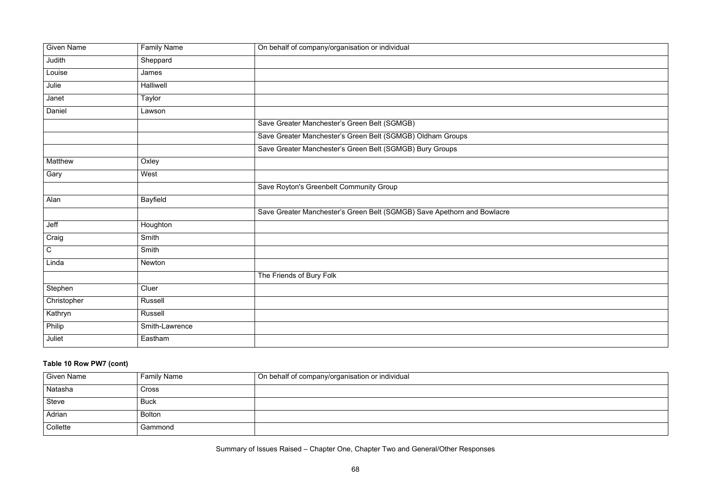|                                                                                                                      |  | the control of the control of     |  |
|----------------------------------------------------------------------------------------------------------------------|--|-----------------------------------|--|
|                                                                                                                      |  | the control of the control of the |  |
| <u> 1988 - Ann an Dùbhlachd ann an Dùbhlachd ann an Dùbhlachd ann an Dùbhlachd ann an Dùbhlachd ann an Dùbhlachd</u> |  |                                   |  |
| <u> 1989 - Andrea Andrewski, matematik a stranislavnik i strategicki strategicki strategicki strategicki strateg</u> |  | the control of the control of the |  |
|                                                                                                                      |  |                                   |  |
| <u> 1989 - Andrea Andrew Maria (h. 1989).</u>                                                                        |  |                                   |  |
|                                                                                                                      |  |                                   |  |

| <b>Given Name</b> | <b>Family Name</b> | On behalf of company/organisation or individual                         |
|-------------------|--------------------|-------------------------------------------------------------------------|
| Judith            | Sheppard           |                                                                         |
| Louise            | James              |                                                                         |
| Julie             | <b>Halliwell</b>   |                                                                         |
| Janet             | Taylor             |                                                                         |
| Daniel            | Lawson             |                                                                         |
|                   |                    | Save Greater Manchester's Green Belt (SGMGB)                            |
|                   |                    | Save Greater Manchester's Green Belt (SGMGB) Oldham Groups              |
|                   |                    | Save Greater Manchester's Green Belt (SGMGB) Bury Groups                |
| <b>Matthew</b>    | Oxley              |                                                                         |
| Gary              | West               |                                                                         |
|                   |                    | Save Royton's Greenbelt Community Group                                 |
| Alan              | <b>Bayfield</b>    |                                                                         |
|                   |                    | Save Greater Manchester's Green Belt (SGMGB) Save Apethorn and Bowlacre |
| Jeff              | Houghton           |                                                                         |
| Craig             | Smith              |                                                                         |
| $\mathsf C$       | Smith              |                                                                         |
| Linda             | Newton             |                                                                         |
|                   |                    | The Friends of Bury Folk                                                |
| Stephen           | Cluer              |                                                                         |
| Christopher       | <b>Russell</b>     |                                                                         |
| Kathryn           | Russell            |                                                                         |
| Philip            | Smith-Lawrence     |                                                                         |
| Juliet            | Eastham            |                                                                         |

### **Table 10 Row PW7 (cont)**

| <b>Given Name</b> | <b>Family Name</b> | On behalf of company/organisation or individual |
|-------------------|--------------------|-------------------------------------------------|
| Natasha           | <b>Cross</b>       |                                                 |
| <b>Steve</b>      | <b>Buck</b>        |                                                 |
| Adrian            | <b>Bolton</b>      |                                                 |
| Collette          | Gammond            |                                                 |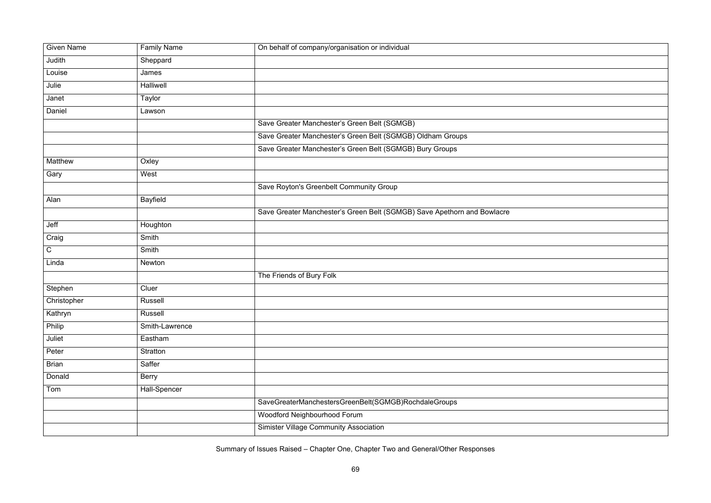| <b>Given Name</b> | <b>Family Name</b> | On behalf of company/organisation or individual                         |
|-------------------|--------------------|-------------------------------------------------------------------------|
| Judith            | Sheppard           |                                                                         |
| Louise            | James              |                                                                         |
| Julie             | Halliwell          |                                                                         |
| Janet             | Taylor             |                                                                         |
| Daniel            | Lawson             |                                                                         |
|                   |                    | Save Greater Manchester's Green Belt (SGMGB)                            |
|                   |                    | Save Greater Manchester's Green Belt (SGMGB) Oldham Groups              |
|                   |                    | Save Greater Manchester's Green Belt (SGMGB) Bury Groups                |
| Matthew           | Oxley              |                                                                         |
| Gary              | West               |                                                                         |
|                   |                    | Save Royton's Greenbelt Community Group                                 |
| Alan              | <b>Bayfield</b>    |                                                                         |
|                   |                    | Save Greater Manchester's Green Belt (SGMGB) Save Apethorn and Bowlacre |
| Jeff              | Houghton           |                                                                         |
| Craig             | Smith              |                                                                         |
| $\mathsf C$       | Smith              |                                                                         |
| Linda             | Newton             |                                                                         |
|                   |                    | The Friends of Bury Folk                                                |
| Stephen           | Cluer              |                                                                         |
| Christopher       | <b>Russell</b>     |                                                                         |
| Kathryn           | Russell            |                                                                         |
| Philip            | Smith-Lawrence     |                                                                         |
| Juliet            | Eastham            |                                                                         |
| Peter             | Stratton           |                                                                         |
| <b>Brian</b>      | Saffer             |                                                                         |
| Donald            | <b>Berry</b>       |                                                                         |
| Tom               | Hall-Spencer       |                                                                         |
|                   |                    | SaveGreaterManchestersGreenBelt(SGMGB)RochdaleGroups                    |
|                   |                    | Woodford Neighbourhood Forum                                            |
|                   |                    | <b>Simister Village Community Association</b>                           |
|                   |                    |                                                                         |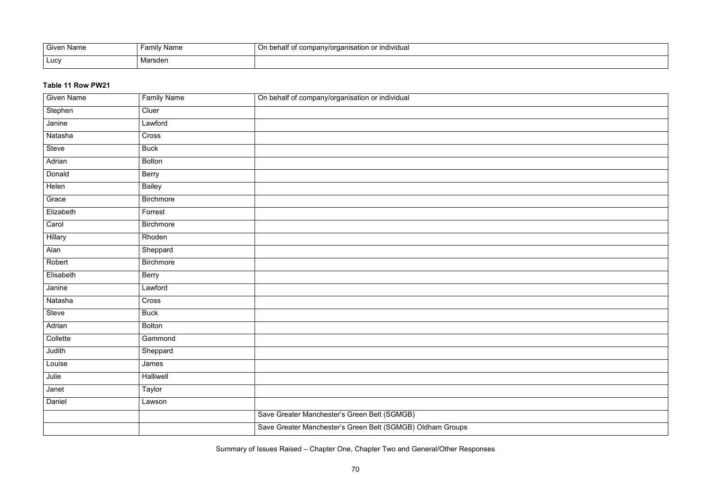| Given Name | v Name<br>∶amılv | if company/organisation or individual<br>≅behalf oï |
|------------|------------------|-----------------------------------------------------|
| Lucy       | arsden           |                                                     |

#### **Table 11 Row PW21**

| <b>Given Name</b> | <b>Family Name</b> | On behalf of company/organisation or individual            |
|-------------------|--------------------|------------------------------------------------------------|
| Stephen           | Cluer              |                                                            |
| Janine            | Lawford            |                                                            |
| Natasha           | Cross              |                                                            |
| Steve             | <b>Buck</b>        |                                                            |
| Adrian            | <b>Bolton</b>      |                                                            |
| Donald            | <b>Berry</b>       |                                                            |
| Helen             | <b>Bailey</b>      |                                                            |
| Grace             | <b>Birchmore</b>   |                                                            |
| Elizabeth         | Forrest            |                                                            |
| Carol             | <b>Birchmore</b>   |                                                            |
| Hillary           | Rhoden             |                                                            |
| Alan              | Sheppard           |                                                            |
| Robert            | <b>Birchmore</b>   |                                                            |
| Elisabeth         | <b>Berry</b>       |                                                            |
| Janine            | Lawford            |                                                            |
| Natasha           | Cross              |                                                            |
| Steve             | <b>Buck</b>        |                                                            |
| Adrian            | <b>Bolton</b>      |                                                            |
| Collette          | Gammond            |                                                            |
| Judith            | Sheppard           |                                                            |
| Louise            | James              |                                                            |
| Julie             | Halliwell          |                                                            |
| Janet             | Taylor             |                                                            |
| Daniel            | Lawson             |                                                            |
|                   |                    | Save Greater Manchester's Green Belt (SGMGB)               |
|                   |                    | Save Greater Manchester's Green Belt (SGMGB) Oldham Groups |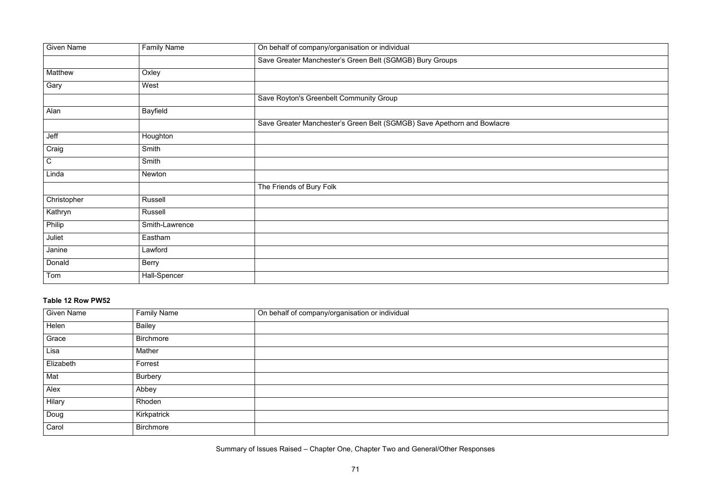| <u> 1989 - Johann Barnett, fransk politiker (d. 1989)</u>                                 |  |  |
|-------------------------------------------------------------------------------------------|--|--|
|                                                                                           |  |  |
| the control of the control of the control of the control of the control of the control of |  |  |
|                                                                                           |  |  |
|                                                                                           |  |  |
|                                                                                           |  |  |
|                                                                                           |  |  |

| <b>Given Name</b> | <b>Family Name</b> | On behalf of company/organisation or individual                         |
|-------------------|--------------------|-------------------------------------------------------------------------|
|                   |                    | Save Greater Manchester's Green Belt (SGMGB) Bury Groups                |
| Matthew           | Oxley              |                                                                         |
| Gary              | West               |                                                                         |
|                   |                    | Save Royton's Greenbelt Community Group                                 |
| Alan              | <b>Bayfield</b>    |                                                                         |
|                   |                    | Save Greater Manchester's Green Belt (SGMGB) Save Apethorn and Bowlacre |
| Jeff              | Houghton           |                                                                         |
| Craig             | Smith              |                                                                         |
| $\mathsf C$       | Smith              |                                                                         |
| Linda             | Newton             |                                                                         |
|                   |                    | The Friends of Bury Folk                                                |
| Christopher       | Russell            |                                                                         |
| Kathryn           | Russell            |                                                                         |
| Philip            | Smith-Lawrence     |                                                                         |
| Juliet            | Eastham            |                                                                         |
| Janine            | Lawford            |                                                                         |
| Donald            | <b>Berry</b>       |                                                                         |
| Tom               | Hall-Spencer       |                                                                         |

# **Table 12 Row PW52**

| <b>Given Name</b> | <b>Family Name</b> | On behalf of company/organisation or individual |
|-------------------|--------------------|-------------------------------------------------|
| Helen             | <b>Bailey</b>      |                                                 |
| Grace             | <b>Birchmore</b>   |                                                 |
| Lisa              | Mather             |                                                 |
| Elizabeth         | Forrest            |                                                 |
| Mat               | <b>Burbery</b>     |                                                 |
| Alex              | Abbey              |                                                 |
| Hilary            | Rhoden             |                                                 |
| Doug              | Kirkpatrick        |                                                 |
| Carol             | <b>Birchmore</b>   |                                                 |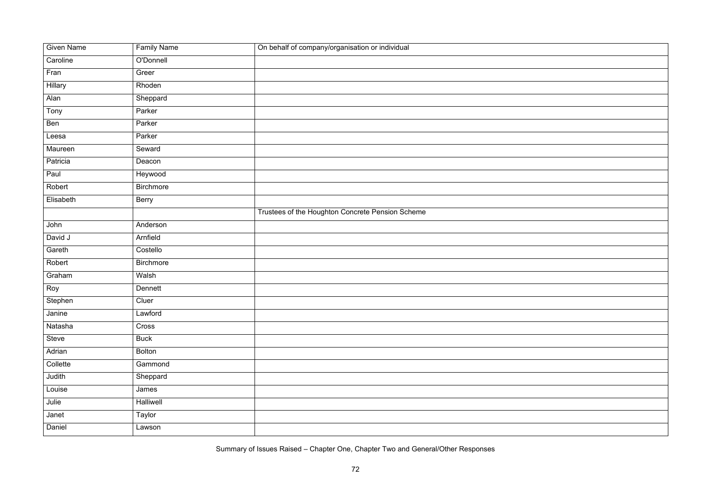| <b>Given Name</b> | <b>Family Name</b> | On behalf of company/organisation or individual  |
|-------------------|--------------------|--------------------------------------------------|
| Caroline          | O'Donnell          |                                                  |
| Fran              | Greer              |                                                  |
| Hillary           | Rhoden             |                                                  |
| Alan              | Sheppard           |                                                  |
| Tony              | Parker             |                                                  |
| Ben               | Parker             |                                                  |
| Leesa             | Parker             |                                                  |
| Maureen           | Seward             |                                                  |
| Patricia          | Deacon             |                                                  |
| Paul              | Heywood            |                                                  |
| Robert            | Birchmore          |                                                  |
| Elisabeth         | <b>Berry</b>       |                                                  |
|                   |                    | Trustees of the Houghton Concrete Pension Scheme |
| John              | Anderson           |                                                  |
| David J           | Arnfield           |                                                  |
| Gareth            | Costello           |                                                  |
| Robert            | <b>Birchmore</b>   |                                                  |
| Graham            | Walsh              |                                                  |
| Roy               | Dennett            |                                                  |
| Stephen           | Cluer              |                                                  |
| Janine            | Lawford            |                                                  |
| Natasha           | Cross              |                                                  |
| Steve             | <b>Buck</b>        |                                                  |
| Adrian            | <b>Bolton</b>      |                                                  |
| Collette          | Gammond            |                                                  |
| Judith            | Sheppard           |                                                  |
| Louise            | James              |                                                  |
| Julie             | Halliwell          |                                                  |
| Janet             | Taylor             |                                                  |
| Daniel            | Lawson             |                                                  |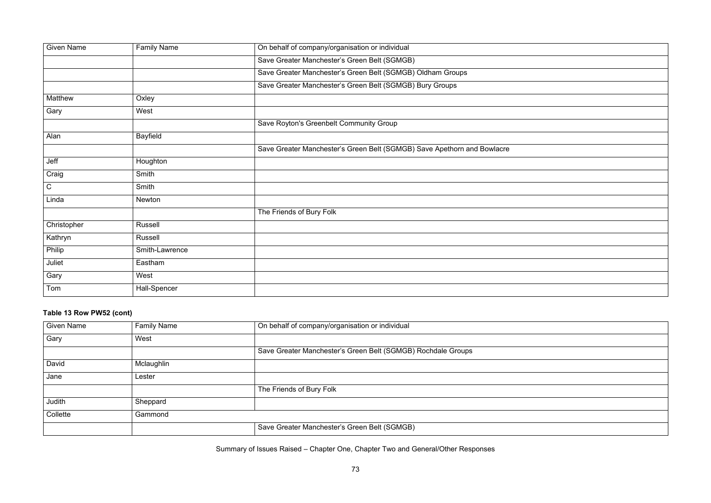| <u> 1989 - Johann Stoff, deutscher Stoffen und der Stoffen und der Stoffen und der Stoffen und der Stoffen und der</u> |  |  |
|------------------------------------------------------------------------------------------------------------------------|--|--|
| <u> 1989 - Johann Barn, amerikansk politiker (d. 1989)</u>                                                             |  |  |
|                                                                                                                        |  |  |
|                                                                                                                        |  |  |
| <u> 1989 - Johann Barnett, fransk politiker (</u>                                                                      |  |  |
|                                                                                                                        |  |  |

| <b>Given Name</b> | <b>Family Name</b> | On behalf of company/organisation or individual                         |
|-------------------|--------------------|-------------------------------------------------------------------------|
|                   |                    | Save Greater Manchester's Green Belt (SGMGB)                            |
|                   |                    | Save Greater Manchester's Green Belt (SGMGB) Oldham Groups              |
|                   |                    | Save Greater Manchester's Green Belt (SGMGB) Bury Groups                |
| Matthew           | Oxley              |                                                                         |
| Gary              | West               |                                                                         |
|                   |                    | Save Royton's Greenbelt Community Group                                 |
| Alan              | <b>Bayfield</b>    |                                                                         |
|                   |                    | Save Greater Manchester's Green Belt (SGMGB) Save Apethorn and Bowlacre |
| Jeff              | Houghton           |                                                                         |
| Craig             | Smith              |                                                                         |
| $\mathsf C$       | Smith              |                                                                         |
| Linda             | Newton             |                                                                         |
|                   |                    | The Friends of Bury Folk                                                |
| Christopher       | <b>Russell</b>     |                                                                         |
| Kathryn           | <b>Russell</b>     |                                                                         |
| Philip            | Smith-Lawrence     |                                                                         |
| Juliet            | Eastham            |                                                                         |
| Gary              | West               |                                                                         |
| Tom               | Hall-Spencer       |                                                                         |
|                   |                    |                                                                         |

## **Table 13 Row PW52 (cont)**

| <b>Given Name</b> | <b>Family Name</b> | On behalf of company/organisation or individual              |
|-------------------|--------------------|--------------------------------------------------------------|
| Gary              | West               |                                                              |
|                   |                    | Save Greater Manchester's Green Belt (SGMGB) Rochdale Groups |
| David             | Mclaughlin         |                                                              |
| Jane              | Lester             |                                                              |
|                   |                    | The Friends of Bury Folk                                     |
| Judith            | Sheppard           |                                                              |
| Collette          | Gammond            |                                                              |
|                   |                    | Save Greater Manchester's Green Belt (SGMGB)                 |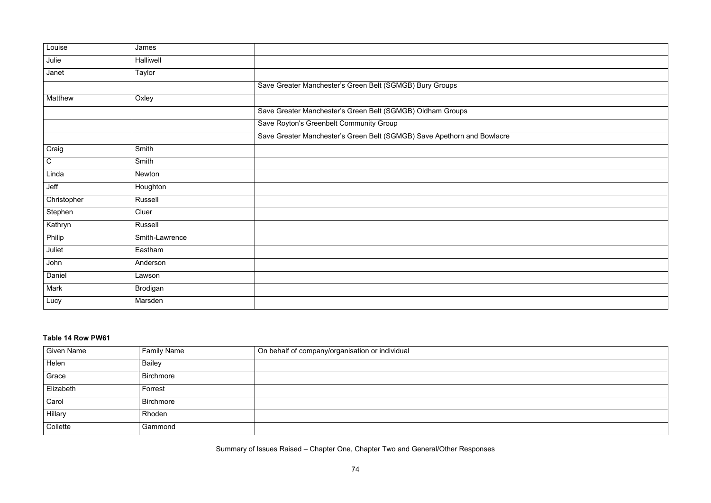| <u> 1989 - Andrea Andrew Maria (h. 1989).</u>                                                                   |  |  |
|-----------------------------------------------------------------------------------------------------------------|--|--|
|                                                                                                                 |  |  |
|                                                                                                                 |  |  |
| the contract of the contract of the contract of the contract of the contract of the contract of the contract of |  |  |
|                                                                                                                 |  |  |
|                                                                                                                 |  |  |
|                                                                                                                 |  |  |

| Louise      | James          |                                                                         |
|-------------|----------------|-------------------------------------------------------------------------|
| Julie       | Halliwell      |                                                                         |
| Janet       | <b>Taylor</b>  |                                                                         |
|             |                | Save Greater Manchester's Green Belt (SGMGB) Bury Groups                |
| Matthew     | Oxley          |                                                                         |
|             |                | Save Greater Manchester's Green Belt (SGMGB) Oldham Groups              |
|             |                | Save Royton's Greenbelt Community Group                                 |
|             |                | Save Greater Manchester's Green Belt (SGMGB) Save Apethorn and Bowlacre |
| Craig       | Smith          |                                                                         |
| $\mathsf C$ | Smith          |                                                                         |
| Linda       | Newton         |                                                                         |
| Jeff        | Houghton       |                                                                         |
| Christopher | Russell        |                                                                         |
| Stephen     | Cluer          |                                                                         |
| Kathryn     | Russell        |                                                                         |
| Philip      | Smith-Lawrence |                                                                         |
| Juliet      | Eastham        |                                                                         |
| John        | Anderson       |                                                                         |
| Daniel      | Lawson         |                                                                         |
| Mark        | Brodigan       |                                                                         |
| Lucy        | Marsden        |                                                                         |
|             |                |                                                                         |

## **Table 14 Row PW61**

| <b>Given Name</b> | <b>Family Name</b> | On behalf of company/organisation or individual |
|-------------------|--------------------|-------------------------------------------------|
| Helen             | <b>Bailey</b>      |                                                 |
| Grace             | Birchmore          |                                                 |
| Elizabeth         | Forrest            |                                                 |
| Carol             | <b>Birchmore</b>   |                                                 |
| Hillary           | Rhoden             |                                                 |
| Collette          | Gammond            |                                                 |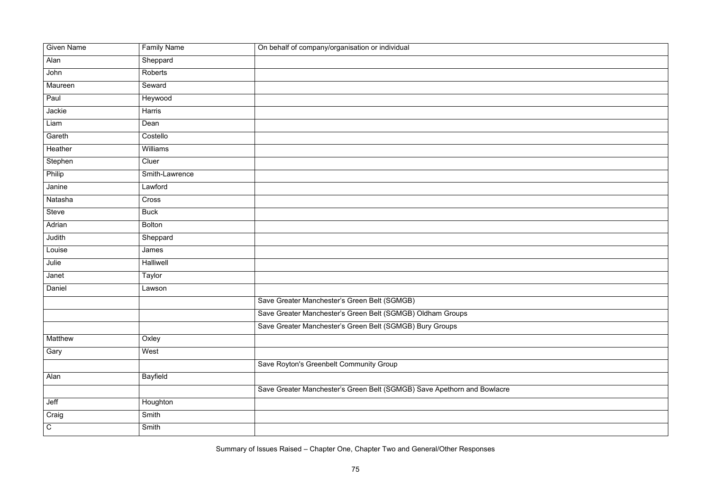| <b>Given Name</b> | <b>Family Name</b> | On behalf of company/organisation or individual                         |
|-------------------|--------------------|-------------------------------------------------------------------------|
| Alan              | Sheppard           |                                                                         |
| John              | Roberts            |                                                                         |
| Maureen           | Seward             |                                                                         |
| Paul              | Heywood            |                                                                         |
| Jackie            | Harris             |                                                                         |
| Liam              | Dean               |                                                                         |
| Gareth            | Costello           |                                                                         |
| Heather           | Williams           |                                                                         |
| Stephen           | Cluer              |                                                                         |
| Philip            | Smith-Lawrence     |                                                                         |
| Janine            | Lawford            |                                                                         |
| Natasha           | Cross              |                                                                         |
| <b>Steve</b>      | <b>Buck</b>        |                                                                         |
| Adrian            | <b>Bolton</b>      |                                                                         |
| Judith            | Sheppard           |                                                                         |
| Louise            | James              |                                                                         |
| Julie             | Halliwell          |                                                                         |
| Janet             | Taylor             |                                                                         |
| Daniel            | Lawson             |                                                                         |
|                   |                    | Save Greater Manchester's Green Belt (SGMGB)                            |
|                   |                    | Save Greater Manchester's Green Belt (SGMGB) Oldham Groups              |
|                   |                    | Save Greater Manchester's Green Belt (SGMGB) Bury Groups                |
| Matthew           | Oxley              |                                                                         |
| Gary              | West               |                                                                         |
|                   |                    | Save Royton's Greenbelt Community Group                                 |
| Alan              | <b>Bayfield</b>    |                                                                         |
|                   |                    | Save Greater Manchester's Green Belt (SGMGB) Save Apethorn and Bowlacre |
| Jeff              | Houghton           |                                                                         |
| Craig             | Smith              |                                                                         |
| ${\bf C}$         | Smith              |                                                                         |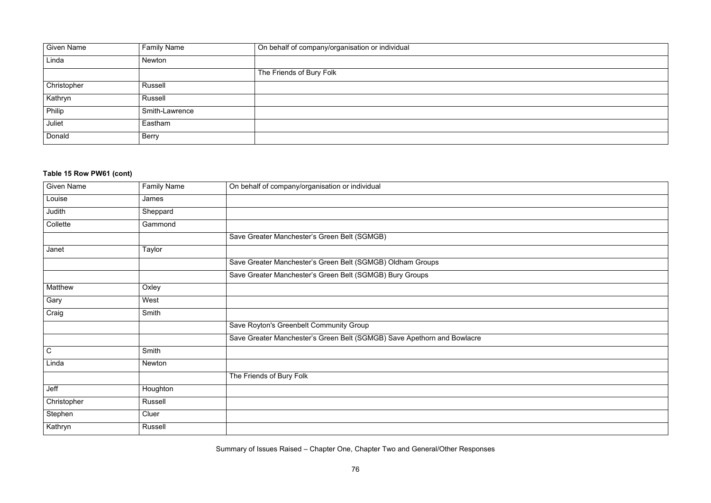

| <b>Given Name</b> | <b>Family Name</b> | On behalf of company/organisation or individual |
|-------------------|--------------------|-------------------------------------------------|
| Linda             | Newton             |                                                 |
|                   |                    | The Friends of Bury Folk                        |
| Christopher       | Russell            |                                                 |
| Kathryn           | Russell            |                                                 |
| Philip            | Smith-Lawrence     |                                                 |
| Juliet            | Eastham            |                                                 |
| Donald            | <b>Berry</b>       |                                                 |

## **Table 15 Row PW61 (cont)**

| <b>Given Name</b> | <b>Family Name</b> | On behalf of company/organisation or individual                         |
|-------------------|--------------------|-------------------------------------------------------------------------|
| Louise            | James              |                                                                         |
| Judith            | Sheppard           |                                                                         |
| Collette          | Gammond            |                                                                         |
|                   |                    | Save Greater Manchester's Green Belt (SGMGB)                            |
| Janet             | Taylor             |                                                                         |
|                   |                    | Save Greater Manchester's Green Belt (SGMGB) Oldham Groups              |
|                   |                    | Save Greater Manchester's Green Belt (SGMGB) Bury Groups                |
| Matthew           | Oxley              |                                                                         |
| Gary              | West               |                                                                         |
| Craig             | Smith              |                                                                         |
|                   |                    | Save Royton's Greenbelt Community Group                                 |
|                   |                    | Save Greater Manchester's Green Belt (SGMGB) Save Apethorn and Bowlacre |
| $\mathsf C$       | Smith              |                                                                         |
| Linda             | Newton             |                                                                         |
|                   |                    | The Friends of Bury Folk                                                |
| Jeff              | Houghton           |                                                                         |
| Christopher       | Russell            |                                                                         |
| Stephen           | Cluer              |                                                                         |
| Kathryn           | <b>Russell</b>     |                                                                         |
|                   |                    |                                                                         |